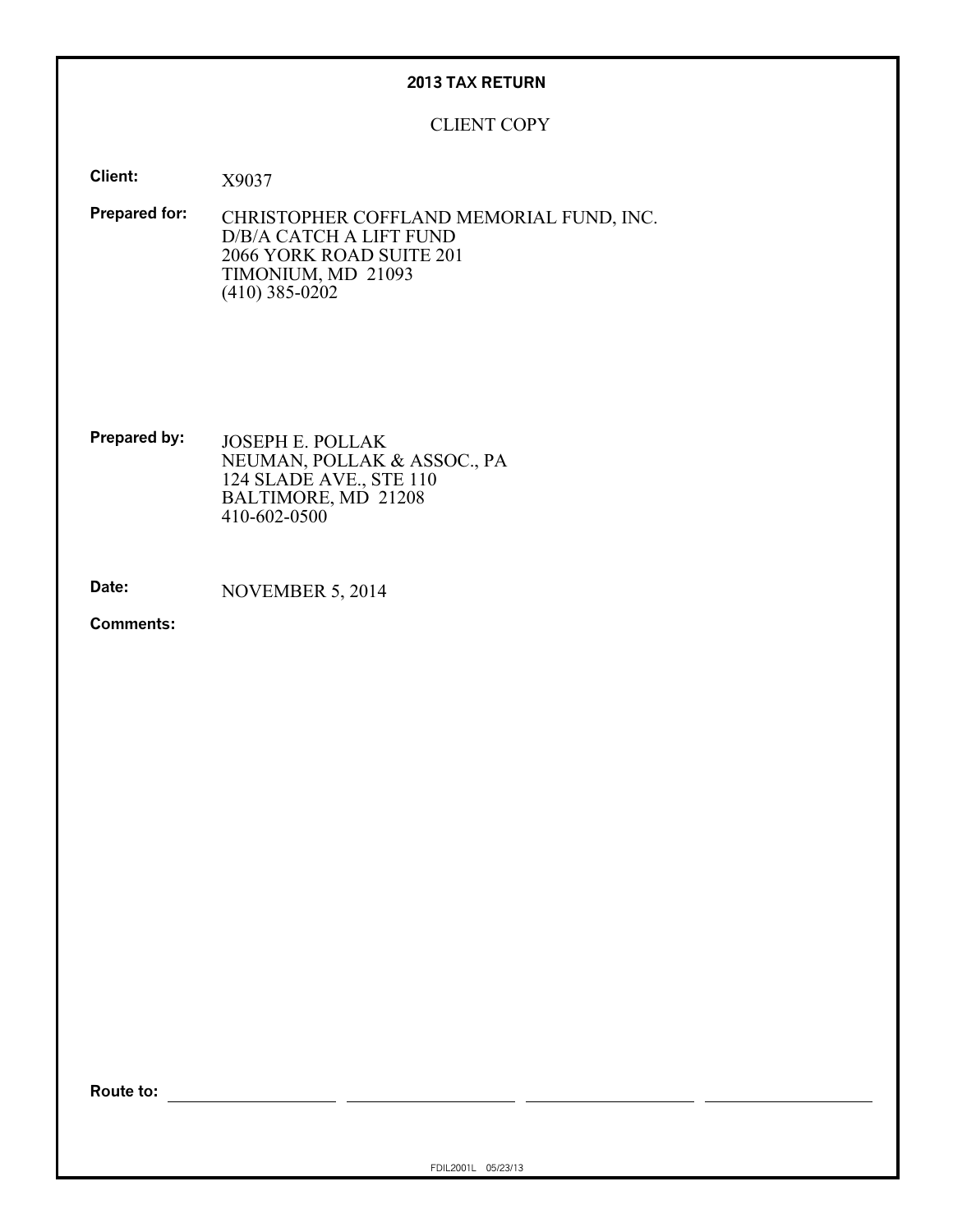# **2013 TAX RETURN**

# CLIENT COPY

**Client:** X9037

**Prepared for:** CHRISTOPHER COFFLAND MEMORIAL FUND, INC. D/B/A CATCH A LIFT FUND 2066 YORK ROAD SUITE 201 TIMONIUM, MD 21093 (410) 385-0202

**Prepared by:** JOSEPH E. POLLAK NEUMAN, POLLAK & ASSOC., PA 124 SLADE AVE., STE 110 BALTIMORE, MD 21208 410-602-0500

**Date:** NOVEMBER 5, 2014

**Comments:**

**Route to:**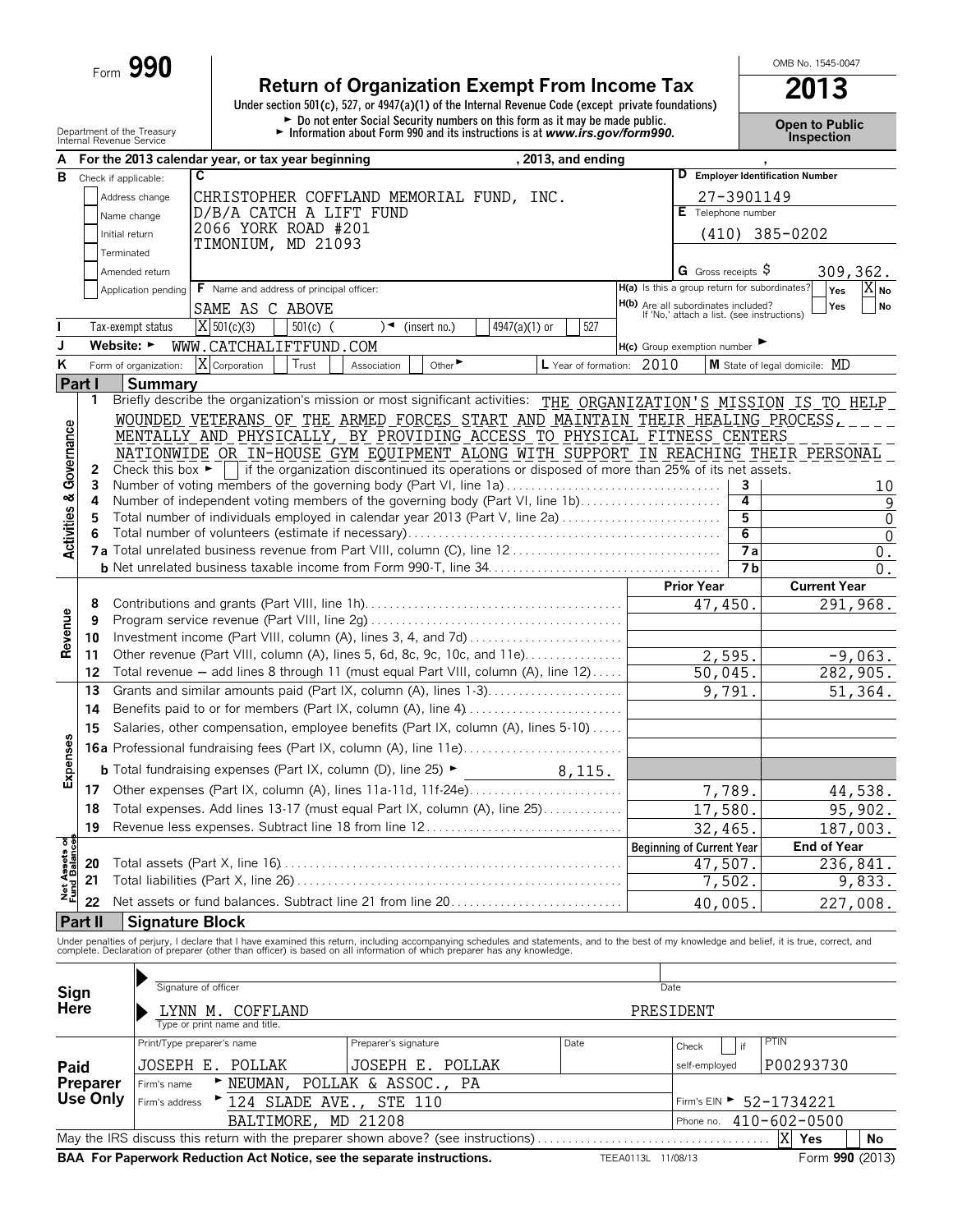Form **990**

# **Return of Organization Exempt From Income Tax** 2013<br>
Under section 501(c), 527, or 4947(a)(1) of the Internal Revenue Code (except private foundations)

Department of the Treasury<br>
The Treasury **Content of the Treasury Content of the Treasury Property Property Property Property Property Property Property Property Property Property Property Property Property Property Proper** 

OMB No. 1545-0047

| А                                |                                |                                      |                               | For the 2013 calendar year, or tax year beginning |                                                                                                                                                                                               |               | , 2013, and ending |                                                                                   |                              |                |                                  |                                    |
|----------------------------------|--------------------------------|--------------------------------------|-------------------------------|---------------------------------------------------|-----------------------------------------------------------------------------------------------------------------------------------------------------------------------------------------------|---------------|--------------------|-----------------------------------------------------------------------------------|------------------------------|----------------|----------------------------------|------------------------------------|
| В                                | Check if applicable:           |                                      | C                             |                                                   |                                                                                                                                                                                               |               |                    |                                                                                   |                              |                | D Employer Identification Number |                                    |
|                                  |                                | Address change                       |                               |                                                   | CHRISTOPHER COFFLAND MEMORIAL FUND, INC.                                                                                                                                                      |               |                    |                                                                                   |                              | 27-3901149     |                                  |                                    |
|                                  | Name change                    |                                      |                               | D/B/A CATCH A LIFT FUND                           |                                                                                                                                                                                               |               |                    |                                                                                   | E Telephone number           |                |                                  |                                    |
|                                  | Initial return                 |                                      |                               | 2066 YORK ROAD #201                               |                                                                                                                                                                                               |               |                    |                                                                                   |                              |                | $(410)$ 385-0202                 |                                    |
|                                  | Terminated                     |                                      |                               | TIMONIUM, MD 21093                                |                                                                                                                                                                                               |               |                    |                                                                                   |                              |                |                                  |                                    |
|                                  |                                | Amended return                       |                               |                                                   |                                                                                                                                                                                               |               |                    |                                                                                   | G Gross receipts $\varsigma$ |                |                                  | 309, 362.                          |
|                                  |                                | Application pending                  |                               | F Name and address of principal officer:          |                                                                                                                                                                                               |               |                    | H(a) Is this a group return for subordinates?                                     |                              |                |                                  | $X_{\text{No}}$<br>Yes             |
|                                  |                                |                                      |                               | SAME AS C ABOVE                                   |                                                                                                                                                                                               |               |                    | H(b) Are all subordinates included?<br>If 'No,' attach a list. (see instructions) |                              |                |                                  | Yes<br><b>No</b>                   |
|                                  |                                | Tax-exempt status                    | $X$ 501(c)(3)                 | $501(c)$ (                                        | ) ◄<br>(insert no.)                                                                                                                                                                           | 4947(a)(1) or | 527                |                                                                                   |                              |                |                                  |                                    |
| J                                | Website: $\blacktriangleright$ |                                      |                               | WWW.CATCHALIFTFUND.COM                            |                                                                                                                                                                                               |               |                    | $H(c)$ Group exemption number                                                     |                              |                |                                  |                                    |
| ĸ                                |                                | Form of organization:                | X Corporation                 | Trust                                             | Other<br>Association                                                                                                                                                                          |               |                    | L Year of formation: 2010                                                         |                              |                | M State of legal domicile: MD    |                                    |
|                                  | <b>Part I</b>                  | <b>Summary</b>                       |                               |                                                   |                                                                                                                                                                                               |               |                    |                                                                                   |                              |                |                                  |                                    |
|                                  | 1                              |                                      |                               |                                                   | Briefly describe the organization's mission or most significant activities: THE ORGANIZATION'S MISSION IS TO HELP                                                                             |               |                    |                                                                                   |                              |                |                                  |                                    |
|                                  |                                |                                      |                               |                                                   | WOUNDED VETERANS OF THE ARMED FORCES START AND MAINTAIN THEIR HEALING PROCESS,                                                                                                                |               |                    |                                                                                   |                              |                |                                  |                                    |
| Governance                       |                                |                                      |                               |                                                   | MENTALLY AND PHYSICALLY, BY PROVIDING ACCESS TO PHYSICAL FITNESS CENTERS                                                                                                                      |               |                    |                                                                                   |                              |                |                                  |                                    |
|                                  |                                |                                      |                               |                                                   | NATIONWIDE OR IN-HOUSE GYM EQUIPMENT ALONG WITH SUPPORT IN REACHING THEIR PERSONAL                                                                                                            |               |                    |                                                                                   |                              |                |                                  |                                    |
|                                  | 2                              | Check this box $\blacktriangleright$ |                               |                                                   | if the organization discontinued its operations or disposed of more than 25% of its net assets.                                                                                               |               |                    |                                                                                   |                              |                |                                  |                                    |
|                                  | 3                              |                                      |                               |                                                   | Number of voting members of the governing body (Part VI, line 1a)                                                                                                                             |               |                    |                                                                                   |                              | 3              |                                  | 10                                 |
|                                  | 4                              |                                      |                               |                                                   | Number of independent voting members of the governing body (Part VI, line 1b)                                                                                                                 |               |                    |                                                                                   |                              | 4<br>5         |                                  | $\overline{9}$                     |
| <b>Activities &amp;</b>          | 5<br>6                         |                                      |                               |                                                   | Total number of individuals employed in calendar year 2013 (Part V, line 2a)                                                                                                                  |               |                    |                                                                                   |                              | 6              |                                  | $\boldsymbol{0}$<br>$\overline{0}$ |
|                                  |                                |                                      |                               |                                                   |                                                                                                                                                                                               |               |                    |                                                                                   |                              | 7a             |                                  | $0$ .                              |
|                                  |                                |                                      |                               |                                                   |                                                                                                                                                                                               |               |                    |                                                                                   |                              | 7 <sub>b</sub> |                                  | 0.                                 |
|                                  |                                |                                      |                               |                                                   |                                                                                                                                                                                               |               |                    |                                                                                   | <b>Prior Year</b>            |                | <b>Current Year</b>              |                                    |
|                                  | 8                              |                                      |                               |                                                   |                                                                                                                                                                                               |               |                    |                                                                                   | 47,450.                      |                |                                  | $\overline{291}$ , 968.            |
| Revenue                          | 9                              |                                      |                               |                                                   |                                                                                                                                                                                               |               |                    |                                                                                   |                              |                |                                  |                                    |
|                                  | 10                             |                                      |                               |                                                   | Investment income (Part VIII, column (A), lines 3, 4, and 7d)                                                                                                                                 |               |                    |                                                                                   |                              |                |                                  |                                    |
|                                  | 11                             |                                      |                               |                                                   | Other revenue (Part VIII, column (A), lines 5, 6d, 8c, 9c, 10c, and 11e)                                                                                                                      |               |                    |                                                                                   |                              | 2,595.         |                                  | $-9,063.$                          |
|                                  | 12                             |                                      |                               |                                                   | Total revenue - add lines 8 through 11 (must equal Part VIII, column (A), line 12)                                                                                                            |               |                    |                                                                                   | 50,045.                      |                |                                  | 282,905.                           |
|                                  | 13                             |                                      |                               |                                                   | Grants and similar amounts paid (Part IX, column (A), lines 1-3)                                                                                                                              |               |                    |                                                                                   |                              | 9,791.         |                                  | 51,364.                            |
|                                  | 14                             |                                      |                               |                                                   | Benefits paid to or for members (Part IX, column (A), line 4)                                                                                                                                 |               |                    |                                                                                   |                              |                |                                  |                                    |
|                                  | 15                             |                                      |                               |                                                   | Salaries, other compensation, employee benefits (Part IX, column (A), lines 5-10)                                                                                                             |               |                    |                                                                                   |                              |                |                                  |                                    |
| Expenses                         |                                |                                      |                               |                                                   |                                                                                                                                                                                               |               |                    |                                                                                   |                              |                |                                  |                                    |
|                                  |                                |                                      |                               |                                                   | <b>b</b> Total fundraising expenses (Part IX, column (D), line 25) $\blacktriangleright$                                                                                                      |               | 8,115.             |                                                                                   |                              |                |                                  |                                    |
|                                  | 17                             |                                      |                               |                                                   | Other expenses (Part IX, column (A), lines 11a-11d, 11f-24e)                                                                                                                                  |               |                    |                                                                                   |                              | 7,789.         |                                  | 44,538.                            |
|                                  | 18                             |                                      |                               |                                                   | Total expenses. Add lines 13-17 (must equal Part IX, column (A), line 25)                                                                                                                     |               |                    |                                                                                   | 17,580.                      |                |                                  | 95,902.                            |
|                                  | 19                             |                                      |                               |                                                   | Revenue less expenses. Subtract line 18 from line 12                                                                                                                                          |               |                    |                                                                                   | 32,465.                      |                |                                  | 187,003.                           |
| ិត្ត                             |                                |                                      |                               |                                                   |                                                                                                                                                                                               |               |                    | <b>Beginning of Current Year</b>                                                  |                              |                |                                  | End of Year                        |
|                                  | 20                             |                                      |                               |                                                   |                                                                                                                                                                                               |               |                    |                                                                                   | 47,507.                      |                |                                  | $\overline{236}$ , 841.            |
| <b>Net Assets</b><br>Fund Balanc | 21                             |                                      |                               |                                                   |                                                                                                                                                                                               |               |                    |                                                                                   |                              | 7,502          |                                  | 9,833.                             |
|                                  | 22                             |                                      |                               |                                                   | Net assets or fund balances. Subtract line 21 from line 20                                                                                                                                    |               |                    |                                                                                   | 40,005.                      |                |                                  | 227,008.                           |
|                                  | Part II                        | <b>Signature Block</b>               |                               |                                                   |                                                                                                                                                                                               |               |                    |                                                                                   |                              |                |                                  |                                    |
|                                  |                                |                                      |                               |                                                   | Under penalties of perjury, I declare that I have examined this return, including accompanying schedules and statements, and to the best of my knowledge and belief, it is true, correct, and |               |                    |                                                                                   |                              |                |                                  |                                    |
|                                  |                                |                                      |                               |                                                   | complete. Declaration of preparer (other than officer) is based on all information of which preparer has any knowledge.                                                                       |               |                    |                                                                                   |                              |                |                                  |                                    |
|                                  |                                |                                      |                               |                                                   |                                                                                                                                                                                               |               |                    |                                                                                   |                              |                |                                  |                                    |
| Sign<br>Here                     |                                |                                      | Signature of officer          |                                                   |                                                                                                                                                                                               |               |                    | Date                                                                              |                              |                |                                  |                                    |
|                                  |                                |                                      | LYNN M. COFFLAND              |                                                   |                                                                                                                                                                                               |               |                    | PRESIDENT                                                                         |                              |                |                                  |                                    |
|                                  |                                |                                      | Type or print name and title. |                                                   |                                                                                                                                                                                               |               |                    |                                                                                   |                              |                |                                  |                                    |
|                                  |                                |                                      | Print/Type preparer's name    |                                                   | Preparer's signature                                                                                                                                                                          |               | Date               |                                                                                   | Check                        | if             | PTIN                             |                                    |
| Paid                             |                                |                                      | JOSEPH E. POLLAK              |                                                   | JOSEPH E. POLLAK                                                                                                                                                                              |               |                    |                                                                                   | self-employed                |                | P00293730                        |                                    |
|                                  | Preparer                       | Firm's name                          | NEUMAN,                       |                                                   | POLLAK & ASSOC.<br>PA                                                                                                                                                                         |               |                    |                                                                                   |                              |                |                                  |                                    |
|                                  | Use Only                       | Firm's address                       |                               | 124 SLADE AVE.                                    | <b>STE 110</b>                                                                                                                                                                                |               |                    |                                                                                   |                              |                | Firm's EIN > 52-1734221          |                                    |
|                                  |                                |                                      |                               | BALTIMORE,                                        | MD 21208                                                                                                                                                                                      |               |                    |                                                                                   | Phone no.                    |                | $410 - 602 - 0500$               |                                    |
|                                  |                                |                                      |                               |                                                   | May the IRS discuss this return with the preparer shown above? (see instructions)                                                                                                             |               |                    |                                                                                   |                              |                | ΙX<br>Yes                        | No                                 |
|                                  |                                |                                      |                               |                                                   | BAA For Paperwork Reduction Act Notice, see the separate instructions.                                                                                                                        |               |                    | TEEA0113L 11/08/13                                                                |                              |                |                                  | Form 990 (2013)                    |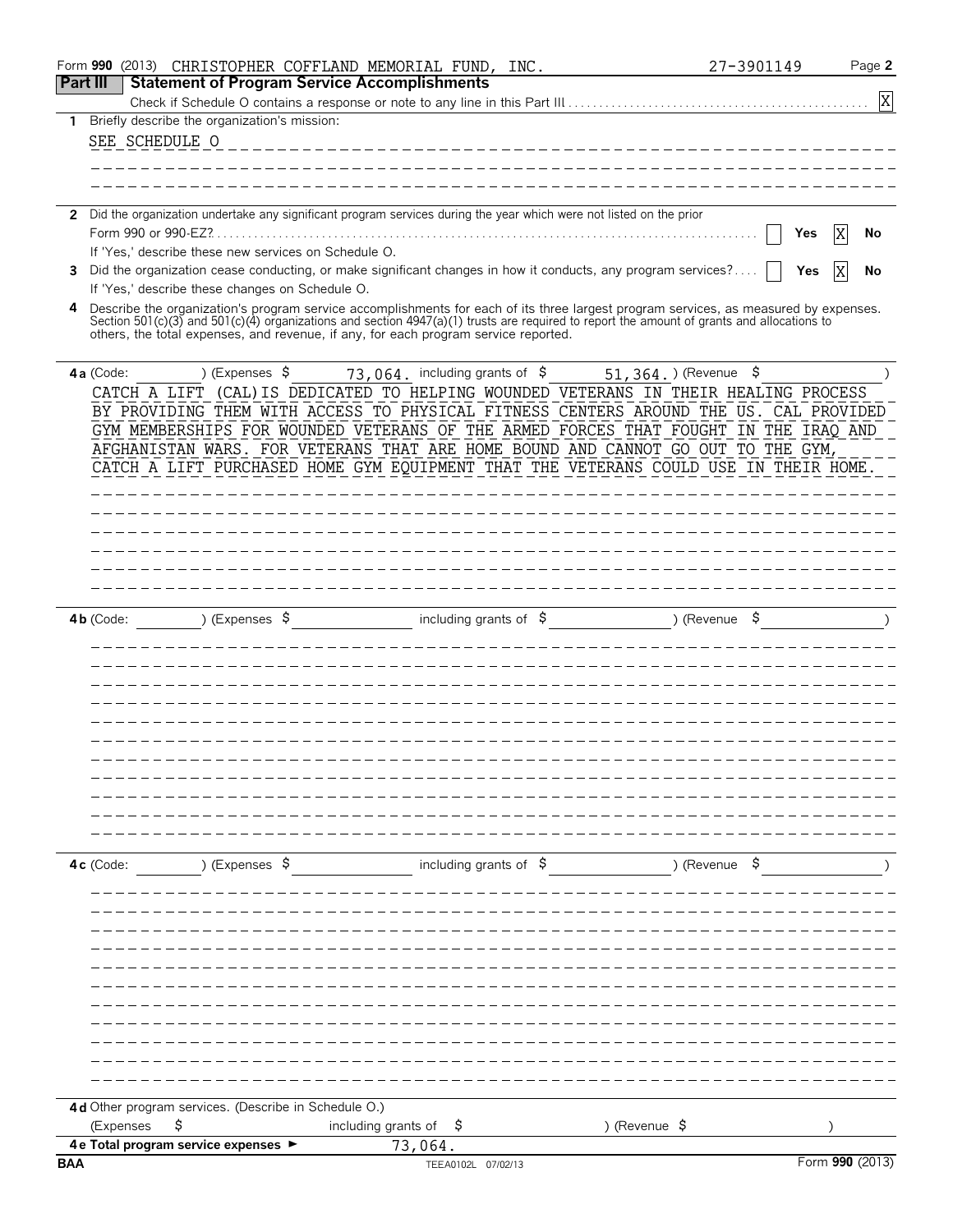|                 | Form 990 (2013)     |                                                      | CHRISTOPHER COFFLAND MEMORIAL FUND, INC.                                                                             |                                                                                                                                                                                                                                                                                    | 27-3901149 | Page 2          |
|-----------------|---------------------|------------------------------------------------------|----------------------------------------------------------------------------------------------------------------------|------------------------------------------------------------------------------------------------------------------------------------------------------------------------------------------------------------------------------------------------------------------------------------|------------|-----------------|
| <b>Part III</b> |                     |                                                      | <b>Statement of Program Service Accomplishments</b>                                                                  |                                                                                                                                                                                                                                                                                    |            | X               |
| $\mathbf{1}$    |                     | Briefly describe the organization's mission:         |                                                                                                                      |                                                                                                                                                                                                                                                                                    |            |                 |
|                 | SEE SCHEDULE O      |                                                      |                                                                                                                      |                                                                                                                                                                                                                                                                                    |            |                 |
|                 |                     |                                                      |                                                                                                                      |                                                                                                                                                                                                                                                                                    |            |                 |
|                 |                     |                                                      |                                                                                                                      |                                                                                                                                                                                                                                                                                    |            |                 |
|                 |                     |                                                      | 2 Did the organization undertake any significant program services during the year which were not listed on the prior |                                                                                                                                                                                                                                                                                    |            |                 |
|                 | Form 990 or 990-EZ? |                                                      |                                                                                                                      |                                                                                                                                                                                                                                                                                    | Yes        | X<br>No         |
|                 |                     | If 'Yes,' describe these new services on Schedule O. |                                                                                                                      |                                                                                                                                                                                                                                                                                    |            |                 |
| 3               |                     | If 'Yes,' describe these changes on Schedule O.      |                                                                                                                      | Did the organization cease conducting, or make significant changes in how it conducts, any program services?                                                                                                                                                                       | Yes        | X<br>No         |
| 4               |                     |                                                      | others, the total expenses, and revenue, if any, for each program service reported.                                  | Describe the organization's program service accomplishments for each of its three largest program services, as measured by expenses.<br>Section 501(c)(3) and 501(c)(4) organizations and section 4947(a)(1) trusts are required to report the amount of grants and allocations to |            |                 |
|                 | $4a$ (Code:         | ) (Expenses $$$                                      |                                                                                                                      | $73,064$ , including grants of $\sim$ 51, 364, ) (Revenue                                                                                                                                                                                                                          | \$         |                 |
|                 |                     |                                                      |                                                                                                                      | CATCH A LIFT (CAL) IS DEDICATED TO HELPING WOUNDED VETERANS IN THEIR HEALING PROCESS                                                                                                                                                                                               |            |                 |
|                 |                     |                                                      |                                                                                                                      | BY PROVIDING THEM WITH ACCESS TO PHYSICAL FITNESS CENTERS AROUND THE US. CAL PROVIDED<br>GYM MEMBERSHIPS FOR WOUNDED VETERANS OF THE ARMED FORCES THAT FOUGHT IN THE IRAQ AND                                                                                                      |            |                 |
|                 |                     |                                                      |                                                                                                                      | AFGHANISTAN WARS. FOR VETERANS THAT ARE HOME BOUND AND CANNOT GO OUT TO THE GYM,                                                                                                                                                                                                   |            |                 |
|                 |                     |                                                      |                                                                                                                      | CATCH A LIFT PURCHASED HOME GYM EQUIPMENT THAT THE VETERANS COULD USE IN THEIR HOME                                                                                                                                                                                                |            |                 |
|                 |                     |                                                      |                                                                                                                      |                                                                                                                                                                                                                                                                                    |            |                 |
|                 |                     |                                                      |                                                                                                                      |                                                                                                                                                                                                                                                                                    |            |                 |
|                 |                     |                                                      |                                                                                                                      |                                                                                                                                                                                                                                                                                    |            |                 |
|                 |                     |                                                      |                                                                                                                      |                                                                                                                                                                                                                                                                                    |            |                 |
|                 |                     |                                                      |                                                                                                                      |                                                                                                                                                                                                                                                                                    |            |                 |
|                 |                     |                                                      |                                                                                                                      |                                                                                                                                                                                                                                                                                    |            |                 |
|                 | $4b$ (Code:         | ) (Expenses $\sqrt{5}$                               | including grants of $\sqrt{5}$                                                                                       | ) (Revenue                                                                                                                                                                                                                                                                         |            |                 |
|                 |                     |                                                      |                                                                                                                      |                                                                                                                                                                                                                                                                                    |            |                 |
|                 |                     |                                                      |                                                                                                                      |                                                                                                                                                                                                                                                                                    |            |                 |
|                 |                     |                                                      |                                                                                                                      |                                                                                                                                                                                                                                                                                    |            |                 |
|                 |                     |                                                      |                                                                                                                      |                                                                                                                                                                                                                                                                                    |            |                 |
|                 |                     |                                                      |                                                                                                                      |                                                                                                                                                                                                                                                                                    |            |                 |
|                 |                     |                                                      |                                                                                                                      |                                                                                                                                                                                                                                                                                    |            |                 |
|                 |                     |                                                      |                                                                                                                      |                                                                                                                                                                                                                                                                                    |            |                 |
|                 |                     |                                                      |                                                                                                                      |                                                                                                                                                                                                                                                                                    |            |                 |
|                 |                     |                                                      |                                                                                                                      |                                                                                                                                                                                                                                                                                    |            |                 |
|                 |                     |                                                      |                                                                                                                      |                                                                                                                                                                                                                                                                                    |            |                 |
|                 | 4c (Code:           | ) (Expenses \$                                       | including grants of $\sqrt{5}$                                                                                       | ) (Revenue \$                                                                                                                                                                                                                                                                      |            |                 |
|                 |                     |                                                      |                                                                                                                      |                                                                                                                                                                                                                                                                                    |            |                 |
|                 |                     |                                                      |                                                                                                                      |                                                                                                                                                                                                                                                                                    |            |                 |
|                 |                     |                                                      |                                                                                                                      |                                                                                                                                                                                                                                                                                    |            |                 |
|                 |                     |                                                      |                                                                                                                      |                                                                                                                                                                                                                                                                                    |            |                 |
|                 |                     |                                                      |                                                                                                                      |                                                                                                                                                                                                                                                                                    |            |                 |
|                 |                     |                                                      |                                                                                                                      |                                                                                                                                                                                                                                                                                    |            |                 |
|                 |                     |                                                      |                                                                                                                      |                                                                                                                                                                                                                                                                                    |            |                 |
|                 |                     |                                                      |                                                                                                                      |                                                                                                                                                                                                                                                                                    |            |                 |
|                 |                     |                                                      |                                                                                                                      |                                                                                                                                                                                                                                                                                    |            |                 |
|                 |                     |                                                      |                                                                                                                      |                                                                                                                                                                                                                                                                                    |            |                 |
|                 |                     | 4d Other program services. (Describe in Schedule O.) |                                                                                                                      |                                                                                                                                                                                                                                                                                    |            |                 |
|                 | (Expenses           | \$                                                   | including grants of $\frac{1}{2}$                                                                                    | ) (Revenue \$                                                                                                                                                                                                                                                                      |            |                 |
| <b>BAA</b>      |                     | 4 e Total program service expenses ▶                 | 73,064.<br>TEEA0102L 07/02/13                                                                                        |                                                                                                                                                                                                                                                                                    |            | Form 990 (2013) |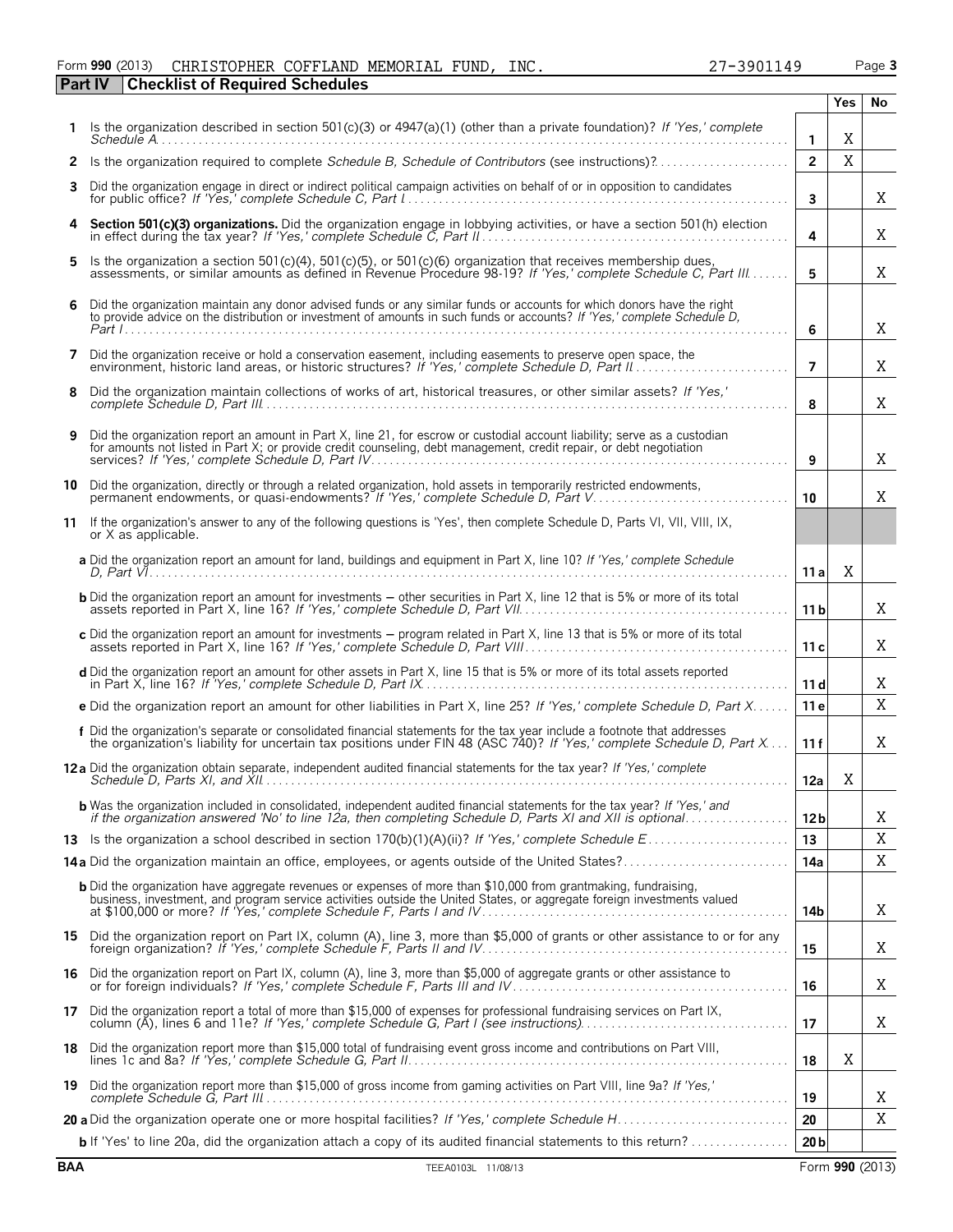### Form **990** (2013) CHRISTOPHER COFFLAND MEMORIAL FUND, INC.  $27-3901149$  Page 3 **Part IV Checklist of Required Schedules**

**1** Is the organization described in section 501(c)(3) or 4947(a)(1) (other than a private foundation)? *If 'Yes,' complete*

Schedule  $A$ 

| 2          | Is the organization required to complete Schedule B, Schedule of Contributors (see instructions)?                                                                                                                                                 | $\overline{2}$  | X |                 |
|------------|---------------------------------------------------------------------------------------------------------------------------------------------------------------------------------------------------------------------------------------------------|-----------------|---|-----------------|
| 3          | Did the organization engage in direct or indirect political campaign activities on behalf of or in opposition to candidates                                                                                                                       | $\mathbf{3}$    |   | Χ               |
| 4          | Section 501(c)(3) organizations. Did the organization engage in lobbying activities, or have a section 501(h) election                                                                                                                            | 4               |   | Χ               |
| 5          | Is the organization a section 501(c)(4), 501(c)(5), or 501(c)(6) organization that receives membership dues,<br>assessments, or similar amounts as defined in Revenue Procedure 98-19? If 'Yes,' complete Schedule C, Part III                    | 5               |   | Χ               |
| 6          | Did the organization maintain any donor advised funds or any similar funds or accounts for which donors have the right to provide advice on the distribution or investment of amounts in such funds or accounts? If 'Yes,' com                    | 6               |   | X               |
| 7          | Did the organization receive or hold a conservation easement, including easements to preserve open space, the<br>environment, historic land areas, or historic structures? If 'Yes,' complete Schedule D, Part II                                 | $\overline{7}$  |   | X               |
| 8          | Did the organization maintain collections of works of art, historical treasures, or other similar assets? If 'Yes,'                                                                                                                               | 8               |   | Χ               |
| 9          | Did the organization report an amount in Part X, line 21, for escrow or custodial account liability; serve as a custodian<br>for amounts not listed in Part X; or provide credit counseling, debt management, credit repair, or debt negotiation  | 9               |   | Χ               |
| 10         | Did the organization, directly or through a related organization, hold assets in temporarily restricted endowments,<br>permanent endowments, or quasi-endowments? If 'Yes,' complete Schedule D, Part V.                                          | 10              |   | Χ               |
|            | 11 If the organization's answer to any of the following questions is 'Yes', then complete Schedule D, Parts VI, VII, VIII, IX,<br>or X as applicable.                                                                                             |                 |   |                 |
|            | a Did the organization report an amount for land, buildings and equipment in Part X, line 10? If 'Yes,' complete Schedule                                                                                                                         | 11a             | Χ |                 |
|            | <b>b</b> Did the organization report an amount for investments - other securities in Part X, line 12 that is 5% or more of its total                                                                                                              | 11 <sub>b</sub> |   | Χ               |
|            | c Did the organization report an amount for investments - program related in Part X, line 13 that is 5% or more of its total                                                                                                                      | 11c             |   | X               |
|            | d Did the organization report an amount for other assets in Part X, line 15 that is 5% or more of its total assets reported                                                                                                                       | 11 <sub>d</sub> |   | Χ               |
|            | e Did the organization report an amount for other liabilities in Part X, line 25? If 'Yes,' complete Schedule D, Part X                                                                                                                           | 11e             |   | X               |
|            | f Did the organization's separate or consolidated financial statements for the tax year include a footnote that addresses<br>the organization's liability for uncertain tax positions under FIN 48 (ASC 740)? If 'Yes,' complete                  | 11f             |   | Χ               |
|            | 12 a Did the organization obtain separate, independent audited financial statements for the tax year? If 'Yes,' complete                                                                                                                          | 12a             | Χ |                 |
|            | <b>b</b> Was the organization included in consolidated, independent audited financial statements for the tax year? If 'Yes,' and if the organization answered 'No' to line 12a, then completing Schedule D, Parts XI and XII is opt               | 12 <sub>b</sub> |   | X               |
|            |                                                                                                                                                                                                                                                   | 13              |   | X               |
|            |                                                                                                                                                                                                                                                   | 14a             |   | $\mathbf X$     |
|            | <b>b</b> Did the organization have aggregate revenues or expenses of more than \$10,000 from grantmaking, fundraising,<br>business, investment, and program service activities outside the United States, or aggregate foreign investments valued | 14b             |   | Χ               |
|            | 15 Did the organization report on Part IX, column (A), line 3, more than \$5,000 of grants or other assistance to or for any                                                                                                                      | 15              |   | X               |
| 16         | Did the organization report on Part IX, column (A), line 3, more than \$5,000 of aggregate grants or other assistance to                                                                                                                          | 16              |   | X               |
| 17         | Did the organization report a total of more than \$15,000 of expenses for professional fundraising services on Part IX,                                                                                                                           | 17              |   | X               |
| 18         | Did the organization report more than \$15,000 total of fundraising event gross income and contributions on Part VIII,                                                                                                                            | 18              | Χ |                 |
| 19         | Did the organization report more than \$15,000 of gross income from gaming activities on Part VIII, line 9a? If 'Yes,'                                                                                                                            | 19              |   | Χ               |
|            |                                                                                                                                                                                                                                                   | 20              |   | X               |
|            | b If 'Yes' to line 20a, did the organization attach a copy of its audited financial statements to this return?                                                                                                                                    | 20 <sub>b</sub> |   |                 |
| <b>BAA</b> | TEEA0103L 11/08/13                                                                                                                                                                                                                                |                 |   | Form 990 (2013) |

**Yes No**

X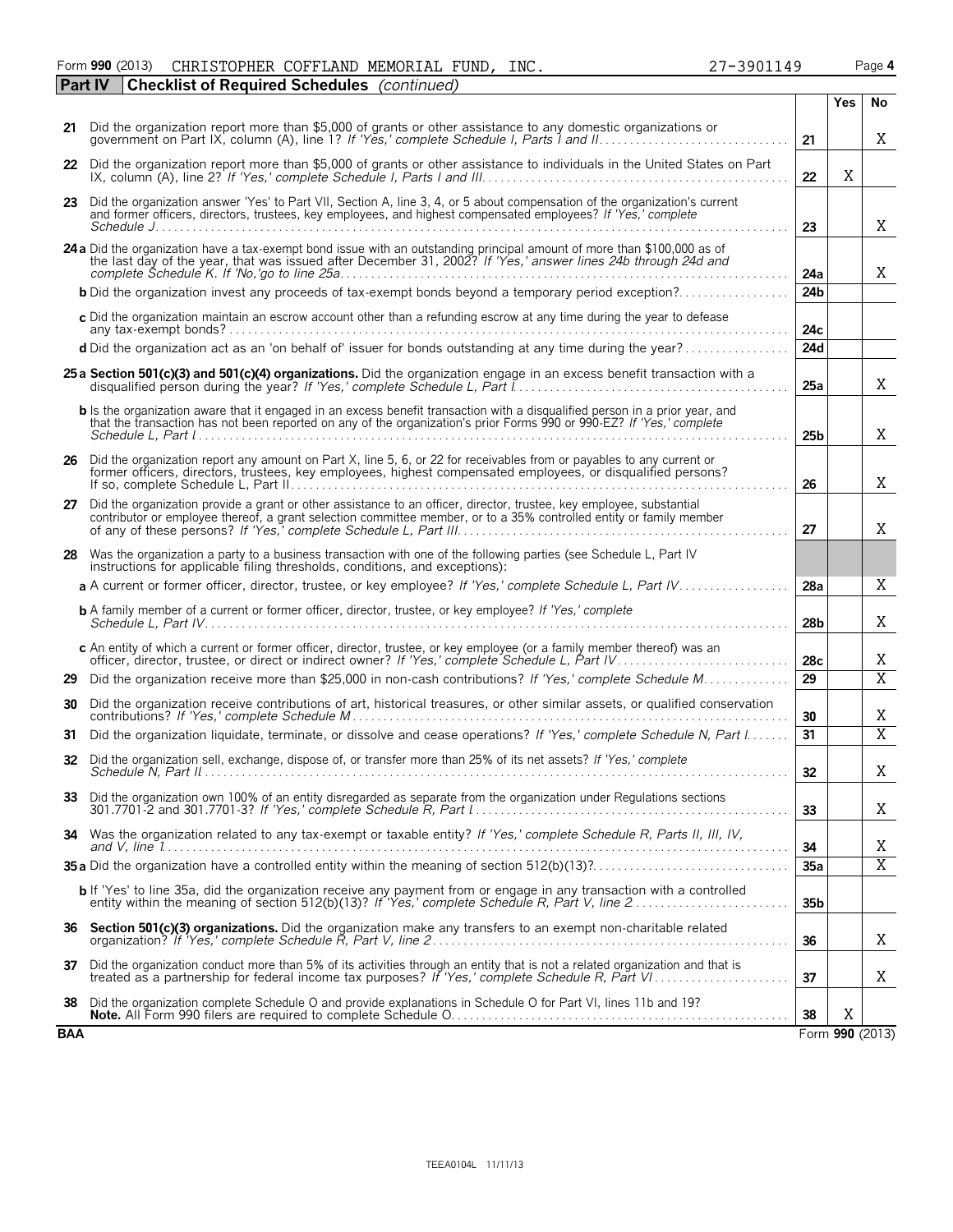|  | ISTOPHER COFFLAND MEMORIAL FUND, INC. |  | $27 - 39$ |
|--|---------------------------------------|--|-----------|
|  | of Required Schedules (continued)     |  |           |
|  |                                       |  |           |

|            |                                                                                                                                                                                                                                                              |                 | <b>Yes</b> | No              |
|------------|--------------------------------------------------------------------------------------------------------------------------------------------------------------------------------------------------------------------------------------------------------------|-----------------|------------|-----------------|
| 21         | Did the organization report more than \$5,000 of grants or other assistance to any domestic organizations or<br>government on Part IX, column (A), line 1? If 'Yes,' complete Schedule I, Parts 1 and II                                                     | 21              |            | Χ               |
|            | 22 Did the organization report more than \$5,000 of grants or other assistance to individuals in the United States on Part                                                                                                                                   | 22              | X          |                 |
| 23         | Did the organization answer 'Yes' to Part VII, Section A, line 3, 4, or 5 about compensation of the organization's current<br>and former officers, directors, trustees, key employees, and highest compensated employees? If 'Yes,' complete                 | 23              |            | X               |
|            | 24 a Did the organization have a tax-exempt bond issue with an outstanding principal amount of more than \$100,000 as of<br>the last day of the year, that was issued after December 31, 2002? If 'Yes,' answer lines 24b through 24d and                    | 24a             |            | X               |
|            |                                                                                                                                                                                                                                                              | 24 <sub>b</sub> |            |                 |
|            | c Did the organization maintain an escrow account other than a refunding escrow at any time during the year to defease                                                                                                                                       | 24c             |            |                 |
|            | d Did the organization act as an 'on behalf of' issuer for bonds outstanding at any time during the year?                                                                                                                                                    | 24d             |            |                 |
|            | 25 a Section 501(c)(3) and 501(c)(4) organizations. Did the organization engage in an excess benefit transaction with a                                                                                                                                      | 25a             |            | Χ               |
|            | <b>b</b> Is the organization aware that it engaged in an excess benefit transaction with a disqualified person in a prior year, and<br>that the transaction has not been reported on any of the organization's prior Forms 990 or 990-EZ? If 'Yes,' complete | 25 <sub>b</sub> |            | X               |
| 26         | Did the organization report any amount on Part X, line 5, 6, or 22 for receivables from or payables to any current or<br>former officers, directors, trustees, key employees, highest compensated employees, or disqualified persons?                        | 26              |            | X               |
|            | 27 Did the organization provide a grant or other assistance to an officer, director, trustee, key employee, substantial<br>contributor or employee thereof, a grant selection committee member, or to a 35% controlled entity or family member               | 27              |            | Χ               |
| 28         | Was the organization a party to a business transaction with one of the following parties (see Schedule L, Part IV<br>instructions for applicable filing thresholds, conditions, and exceptions):                                                             |                 |            |                 |
|            | a A current or former officer, director, trustee, or key employee? If 'Yes,' complete Schedule L, Part IV                                                                                                                                                    | 28a             |            | Χ               |
|            | <b>b</b> A family member of a current or former officer, director, trustee, or key employee? If 'Yes,' complete                                                                                                                                              | 28 <sub>b</sub> |            | Χ               |
|            | c An entity of which a current or former officer, director, trustee, or key employee (or a family member thereof) was an                                                                                                                                     | 28c             |            | X               |
| 29         | Did the organization receive more than \$25,000 in non-cash contributions? If 'Yes,' complete Schedule M                                                                                                                                                     | 29              |            | $\overline{X}$  |
| 30         | Did the organization receive contributions of art, historical treasures, or other similar assets, or qualified conservation                                                                                                                                  | 30              |            | Χ               |
| 31         | Did the organization liquidate, terminate, or dissolve and cease operations? If 'Yes,' complete Schedule N, Part I                                                                                                                                           | 31              |            | $\overline{X}$  |
| 32         | Did the organization sell, exchange, dispose of, or transfer more than 25% of its net assets? If 'Yes,' complete                                                                                                                                             | 32 <sub>2</sub> |            | Χ               |
|            | Did the organization own 100% of an entity disregarded as separate from the organization under Regulations sections                                                                                                                                          | 33              |            | Χ               |
| 34         | Was the organization related to any tax-exempt or taxable entity? If 'Yes,' complete Schedule R, Parts II, III, IV,                                                                                                                                          | 34              |            | X               |
|            |                                                                                                                                                                                                                                                              | 35a             |            | $\overline{X}$  |
|            | <b>b</b> If 'Yes' to line 35a, did the organization receive any payment from or engage in any transaction with a controlled entity within the meaning of section 512(b)(13)? If 'Yes,' complete Schedule R, Part V, line 2                                   | 35 <sub>b</sub> |            |                 |
| 36         | Section 501(c)(3) organizations. Did the organization make any transfers to an exempt non-charitable related                                                                                                                                                 | 36              |            | Χ               |
| 37         | Did the organization conduct more than 5% of its activities through an entity that is not a related organization and that is                                                                                                                                 | 37              |            | Χ               |
| 38         | Did the organization complete Schedule O and provide explanations in Schedule O for Part VI, lines 11b and 19?                                                                                                                                               | 38              | X          |                 |
| <b>BAA</b> |                                                                                                                                                                                                                                                              |                 |            | Form 990 (2013) |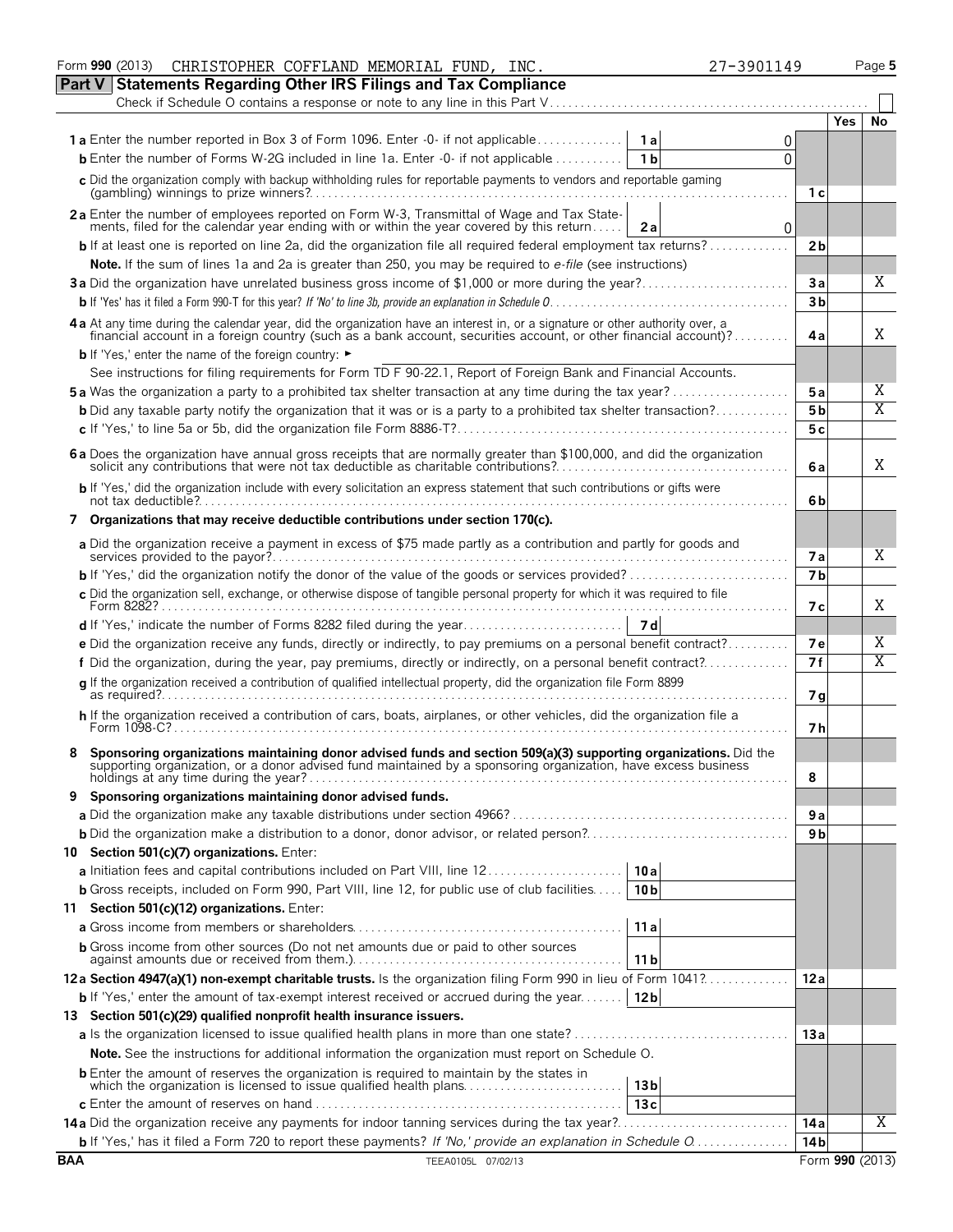| CHRISTOPHER COFFLAND MEMORIAL FUND, INC.<br>27-3901149<br>Form 990 (2013)                                                                                                                                                                        |                 |            | Page 5 |
|--------------------------------------------------------------------------------------------------------------------------------------------------------------------------------------------------------------------------------------------------|-----------------|------------|--------|
| Part V<br><b>Statements Regarding Other IRS Filings and Tax Compliance</b>                                                                                                                                                                       |                 |            |        |
| Check if Schedule O contains a response or note to any line in this Part V                                                                                                                                                                       |                 |            |        |
|                                                                                                                                                                                                                                                  |                 | <b>Yes</b> | No     |
| <b>1a</b> Enter the number reported in Box 3 of Form 1096. Enter -0- if not applicable<br>1a<br>0                                                                                                                                                |                 |            |        |
| <b>b</b> Enter the number of Forms W-2G included in line 1a. Enter -0- if not applicable $\ldots$<br>1 <sub>b</sub><br>$\Omega$                                                                                                                  |                 |            |        |
| c Did the organization comply with backup withholding rules for reportable payments to vendors and reportable gaming                                                                                                                             | 1 с             |            |        |
| 2a Enter the number of employees reported on Form W-3, Transmittal of Wage and Tax State-                                                                                                                                                        |                 |            |        |
| ments, filed for the calendar year ending with or within the year covered by this return<br>2a<br>0                                                                                                                                              |                 |            |        |
| <b>b</b> If at least one is reported on line 2a, did the organization file all required federal employment tax returns?                                                                                                                          | 2 <sub>b</sub>  |            |        |
| Note. If the sum of lines 1a and 2a is greater than 250, you may be required to e-file (see instructions)                                                                                                                                        |                 |            |        |
|                                                                                                                                                                                                                                                  | 3a              |            | X      |
|                                                                                                                                                                                                                                                  | 3 <sub>b</sub>  |            |        |
| 4a At any time during the calendar year, did the organization have an interest in, or a signature or other authority over, a<br>financial account in a foreign country (such as a bank account, securities account, or other financial account)? | 4a              |            | Χ      |
| <b>b</b> If 'Yes,' enter the name of the foreign country: ►                                                                                                                                                                                      |                 |            |        |
| See instructions for filing requirements for Form TD F 90-22.1, Report of Foreign Bank and Financial Accounts.                                                                                                                                   |                 |            |        |
| <b>5a</b> Was the organization a party to a prohibited tax shelter transaction at any time during the tax year?                                                                                                                                  | 5 a             |            | Χ      |
| <b>b</b> Did any taxable party notify the organization that it was or is a party to a prohibited tax shelter transaction?                                                                                                                        | 5 b             |            | Χ      |
|                                                                                                                                                                                                                                                  | 5с              |            |        |
|                                                                                                                                                                                                                                                  |                 |            |        |
| 6 a Does the organization have annual gross receipts that are normally greater than \$100,000, and did the organization solicit any contributions that were not tax deductible as charitable contributions?                                      | 6 a             |            | Χ      |
| b If 'Yes,' did the organization include with every solicitation an express statement that such contributions or gifts were                                                                                                                      | 6b              |            |        |
| 7 Organizations that may receive deductible contributions under section 170(c).                                                                                                                                                                  |                 |            |        |
| a Did the organization receive a payment in excess of \$75 made partly as a contribution and partly for goods and                                                                                                                                |                 |            |        |
|                                                                                                                                                                                                                                                  | 7а              |            | Χ      |
|                                                                                                                                                                                                                                                  | 7 <sub>b</sub>  |            |        |
| c Did the organization sell, exchange, or otherwise dispose of tangible personal property for which it was required to file                                                                                                                      | 7 с             |            | Χ      |
| - 7 d                                                                                                                                                                                                                                            |                 |            |        |
| e Did the organization receive any funds, directly or indirectly, to pay premiums on a personal benefit contract?                                                                                                                                | 7e              |            | Χ      |
| f Did the organization, during the year, pay premiums, directly or indirectly, on a personal benefit contract?                                                                                                                                   | 7f              |            | Χ      |
| q If the organization received a contribution of qualified intellectual property, did the organization file Form 8899                                                                                                                            |                 |            |        |
|                                                                                                                                                                                                                                                  | 7g              |            |        |
| h If the organization received a contribution of cars, boats, airplanes, or other vehicles, did the organization file a                                                                                                                          | 7 h             |            |        |
|                                                                                                                                                                                                                                                  |                 |            |        |
| Sponsoring organizations maintaining donor advised funds and section 509(a)(3) supporting organizations. Did the supporting organization, or a donor advised fund maintained by a sponsoring organization, have excess busines                   | 8               |            |        |
| 9 Sponsoring organizations maintaining donor advised funds.                                                                                                                                                                                      |                 |            |        |
|                                                                                                                                                                                                                                                  | 9a              |            |        |
|                                                                                                                                                                                                                                                  | 9 <sub>b</sub>  |            |        |
| 10 Section 501(c)(7) organizations. Enter:                                                                                                                                                                                                       |                 |            |        |
| a Initiation fees and capital contributions included on Part VIII, line 12<br>10a                                                                                                                                                                |                 |            |        |
| <b>b</b> Gross receipts, included on Form 990, Part VIII, line 12, for public use of club facilities<br>10 <sub>b</sub>                                                                                                                          |                 |            |        |
| 11 Section 501(c)(12) organizations. Enter:                                                                                                                                                                                                      |                 |            |        |
| 11a                                                                                                                                                                                                                                              |                 |            |        |
| <b>b</b> Gross income from other sources (Do not net amounts due or paid to other sources                                                                                                                                                        |                 |            |        |
| 11 <sub>b</sub>                                                                                                                                                                                                                                  |                 |            |        |
| 12a Section 4947(a)(1) non-exempt charitable trusts. Is the organization filing Form 990 in lieu of Form 1041?                                                                                                                                   | 12a             |            |        |
| <b>b</b> If 'Yes,' enter the amount of tax-exempt interest received or accrued during the year<br>12 <sub>b</sub>                                                                                                                                |                 |            |        |
| 13 Section 501(c)(29) qualified nonprofit health insurance issuers.                                                                                                                                                                              |                 |            |        |
| a Is the organization licensed to issue qualified health plans in more than one state?                                                                                                                                                           | 13a             |            |        |
| Note. See the instructions for additional information the organization must report on Schedule O.                                                                                                                                                |                 |            |        |
| <b>b</b> Enter the amount of reserves the organization is required to maintain by the states in                                                                                                                                                  |                 |            |        |
| which the organization is licensed to issue qualified health plans<br>13 <sub>b</sub>                                                                                                                                                            |                 |            |        |
| 13c                                                                                                                                                                                                                                              |                 |            |        |
| 14a Did the organization receive any payments for indoor tanning services during the tax year?                                                                                                                                                   | 14a             |            | X      |
| <b>b</b> If 'Yes,' has it filed a Form 720 to report these payments? If 'No,' provide an explanation in Schedule O                                                                                                                               | 14 <sub>b</sub> |            |        |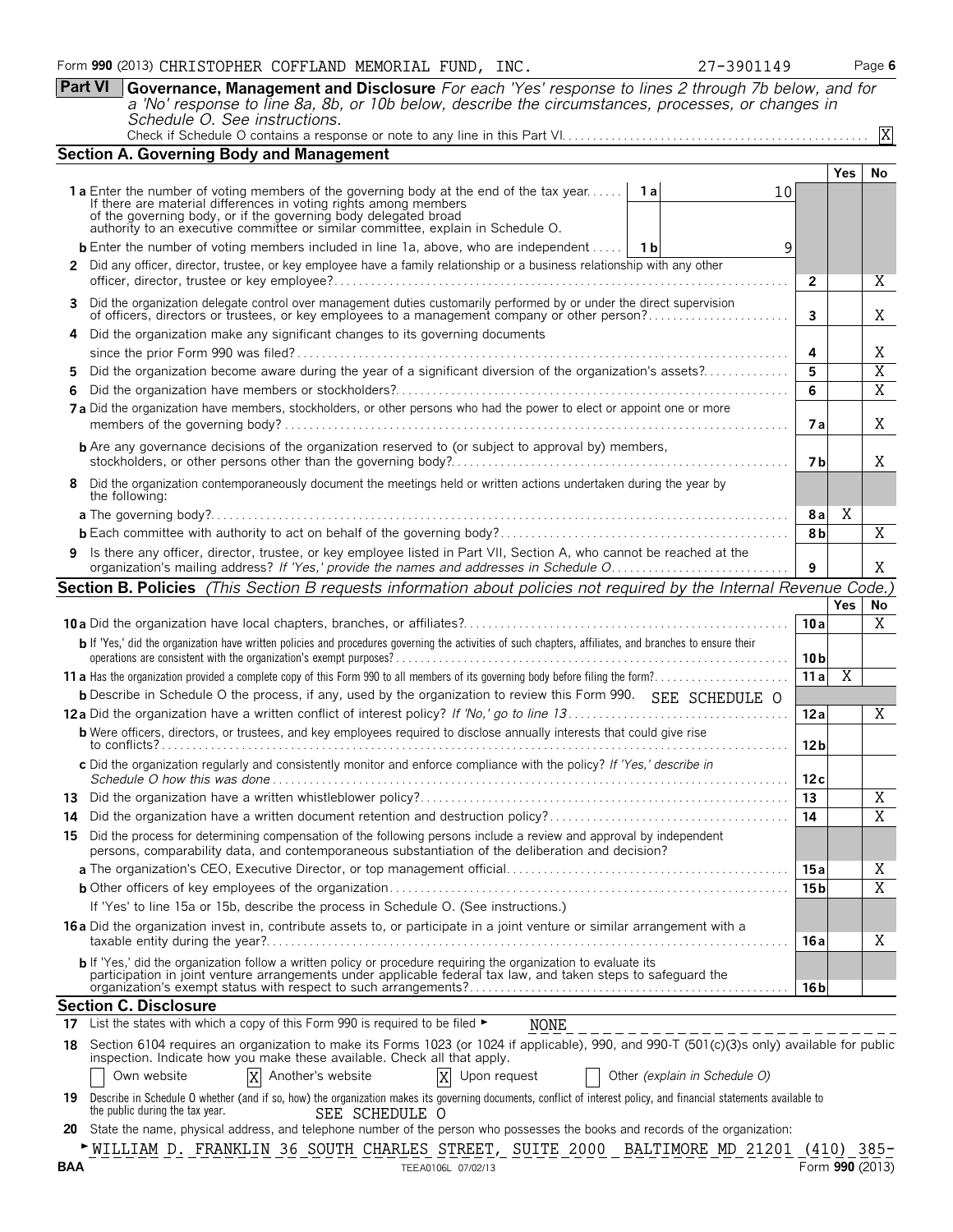**Part VI Governance, Management and Disclosure** *For each 'Yes' response to lines 2 through 7b below, and for a 'No' response to line 8a, 8b, or 10b below, describe the circumstances, processes, or changes in Schedule O. See instructions.*

|  | Check if Schedule O contains a response or note to any line in this Part VI |  |
|--|-----------------------------------------------------------------------------|--|

|--|--|--|

|     | <b>Section A. Governing Body and Management</b>                                                                                                                                                                                           |                 |                |                     |  |  |  |  |  |
|-----|-------------------------------------------------------------------------------------------------------------------------------------------------------------------------------------------------------------------------------------------|-----------------|----------------|---------------------|--|--|--|--|--|
|     |                                                                                                                                                                                                                                           |                 | Yes            | No                  |  |  |  |  |  |
|     | 1a Enter the number of voting members of the governing body at the end of the tax year<br>1а<br>10                                                                                                                                        |                 |                |                     |  |  |  |  |  |
|     | If there are material differences in voting rights among members                                                                                                                                                                          |                 |                |                     |  |  |  |  |  |
|     | of the governing body, or if the governing body delegated broad<br>authority to an executive committee or similar committee, explain in Schedule O.                                                                                       |                 |                |                     |  |  |  |  |  |
|     | <b>b</b> Enter the number of voting members included in line 1a, above, who are independent $\mid$ 1b<br>9                                                                                                                                |                 |                |                     |  |  |  |  |  |
|     | 2 Did any officer, director, trustee, or key employee have a family relationship or a business relationship with any other                                                                                                                | 2               |                | X                   |  |  |  |  |  |
| 3   | Did the organization delegate control over management duties customarily performed by or under the direct supervision<br>of officers, directors or trustees, or key employees to a management company or other person?                    | $\mathbf{3}$    |                | X                   |  |  |  |  |  |
|     | Did the organization make any significant changes to its governing documents                                                                                                                                                              | 4               |                |                     |  |  |  |  |  |
| 5   |                                                                                                                                                                                                                                           | 5               |                | Χ<br>$\overline{X}$ |  |  |  |  |  |
| 6   | Did the organization become aware during the year of a significant diversion of the organization's assets?                                                                                                                                |                 |                |                     |  |  |  |  |  |
|     | 7a Did the organization have members, stockholders, or other persons who had the power to elect or appoint one or more                                                                                                                    |                 |                |                     |  |  |  |  |  |
|     | <b>b</b> Are any governance decisions of the organization reserved to (or subject to approval by) members,                                                                                                                                |                 |                |                     |  |  |  |  |  |
| 8   | Did the organization contemporaneously document the meetings held or written actions undertaken during the year by<br>the following:                                                                                                      |                 |                |                     |  |  |  |  |  |
|     |                                                                                                                                                                                                                                           | 8 a             | Χ              |                     |  |  |  |  |  |
|     |                                                                                                                                                                                                                                           |                 |                |                     |  |  |  |  |  |
|     | Is there any officer, director, trustee, or key employee listed in Part VII, Section A, who cannot be reached at the<br>9                                                                                                                 |                 |                |                     |  |  |  |  |  |
|     | Section B. Policies (This Section B requests information about policies not required by the Internal Revenue Code.)                                                                                                                       |                 |                |                     |  |  |  |  |  |
|     |                                                                                                                                                                                                                                           |                 | <b>Yes</b>     | No                  |  |  |  |  |  |
|     |                                                                                                                                                                                                                                           | 10a             |                | X                   |  |  |  |  |  |
|     | b If 'Yes,' did the organization have written policies and procedures governing the activities of such chapters, affiliates, and branches to ensure their                                                                                 | 10 <sub>b</sub> |                |                     |  |  |  |  |  |
|     |                                                                                                                                                                                                                                           | 11a             | $\overline{X}$ |                     |  |  |  |  |  |
|     | <b>b</b> Describe in Schedule O the process, if any, used by the organization to review this Form 990. SEE SCHEDULE O                                                                                                                     |                 |                |                     |  |  |  |  |  |
|     |                                                                                                                                                                                                                                           | 12a             |                | $\overline{X}$      |  |  |  |  |  |
|     | <b>b</b> Were officers, directors, or trustees, and key employees required to disclose annually interests that could give rise                                                                                                            | 12 b            |                |                     |  |  |  |  |  |
|     | c Did the organization regularly and consistently monitor and enforce compliance with the policy? If 'Yes,' describe in                                                                                                                   | 12c             |                |                     |  |  |  |  |  |
|     |                                                                                                                                                                                                                                           | 13              |                | Χ                   |  |  |  |  |  |
|     |                                                                                                                                                                                                                                           | 14              |                | $\overline{X}$      |  |  |  |  |  |
|     | 15 Did the process for determining compensation of the following persons include a review and approval by independent<br>persons, comparability data, and contemporaneous substantiation of the deliberation and decision?                |                 |                |                     |  |  |  |  |  |
|     |                                                                                                                                                                                                                                           | 15 a            |                | Χ                   |  |  |  |  |  |
|     |                                                                                                                                                                                                                                           | 15 <sub>b</sub> |                | $\overline{X}$      |  |  |  |  |  |
|     | If 'Yes' to line 15a or 15b, describe the process in Schedule O. (See instructions.)                                                                                                                                                      |                 |                |                     |  |  |  |  |  |
|     | <b>16a</b> Did the organization invest in, contribute assets to, or participate in a joint venture or similar arrangement with a                                                                                                          | 16 a            |                | Χ                   |  |  |  |  |  |
|     | <b>b</b> If 'Yes,' did the organization follow a written policy or procedure requiring the organization to evaluate its<br>participation in joint venture arrangements under applicable federal tax law, and taken steps to safeguard the | 16 b            |                |                     |  |  |  |  |  |
|     | <b>Section C. Disclosure</b>                                                                                                                                                                                                              |                 |                |                     |  |  |  |  |  |
| 17  | List the states with which a copy of this Form 990 is required to be filed ►<br>NONE<br>____________________                                                                                                                              |                 |                |                     |  |  |  |  |  |
| 18  | Section 6104 requires an organization to make its Forms 1023 (or 1024 if applicable), 990, and 990-T (501(c)(3)s only) available for public<br>inspection. Indicate how you make these available. Check all that apply.                   |                 |                |                     |  |  |  |  |  |
|     | Own website<br>X Another's website<br>X Upon request<br>Other (explain in Schedule O)                                                                                                                                                     |                 |                |                     |  |  |  |  |  |
| 19  | Describe in Schedule O whether (and if so, how) the organization makes its governing documents, conflict of interest policy, and financial statements available to<br>the public during the tax year.<br>SEE SCHEDULE O                   |                 |                |                     |  |  |  |  |  |
| 20  | State the name, physical address, and telephone number of the person who possesses the books and records of the organization:                                                                                                             |                 |                |                     |  |  |  |  |  |
|     | NILLIAM D. FRANKLIN 36 SOUTH CHARLES STREET, SUITE 2000 BALTIMORE MD 21201 (410) 385-                                                                                                                                                     |                 |                |                     |  |  |  |  |  |
| BAA | TEEA0106L 07/02/13                                                                                                                                                                                                                        | Form 990 (2013) |                |                     |  |  |  |  |  |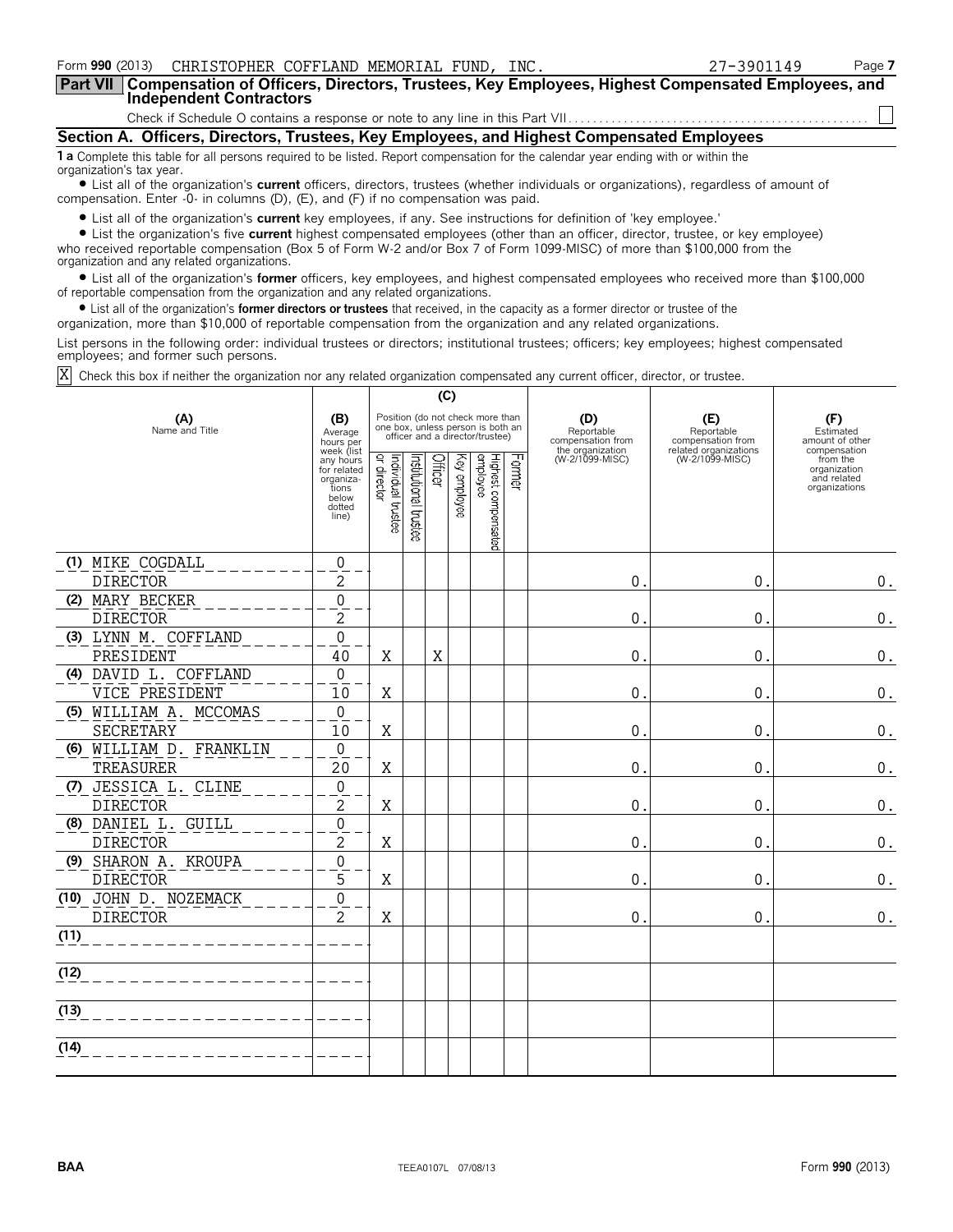| Form 990 (2013) CHRISTOPHER COFFLAND MEMORIAL FUND, INC.                                                                                                                                                                    | 27-3901149 | Page 7 |  |  |  |  |  |
|-----------------------------------------------------------------------------------------------------------------------------------------------------------------------------------------------------------------------------|------------|--------|--|--|--|--|--|
| Part VII   Compensation of Officers, Directors, Trustees, Key Employees, Highest Compensated Employees, and<br>Independent Contractors                                                                                      |            |        |  |  |  |  |  |
|                                                                                                                                                                                                                             |            |        |  |  |  |  |  |
| Section A. Officers, Directors, Trustees, Key Employees, and Highest Compensated Employees                                                                                                                                  |            |        |  |  |  |  |  |
| 1 a Complete this table for all persons required to be listed. Report compensation for the calendar year ending with or within the<br>organization's tax year.                                                              |            |        |  |  |  |  |  |
| • List all of the organization's current officers, directors, trustees (whether individuals or organizations), regardless of amount of<br>compensation. Enter -0- in columns (D), (E), and (F) if no compensation was paid. |            |        |  |  |  |  |  |

? List all of the organization's **current** key employees, if any. See instructions for definition of 'key employee.'

? List the organization's five **current** highest compensated employees (other than an officer, director, trustee, or key employee) who received reportable compensation (Box 5 of Form W-2 and/or Box 7 of Form 1099-MISC) of more than \$100,000 from the organization and any related organizations.

? List all of the organization's **former** officers, key employees, and highest compensated employees who received more than \$100,000 of reportable compensation from the organization and any related organizations.

? List all of the organization's **former directors or trustees** that received, in the capacity as a former director or trustee of the

organization, more than \$10,000 of reportable compensation from the organization and any related organizations.

List persons in the following order: individual trustees or directors; institutional trustees; officers; key employees; highest compensated employees; and former such persons.

Check this box if neither the organization nor any related organization compensated any current officer, director, or trustee. X

|                       |                         |                                                                                          | (C)                               |                       |         |                 |                                                                                                          |        |                                        |                                          |                                                                          |
|-----------------------|-------------------------|------------------------------------------------------------------------------------------|-----------------------------------|-----------------------|---------|-----------------|----------------------------------------------------------------------------------------------------------|--------|----------------------------------------|------------------------------------------|--------------------------------------------------------------------------|
| (A)<br>Name and Title |                         | (B)<br>Average<br>hours per                                                              |                                   |                       |         |                 | Position (do not check more than<br>one box, unless person is both an<br>officer and a director/trustee) |        | (D)<br>Reportable<br>compensation from | (E)<br>Reportable<br>compensation from   | (F)<br>Estimated<br>amount of other                                      |
|                       |                         | week (list<br>any hours<br>for related<br>organiza-<br>tions<br>below<br>dotted<br>line) | Individual trustee<br>or director | Institutional trustee | Officer | Кeу<br>employee | Highest compensated<br>employee                                                                          | Former | the organization<br>(W-2/1099-MISC)    | related organizations<br>(W-2/1099-MISC) | compensation<br>from the<br>organization<br>and related<br>organizations |
|                       | (1) MIKE COGDALL        | 0                                                                                        |                                   |                       |         |                 |                                                                                                          |        |                                        |                                          |                                                                          |
|                       | <b>DIRECTOR</b>         | 2                                                                                        |                                   |                       |         |                 |                                                                                                          |        | $\mathbf{0}$ .                         | 0.                                       | $\boldsymbol{0}$ .                                                       |
|                       | (2) MARY BECKER         | 0                                                                                        |                                   |                       |         |                 |                                                                                                          |        |                                        |                                          |                                                                          |
|                       | <b>DIRECTOR</b>         | $\overline{2}$                                                                           |                                   |                       |         |                 |                                                                                                          |        | $\mathbf 0$ .                          | $\mathbf{0}$ .                           | $\boldsymbol{0}$ .                                                       |
|                       | (3) LYNN M. COFFLAND    | 0                                                                                        |                                   |                       |         |                 |                                                                                                          |        |                                        |                                          |                                                                          |
|                       | PRESIDENT               | 40                                                                                       | Χ                                 |                       | X       |                 |                                                                                                          |        | $\mathbf 0$ .                          | 0.                                       | $\boldsymbol{0}$ .                                                       |
|                       | (4) DAVID L. COFFLAND   | $\mathbf 0$                                                                              |                                   |                       |         |                 |                                                                                                          |        |                                        |                                          |                                                                          |
|                       | VICE PRESIDENT          | 10                                                                                       | Χ                                 |                       |         |                 |                                                                                                          |        | $\theta$ .                             | 0.                                       | $\boldsymbol{0}$ .                                                       |
|                       | (5) WILLIAM A. MCCOMAS  | 0                                                                                        |                                   |                       |         |                 |                                                                                                          |        |                                        |                                          |                                                                          |
|                       | SECRETARY               | 10                                                                                       | X                                 |                       |         |                 |                                                                                                          |        | $\mathbf 0$ .                          | 0.                                       | $\boldsymbol{0}$ .                                                       |
|                       | (6) WILLIAM D. FRANKLIN | 0                                                                                        |                                   |                       |         |                 |                                                                                                          |        |                                        |                                          |                                                                          |
|                       | TREASURER               | 20                                                                                       | Χ                                 |                       |         |                 |                                                                                                          |        | $\mathbf{0}$ .                         | $\mathbf 0$ .                            | $\boldsymbol{0}$ .                                                       |
|                       | (7) JESSICA L. CLINE    | $\mathbf 0$                                                                              |                                   |                       |         |                 |                                                                                                          |        |                                        |                                          |                                                                          |
|                       | <b>DIRECTOR</b>         | 2                                                                                        | Χ                                 |                       |         |                 |                                                                                                          |        | $\overline{0}$ .                       | 0.                                       | 0.                                                                       |
|                       | (8) DANIEL L. GUILL     | 0                                                                                        |                                   |                       |         |                 |                                                                                                          |        |                                        |                                          |                                                                          |
|                       | <b>DIRECTOR</b>         | 2                                                                                        | Χ                                 |                       |         |                 |                                                                                                          |        | $\mathbf 0$ .                          | 0.                                       | $\boldsymbol{0}$ .                                                       |
|                       | (9) SHARON A. KROUPA    | 0                                                                                        |                                   |                       |         |                 |                                                                                                          |        |                                        |                                          |                                                                          |
|                       | <b>DIRECTOR</b>         | 5                                                                                        | Χ                                 |                       |         |                 |                                                                                                          |        | $0$ .                                  | 0.                                       | 0.                                                                       |
|                       | (10) JOHN D. NOZEMACK   | 0                                                                                        |                                   |                       |         |                 |                                                                                                          |        |                                        |                                          |                                                                          |
|                       | <b>DIRECTOR</b>         | 2                                                                                        | X                                 |                       |         |                 |                                                                                                          |        | 0.                                     | 0.                                       | $\boldsymbol{0}$ .                                                       |
| (11)                  |                         |                                                                                          |                                   |                       |         |                 |                                                                                                          |        |                                        |                                          |                                                                          |
| (12)                  |                         |                                                                                          |                                   |                       |         |                 |                                                                                                          |        |                                        |                                          |                                                                          |
| (13)                  |                         |                                                                                          |                                   |                       |         |                 |                                                                                                          |        |                                        |                                          |                                                                          |
| (14)                  |                         |                                                                                          |                                   |                       |         |                 |                                                                                                          |        |                                        |                                          |                                                                          |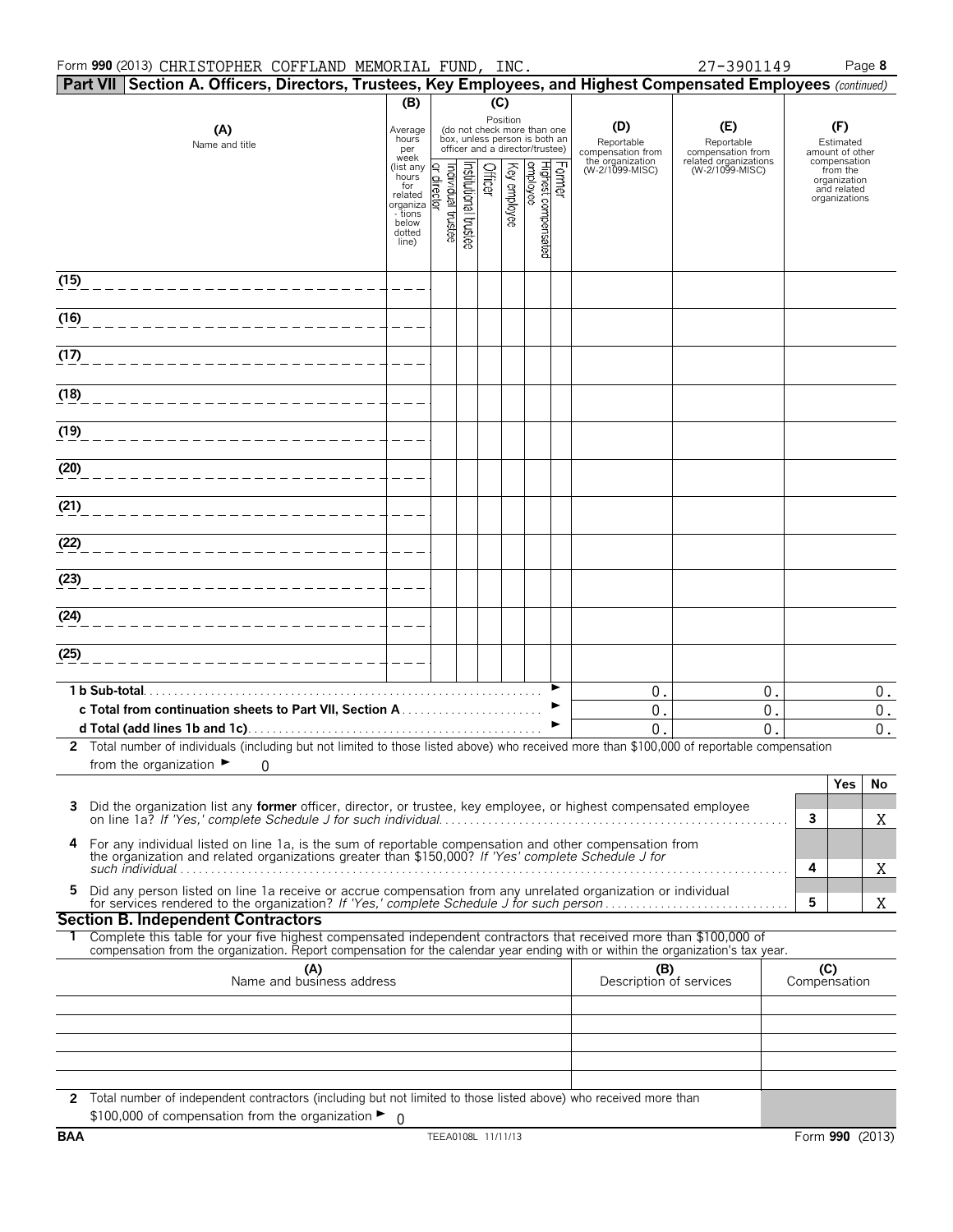|      | Form 990 (2013) CHRISTOPHER COFFLAND MEMORIAL FUND, INC.                                                        |                                                                                                 |                    |                                                                                                             |         |              |                                 |        |                                        | 27-3901149                                                                         | Page 8                                                                   |
|------|-----------------------------------------------------------------------------------------------------------------|-------------------------------------------------------------------------------------------------|--------------------|-------------------------------------------------------------------------------------------------------------|---------|--------------|---------------------------------|--------|----------------------------------------|------------------------------------------------------------------------------------|--------------------------------------------------------------------------|
|      | Part VII Section A. Officers, Directors, Trustees, Key Employees, and Highest Compensated Employees (continued) |                                                                                                 |                    |                                                                                                             |         |              |                                 |        |                                        |                                                                                    |                                                                          |
|      |                                                                                                                 | (B)                                                                                             |                    |                                                                                                             | (C)     |              |                                 |        |                                        |                                                                                    |                                                                          |
|      | (A)<br>Name and title                                                                                           | Average<br>hours<br>per                                                                         |                    | Position<br>(do not check more than one<br>box, unless person is both an<br>officer and a director/trustee) |         |              |                                 |        | (D)<br>Reportable<br>compensation from | (E)<br>Reportable<br>compensation from<br>related organizations<br>(W-2/1099-MISC) | (F)<br>Estimated<br>amount of other                                      |
|      |                                                                                                                 | week<br>(list any<br>hours<br>for<br>related<br>organiza<br>- tions<br>below<br>dotted<br>line) | Individual trustee | nstitutional trustee                                                                                        | Officer | Key employee | Highest compensated<br>employee | Former | the organization<br>(W-2/1099-MISC)    |                                                                                    | compensation<br>from the<br>organization<br>and related<br>organizations |
| (15) |                                                                                                                 |                                                                                                 |                    |                                                                                                             |         |              |                                 |        |                                        |                                                                                    |                                                                          |
| (16) |                                                                                                                 |                                                                                                 |                    |                                                                                                             |         |              |                                 |        |                                        |                                                                                    |                                                                          |
| (17) |                                                                                                                 |                                                                                                 |                    |                                                                                                             |         |              |                                 |        |                                        |                                                                                    |                                                                          |
| (18) |                                                                                                                 |                                                                                                 |                    |                                                                                                             |         |              |                                 |        |                                        |                                                                                    |                                                                          |
| (19) |                                                                                                                 |                                                                                                 |                    |                                                                                                             |         |              |                                 |        |                                        |                                                                                    |                                                                          |
| (20) |                                                                                                                 |                                                                                                 |                    |                                                                                                             |         |              |                                 |        |                                        |                                                                                    |                                                                          |
| (21) |                                                                                                                 |                                                                                                 |                    |                                                                                                             |         |              |                                 |        |                                        |                                                                                    |                                                                          |
| (22) |                                                                                                                 |                                                                                                 |                    |                                                                                                             |         |              |                                 |        |                                        |                                                                                    |                                                                          |
| (23) |                                                                                                                 |                                                                                                 |                    |                                                                                                             |         |              |                                 |        |                                        |                                                                                    |                                                                          |
| (24) |                                                                                                                 |                                                                                                 |                    |                                                                                                             |         |              |                                 |        |                                        |                                                                                    |                                                                          |

| (25)                                                                                                                                      |  |  |  |  |  |
|-------------------------------------------------------------------------------------------------------------------------------------------|--|--|--|--|--|
|                                                                                                                                           |  |  |  |  |  |
| 1 b Sub-total                                                                                                                             |  |  |  |  |  |
|                                                                                                                                           |  |  |  |  |  |
|                                                                                                                                           |  |  |  |  |  |
| Total number of individuals (including but not limited to those listed above) who received more than \$100,000 of reportable compensation |  |  |  |  |  |

| 2 Total number of individuals (including but not limited to those listed above) who received more than \$100,000 of reportable compensation |  |  |  |
|---------------------------------------------------------------------------------------------------------------------------------------------|--|--|--|
| from the organization $\blacktriangleright$ 0                                                                                               |  |  |  |

|                                                                                                                                                                                                               | Yes. |  |
|---------------------------------------------------------------------------------------------------------------------------------------------------------------------------------------------------------------|------|--|
|                                                                                                                                                                                                               |      |  |
| 4 For any individual listed on line 1a, is the sum of reportable compensation and other compensation from the organization and related organizations greater than \$150,000? If 'Yes' complete Schedule J for |      |  |
| such individual                                                                                                                                                                                               |      |  |
| 5 Did any person listed on line 1a receive or accrue compensation from any unrelated organization or individual<br>for services rendered to the organization? If 'Yes,' complete Schedule J for such person   |      |  |
|                                                                                                                                                                                                               |      |  |

# **Section B. Independent Contractors**

1 Complete this table for your five highest compensated independent contractors that received more than \$100,000 of compensation from the organization. Report compensation for the calendar year ending with or within the or

| (A)<br>Name and business address                                                                                   | (B)<br>Description of services | (C)<br>Compensation |
|--------------------------------------------------------------------------------------------------------------------|--------------------------------|---------------------|
|                                                                                                                    |                                |                     |
|                                                                                                                    |                                |                     |
|                                                                                                                    |                                |                     |
|                                                                                                                    |                                |                     |
|                                                                                                                    |                                |                     |
| 2 Total number of independent contractors (including but not limited to those listed above) who received more than |                                |                     |
| \$100,000 of compensation from the organization $\blacktriangleright$ 0                                            |                                |                     |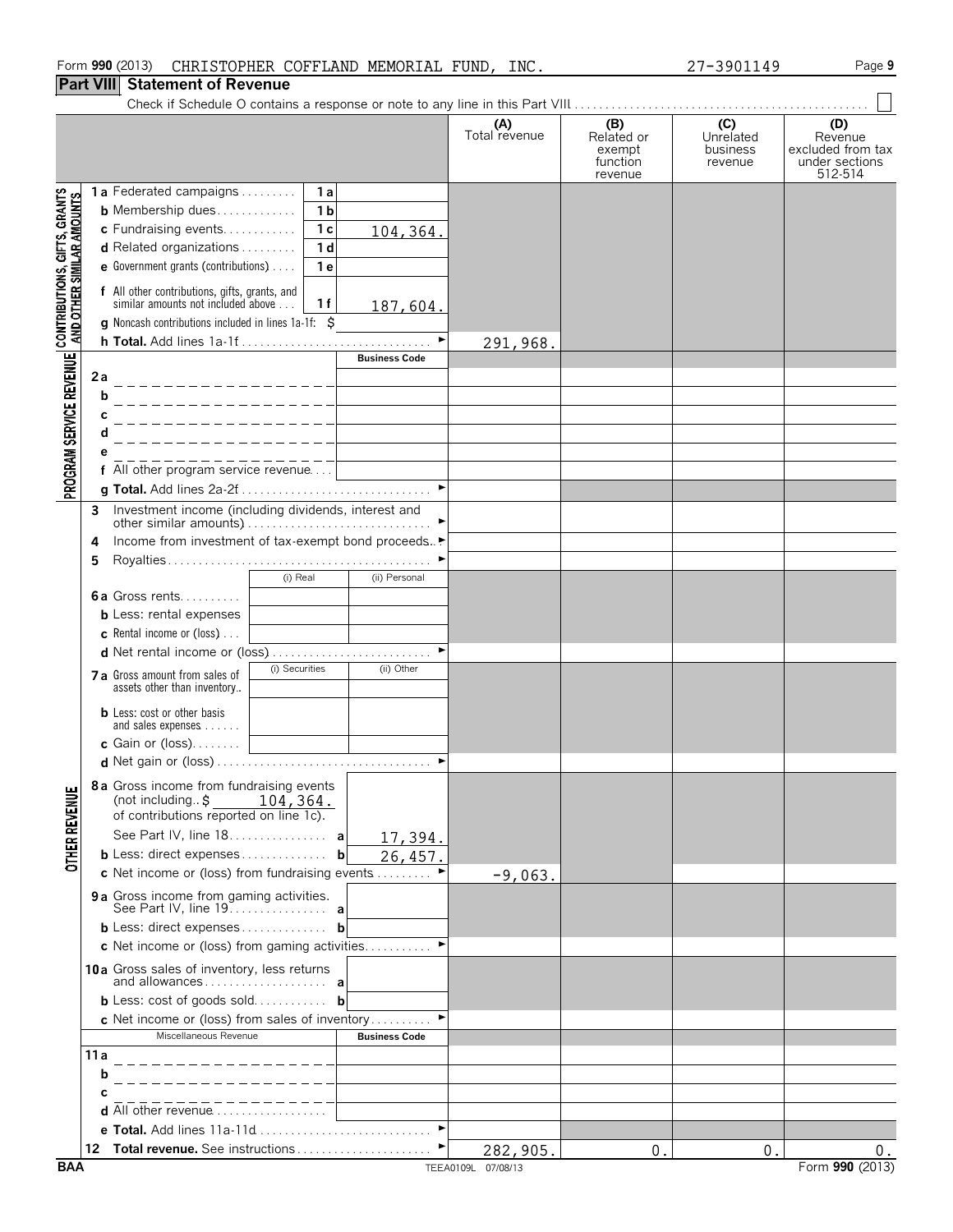# **Part VIII Statement of Revenue**

|                                                                                                               |      |                                                                                            |                       | (A)<br>Total revenue | (B)<br>Related or<br>exempt<br>function<br>revenue | (C)<br>Unrelated<br>business<br>revenue | (D)<br>Revenue<br>excluded from tax<br>under sections<br>512-514 |
|---------------------------------------------------------------------------------------------------------------|------|--------------------------------------------------------------------------------------------|-----------------------|----------------------|----------------------------------------------------|-----------------------------------------|------------------------------------------------------------------|
|                                                                                                               |      | <b>1a</b> Federated campaigns<br>1а                                                        |                       |                      |                                                    |                                         |                                                                  |
|                                                                                                               |      | 1 <sub>b</sub><br><b>b</b> Membership dues                                                 |                       |                      |                                                    |                                         |                                                                  |
|                                                                                                               |      | c Fundraising events<br>1 <sub>c</sub>                                                     | 104,364.              |                      |                                                    |                                         |                                                                  |
|                                                                                                               |      | d Related organizations<br>1 <sub>d</sub>                                                  |                       |                      |                                                    |                                         |                                                                  |
|                                                                                                               |      | e Government grants (contributions)<br>1 e                                                 |                       |                      |                                                    |                                         |                                                                  |
| PROGRAM SERVICE REVENUE   CONTRIBUTIONS, GIFTS, GRANTS<br>PROGRAM SERVICE REVENUE   AND OTHER SIMILAR AMOUNTS |      | f All other contributions, gifts, grants, and<br>similar amounts not included above<br>1 f | 187,604.              |                      |                                                    |                                         |                                                                  |
|                                                                                                               |      | g Noncash contributions included in lines 1a-1f: \$                                        | $\blacktriangleright$ |                      |                                                    |                                         |                                                                  |
|                                                                                                               |      |                                                                                            | <b>Business Code</b>  | 291,968.             |                                                    |                                         |                                                                  |
|                                                                                                               | 2a   |                                                                                            |                       |                      |                                                    |                                         |                                                                  |
|                                                                                                               | b    |                                                                                            |                       |                      |                                                    |                                         |                                                                  |
|                                                                                                               |      |                                                                                            |                       |                      |                                                    |                                         |                                                                  |
|                                                                                                               |      |                                                                                            |                       |                      |                                                    |                                         |                                                                  |
|                                                                                                               |      |                                                                                            |                       |                      |                                                    |                                         |                                                                  |
|                                                                                                               |      | All other program service revenue                                                          |                       |                      |                                                    |                                         |                                                                  |
|                                                                                                               |      |                                                                                            |                       |                      |                                                    |                                         |                                                                  |
|                                                                                                               | 3    |                                                                                            |                       |                      |                                                    |                                         |                                                                  |
|                                                                                                               |      |                                                                                            |                       |                      |                                                    |                                         |                                                                  |
|                                                                                                               | 4    | Income from investment of tax-exempt bond proceeds▶                                        |                       |                      |                                                    |                                         |                                                                  |
|                                                                                                               |      |                                                                                            |                       |                      |                                                    |                                         |                                                                  |
|                                                                                                               |      | (i) Real                                                                                   | (ii) Personal         |                      |                                                    |                                         |                                                                  |
|                                                                                                               |      | 6a Gross rents                                                                             |                       |                      |                                                    |                                         |                                                                  |
|                                                                                                               |      | <b>b</b> Less: rental expenses                                                             |                       |                      |                                                    |                                         |                                                                  |
|                                                                                                               |      | <b>c</b> Rental income or (loss) $\ldots$                                                  |                       |                      |                                                    |                                         |                                                                  |
|                                                                                                               |      |                                                                                            |                       |                      |                                                    |                                         |                                                                  |
|                                                                                                               |      | (i) Securities<br>7 a Gross amount from sales of                                           | (ii) Other            |                      |                                                    |                                         |                                                                  |
|                                                                                                               |      | assets other than inventory                                                                |                       |                      |                                                    |                                         |                                                                  |
|                                                                                                               |      | <b>b</b> Less: cost or other basis                                                         |                       |                      |                                                    |                                         |                                                                  |
|                                                                                                               |      | and sales expenses                                                                         |                       |                      |                                                    |                                         |                                                                  |
|                                                                                                               |      | c Gain or $(loss)$                                                                         |                       |                      |                                                    |                                         |                                                                  |
|                                                                                                               |      |                                                                                            |                       |                      |                                                    |                                         |                                                                  |
|                                                                                                               |      | 8a Gross income from fundraising events                                                    |                       |                      |                                                    |                                         |                                                                  |
|                                                                                                               |      | (not including $\frac{$104,364}{$\cdot$}$ of contributions reported on line 1c).           |                       |                      |                                                    |                                         |                                                                  |
|                                                                                                               |      |                                                                                            |                       |                      |                                                    |                                         |                                                                  |
|                                                                                                               |      | See Part IV, line 18. a                                                                    | 17,394.               |                      |                                                    |                                         |                                                                  |
| <b>OTHER REVENUE</b>                                                                                          |      | <b>b</b> Less: direct expenses <b>b</b>                                                    | 26,457.               |                      |                                                    |                                         |                                                                  |
|                                                                                                               |      |                                                                                            |                       | $-9,063.$            |                                                    |                                         |                                                                  |
|                                                                                                               |      | 9a Gross income from gaming activities.<br>See Part IV, line 19. <b>a</b>                  |                       |                      |                                                    |                                         |                                                                  |
|                                                                                                               |      | <b>b</b> Less: direct expenses <b>b</b>                                                    |                       |                      |                                                    |                                         |                                                                  |
|                                                                                                               |      | c Net income or (loss) from gaming activities                                              |                       |                      |                                                    |                                         |                                                                  |
|                                                                                                               |      |                                                                                            |                       |                      |                                                    |                                         |                                                                  |
|                                                                                                               |      | 10a Gross sales of inventory, less returns                                                 |                       |                      |                                                    |                                         |                                                                  |
|                                                                                                               |      | <b>b</b> Less: cost of goods sold <b>b</b>                                                 |                       |                      |                                                    |                                         |                                                                  |
|                                                                                                               |      | <b>c</b> Net income or (loss) from sales of inventory                                      |                       |                      |                                                    |                                         |                                                                  |
|                                                                                                               |      | Miscellaneous Revenue                                                                      | <b>Business Code</b>  |                      |                                                    |                                         |                                                                  |
|                                                                                                               | 11 a | _______________                                                                            |                       |                      |                                                    |                                         |                                                                  |
|                                                                                                               | b    |                                                                                            |                       |                      |                                                    |                                         |                                                                  |
|                                                                                                               |      |                                                                                            |                       |                      |                                                    |                                         |                                                                  |
|                                                                                                               |      | <b>d</b> All other revenue $\ldots$ , $\ldots$                                             |                       |                      |                                                    |                                         |                                                                  |
|                                                                                                               |      | e Total. Add lines 11a-11d                                                                 | $\blacktriangleright$ |                      |                                                    |                                         |                                                                  |
|                                                                                                               |      |                                                                                            |                       | 282,905.             | $\overline{0}$ .                                   | 0.                                      | $0$ .                                                            |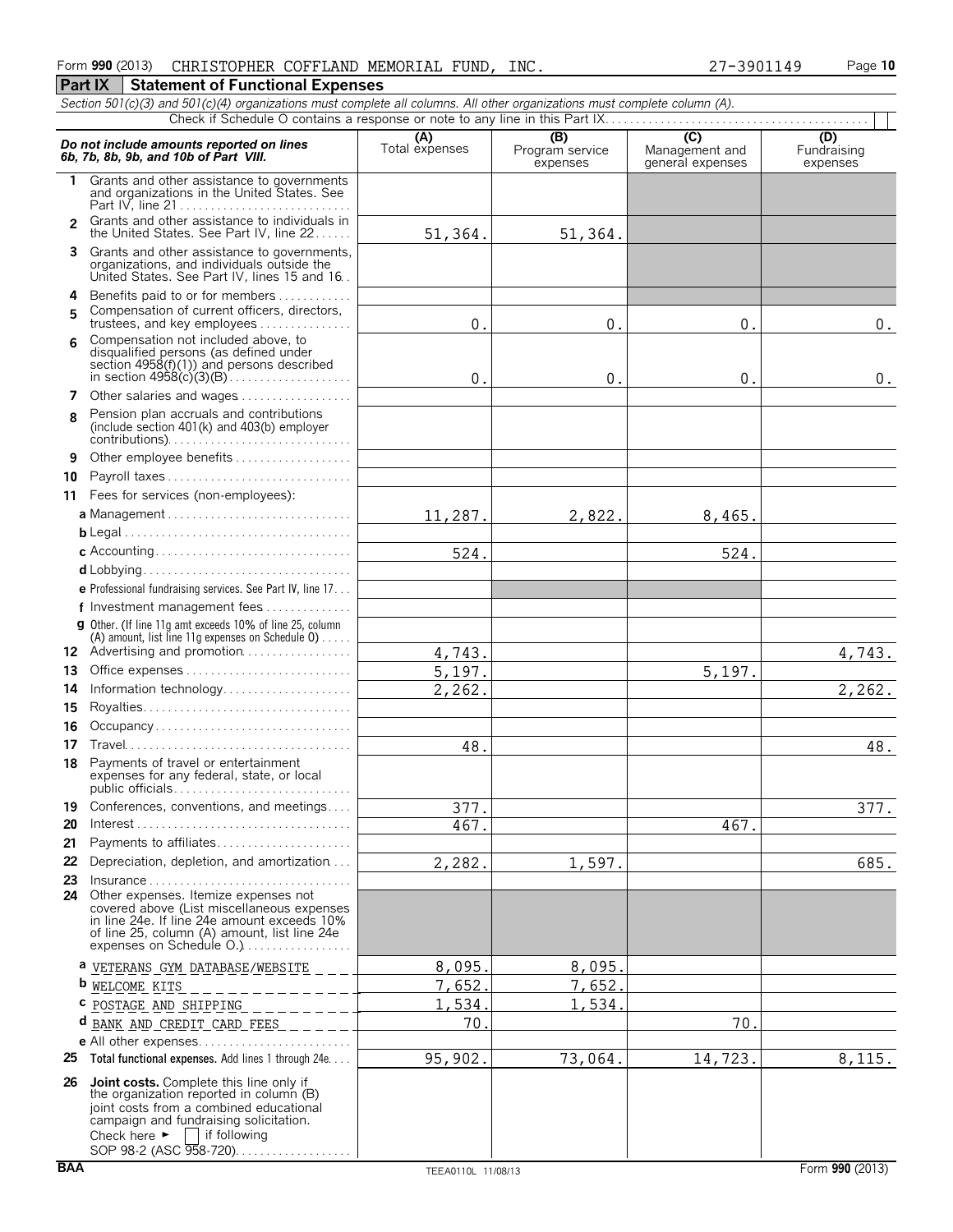**Part IX Statement of Functional Expenses** 

#### *Section 501(c)(3) and 501(c)(4) organizations must complete all columns. All other organizations must complete column (A).* Check if Schedule O contains a response or note to any line in this Part IX.. **(A) (B) (B) (C) (C) (D)**<br> **6b, 7b, 8b, 9b, and 10b of Part VIII. Expenses Program service** Management and Fundraising **6b, 7b, 8b, 9b, and 10b of Part VIII. expenses Program service Program service P 1** Grants and other assistance to governments and organizations in the United States. See Part IV, line 21 . . . . . . . . . . . . . . . . . . . . . . . . . . . . Grants and other assistance to individuals in **2** the United States. See Part IV, line 22 . . . . . . **3** Grants and other assistance to governments, organizations, and individuals outside the United States. See Part IV, lines 15 and 16. **4** Benefits paid to or for members. . . . . . . . . . . . . Compensation of current officers, directors, **5** trustees, and key employees.............. Compensation not included above, to **6** disqualified persons (as defined under section 4958(f)(1)) and persons described in section 4958(c)(3)(B). . . . . . . . . . . . . . . . . . . . **7** Other salaries and wages . . . . . . . . . . . . . . . . Pension plan accruals and contributions **8** (include section 401(k) and 403(b) employer contributions). . . . . . . . . . . . . . . . . . . . . . . . . . . . . . **9** Other employee benefits . . . . . . . . **10** Payroll taxes . . . . . . . . . . . . . . . . . . . . . . . . . . . . . . **11** Fees for services (non-employees): **a** Management . . . . . . . . . . . . . . . . . . . . . . . . . . . . . . **b** Legal. . . . . . . . . . . . . . . . . . . . . . . . . . . . . . . . . . . . . . **c** Accounting. . . . . . . . . . . . . . . . . . . . . . . . . . . . . . . . **d** Lobbying. . . . . . . . . . . . . . . . . . . . . . . . . . . . . . . . . . **e** Professional fundraising services. See Part IV, line 17. . . **f** Investment management fees. . . . . . . . . . . . . . . **g** Other. (If line 11g amt exceeds 10% of line 25, column (A) amount, list line 11g expenses on Schedule  $0$ )..... 12 Advertising and promotion................. **13** Office expenses. . . . . . . . . . . . . . . . . . . . . . . . . . . . **14** Information technology................. **15** Royalties. . . . . . . . . . . . . . . . . . . . . . . . . . . . . . . . . . **16** Occupancy . . . . . . . . . . . . . . . . **17** Travel. . . . . . . . . . . . . . . . . . . . . . . . . . . . . . . . . . . . . **18** Payments of travel or entertainment expenses for any federal, state, or local public officials. . . . . . . . . . . . . . . . . . . . . . . . . . . . . **19** Conferences, conventions, and meetings.... **20** Interest. . . . . . . . . . . . . . . . . . . . . . . . . . . . . . . . . . . . **21** Payments to affiliates. . . . . . . . . . . . . . . . . . . . . . **22** Depreciation, depletion, and amortization. . . . **23** Insurance . . . . . . . . . . . . . . . . . . . . . . . . . . . . . . . . . **24** Other expenses. Itemize expenses not covered above (List miscellaneous expenses in line 24e. If line 24e amount exceeds 10% of line 25, column (A) amount, list line 24e expenses on Schedule O.).................. **a** VETERANS GYM DATABASE/WEBSITE **b** WELCOME KITS **c** POSTAGE AND SHIPPING **d** BANK AND CREDIT CARD FEES**e** All other expenses. . . . . . . . . . . . . . . . . . . . . . . . . **25 Total functional expenses.** Add lines 1 through 24e. . . . **26 Joint costs.** Complete this line only if the organization reported in column (B) joint costs from a combined educational campaign and fundraising solicitation.<br>Check here  $\blacktriangleright \Box$  if following  $\Box$  if following SOP 98-2 (ASC 958-720). . . . . . . . . . . . . . . . . 51,364. 51,364.  $0.$  0. 0. 0. 0.  $0.$  0. 0. 0. 0. 11,287. 2,822. 8,465 524. 524. 4,743. 4,743. 5,197. 5,197. 2,262. 2,262. 48. 48. 377. 377. 467. 467.  $2,282.$  1,597. 685. 8,095. 8,095. 7,652. 7,652. 1,534. 1,534. 70. 70. 95,902. 73,064. 14,723. 8,115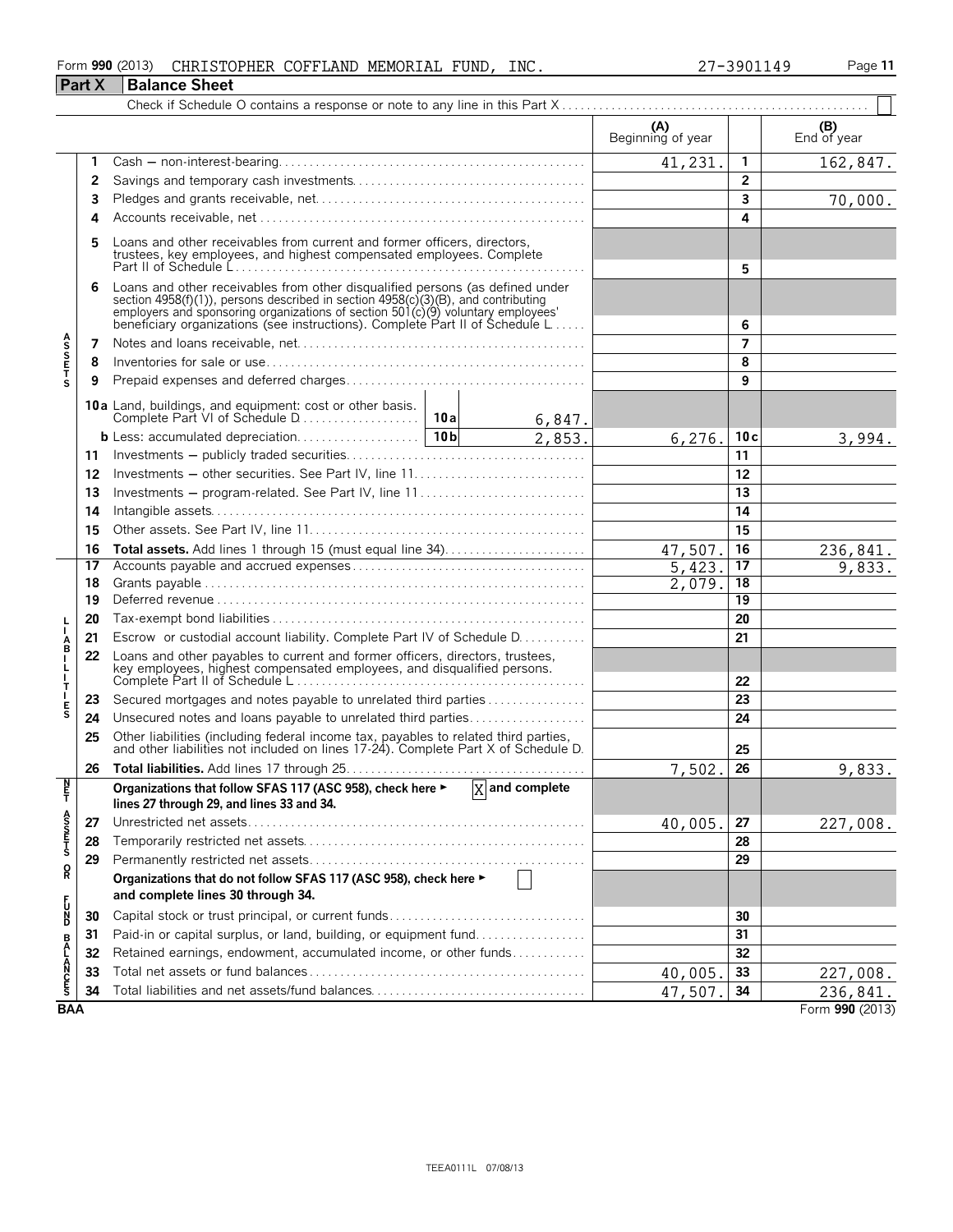#### Form **990** (2013) Page **11** CHRISTOPHER COFFLAND MEMORIAL FUND, INC. 27-3901149 **Part X Balance Sheet**

|                       | $1$ all $\Lambda$ | <b>Dalative Sticel</b>                                                                                                                                                                                                                                                                                               |  |        |                          |                         |                    |  |  |
|-----------------------|-------------------|----------------------------------------------------------------------------------------------------------------------------------------------------------------------------------------------------------------------------------------------------------------------------------------------------------------------|--|--------|--------------------------|-------------------------|--------------------|--|--|
|                       |                   |                                                                                                                                                                                                                                                                                                                      |  |        | (A)<br>Beginning of year |                         | (B)<br>End of year |  |  |
|                       | 1                 |                                                                                                                                                                                                                                                                                                                      |  |        | 41,231.                  | $\mathbf{1}$            | 162,847.           |  |  |
|                       | 2                 |                                                                                                                                                                                                                                                                                                                      |  |        |                          |                         |                    |  |  |
|                       | 3                 |                                                                                                                                                                                                                                                                                                                      |  |        |                          | $\overline{\mathbf{3}}$ | 70,000.            |  |  |
|                       | 4                 |                                                                                                                                                                                                                                                                                                                      |  |        | 4                        |                         |                    |  |  |
|                       | 5                 | Loans and other receivables from current and former officers, directors,<br>trustees, key employees, and highest compensated employees. Complete                                                                                                                                                                     |  | 5      |                          |                         |                    |  |  |
|                       | 6                 | Loans and other receivables from other disqualified persons (as defined under<br>section 4958(f)(1)), persons described in section 4958(c)(3)(B), and contributing<br>employers and sponsoring organizations of section 501(c)(9) voluntary employees'<br>beneficiary organizations (see instructions). Complete Par |  | 6      |                          |                         |                    |  |  |
|                       | 7                 |                                                                                                                                                                                                                                                                                                                      |  |        |                          | 7                       |                    |  |  |
| <b>ASSETS</b>         | 8                 |                                                                                                                                                                                                                                                                                                                      |  |        |                          | 8                       |                    |  |  |
|                       | 9                 |                                                                                                                                                                                                                                                                                                                      |  |        |                          | 9                       |                    |  |  |
|                       |                   | 10a Land, buildings, and equipment: cost or other basis.                                                                                                                                                                                                                                                             |  | 6,847. |                          |                         |                    |  |  |
|                       |                   |                                                                                                                                                                                                                                                                                                                      |  | 2,853. | 6,276.                   | 10c                     | 3,994.             |  |  |
|                       | 11                |                                                                                                                                                                                                                                                                                                                      |  |        |                          | 11                      |                    |  |  |
|                       | 12                |                                                                                                                                                                                                                                                                                                                      |  |        |                          | 12                      |                    |  |  |
|                       | 13                | Investments – program-related. See Part IV, line 11                                                                                                                                                                                                                                                                  |  |        |                          | 13                      |                    |  |  |
|                       | 14                |                                                                                                                                                                                                                                                                                                                      |  |        |                          | 14                      |                    |  |  |
|                       | 15                |                                                                                                                                                                                                                                                                                                                      |  | 15     |                          |                         |                    |  |  |
|                       | 16                |                                                                                                                                                                                                                                                                                                                      |  |        | 47,507.                  | 16                      | 236,841.           |  |  |
|                       | 17                |                                                                                                                                                                                                                                                                                                                      |  |        | 5,423.                   | 17                      | 9,833.             |  |  |
|                       | 18                |                                                                                                                                                                                                                                                                                                                      |  |        | 2,079.                   | 18                      |                    |  |  |
|                       | 19                |                                                                                                                                                                                                                                                                                                                      |  |        |                          | 19                      |                    |  |  |
|                       | 20                |                                                                                                                                                                                                                                                                                                                      |  |        |                          | 20                      |                    |  |  |
| A                     | 21                | Escrow or custodial account liability. Complete Part IV of Schedule D.                                                                                                                                                                                                                                               |  |        |                          | 21                      |                    |  |  |
| ┟                     | 22                | Loans and other payables to current and former officers, directors, trustees,<br>key employees, highest compensated employees, and disqualified persons.                                                                                                                                                             |  |        |                          | 22                      |                    |  |  |
| Т                     | 23                | Secured mortgages and notes payable to unrelated third parties                                                                                                                                                                                                                                                       |  |        |                          | 23                      |                    |  |  |
| E<br>S                | 24                | Unsecured notes and loans payable to unrelated third parties                                                                                                                                                                                                                                                         |  |        |                          | 24                      |                    |  |  |
|                       | 25                | Other liabilities (including federal income tax, payables to related third parties, and other liabilities not included on lines 17-24). Complete Part X of Schedule D.                                                                                                                                               |  |        |                          | 25                      |                    |  |  |
|                       | 26                |                                                                                                                                                                                                                                                                                                                      |  |        | 7,502.                   | $\overline{26}$         | 9,833.             |  |  |
| $\frac{N}{T}$         |                   | Organizations that follow SFAS 117 (ASC 958), check here $\blacktriangleright$ $\boxed{X}$ and complete<br>lines 27 through 29, and lines 33 and 34.                                                                                                                                                                 |  |        |                          |                         |                    |  |  |
|                       | 27                |                                                                                                                                                                                                                                                                                                                      |  |        | 40,005.                  | 27                      | 227,008.           |  |  |
| A<br>S<br>S<br>T<br>S | 28                |                                                                                                                                                                                                                                                                                                                      |  |        |                          | 28                      |                    |  |  |
|                       | 29                |                                                                                                                                                                                                                                                                                                                      |  |        |                          | 29                      |                    |  |  |
| ខ្ព                   |                   | Organizations that do not follow SFAS 117 (ASC 958), check here ►<br>and complete lines 30 through 34.                                                                                                                                                                                                               |  |        |                          |                         |                    |  |  |
| 5<br>D<br>D           | 30                | Capital stock or trust principal, or current funds                                                                                                                                                                                                                                                                   |  |        |                          | 30                      |                    |  |  |
|                       | 31                | Paid-in or capital surplus, or land, building, or equipment fund                                                                                                                                                                                                                                                     |  |        |                          | 31                      |                    |  |  |
| <b>BALANCES</b>       | 32                | Retained earnings, endowment, accumulated income, or other funds                                                                                                                                                                                                                                                     |  |        |                          | 32                      |                    |  |  |
|                       | 33                |                                                                                                                                                                                                                                                                                                                      |  |        | 40,005.                  | 33                      | 227,008.           |  |  |
|                       | 34                |                                                                                                                                                                                                                                                                                                                      |  |        | 47,507                   | 34                      | 236, 841.          |  |  |
| <b>BAA</b>            |                   |                                                                                                                                                                                                                                                                                                                      |  |        |                          |                         | Form 990 (2013)    |  |  |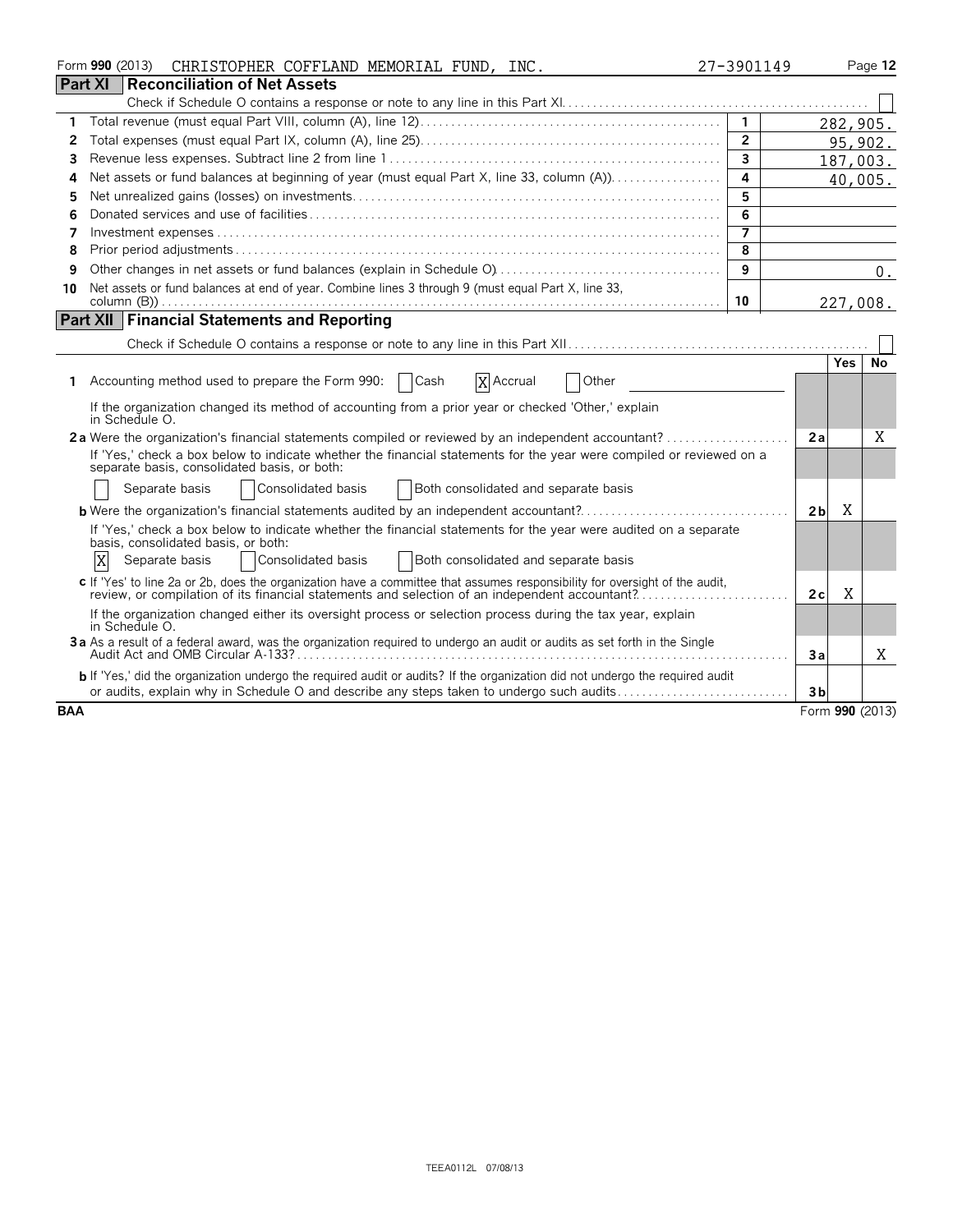|                | Form 990 (2013)<br>CHRISTOPHER COFFLAND MEMORIAL FUND, INC.                                                                                                                                                                   | 27-3901149     |                     | Page 12 |
|----------------|-------------------------------------------------------------------------------------------------------------------------------------------------------------------------------------------------------------------------------|----------------|---------------------|---------|
| <b>Part XI</b> | Reconciliation of Net Assets                                                                                                                                                                                                  |                |                     |         |
|                |                                                                                                                                                                                                                               |                |                     |         |
| 1.             |                                                                                                                                                                                                                               | $\overline{1}$ | 282,905.            |         |
| 2              |                                                                                                                                                                                                                               | $\overline{2}$ |                     | 95,902. |
| 3              |                                                                                                                                                                                                                               | 3              | 187,003.            |         |
| 4              | Net assets or fund balances at beginning of year (must equal Part X, line 33, column (A)).                                                                                                                                    | 4              |                     | 40,005. |
| 5              |                                                                                                                                                                                                                               | 5              |                     |         |
| 6              |                                                                                                                                                                                                                               | 6              |                     |         |
| 7              |                                                                                                                                                                                                                               |                |                     |         |
| 8              |                                                                                                                                                                                                                               | 8              |                     |         |
| 9              |                                                                                                                                                                                                                               | 9              |                     | 0.      |
| 10             | Net assets or fund balances at end of year. Combine lines 3 through 9 (must equal Part X, line 33,                                                                                                                            | 10             | 227,008.            |         |
|                | <b>Part XII Financial Statements and Reporting</b>                                                                                                                                                                            |                |                     |         |
|                |                                                                                                                                                                                                                               |                |                     |         |
|                |                                                                                                                                                                                                                               |                |                     |         |
|                | X Accrual<br>1 Accounting method used to prepare the Form 990:<br>  Cash<br>Other                                                                                                                                             |                | <b>Yes</b>          | No      |
|                | If the organization changed its method of accounting from a prior year or checked 'Other,' explain<br>in Schedule O.                                                                                                          |                |                     |         |
|                | 2a Were the organization's financial statements compiled or reviewed by an independent accountant?                                                                                                                            |                | 2a                  | X       |
|                | If 'Yes,' check a box below to indicate whether the financial statements for the year were compiled or reviewed on a<br>separate basis, consolidated basis, or both:                                                          |                |                     |         |
|                | Consolidated basis<br>Both consolidated and separate basis<br>Separate basis                                                                                                                                                  |                |                     |         |
|                | <b>b</b> Were the organization's financial statements audited by an independent accountant?                                                                                                                                   |                | X<br>2 <sub>b</sub> |         |
|                | If 'Yes,' check a box below to indicate whether the financial statements for the year were audited on a separate<br>basis, consolidated basis, or both:                                                                       |                |                     |         |
|                | X<br>Consolidated basis<br>Both consolidated and separate basis<br>Separate basis                                                                                                                                             |                |                     |         |
|                | c If 'Yes' to line 2a or 2b, does the organization have a committee that assumes responsibility for oversight of the audit,<br>review, or compilation of its financial statements and selection of an independent accountant? |                | X<br>2c             |         |
|                | If the organization changed either its oversight process or selection process during the tax year, explain<br>in Schedule O.                                                                                                  |                |                     |         |
|                | 3a As a result of a federal award, was the organization required to undergo an audit or audits as set forth in the Single                                                                                                     |                | За                  | X       |
|                | b If 'Yes,' did the organization undergo the required audit or audits? If the organization did not undergo the required audit                                                                                                 |                |                     |         |
|                | or audits, explain why in Schedule O and describe any steps taken to undergo such audits                                                                                                                                      |                | 3 <sub>b</sub>      |         |
| <b>BAA</b>     |                                                                                                                                                                                                                               |                | Form 990 (2013)     |         |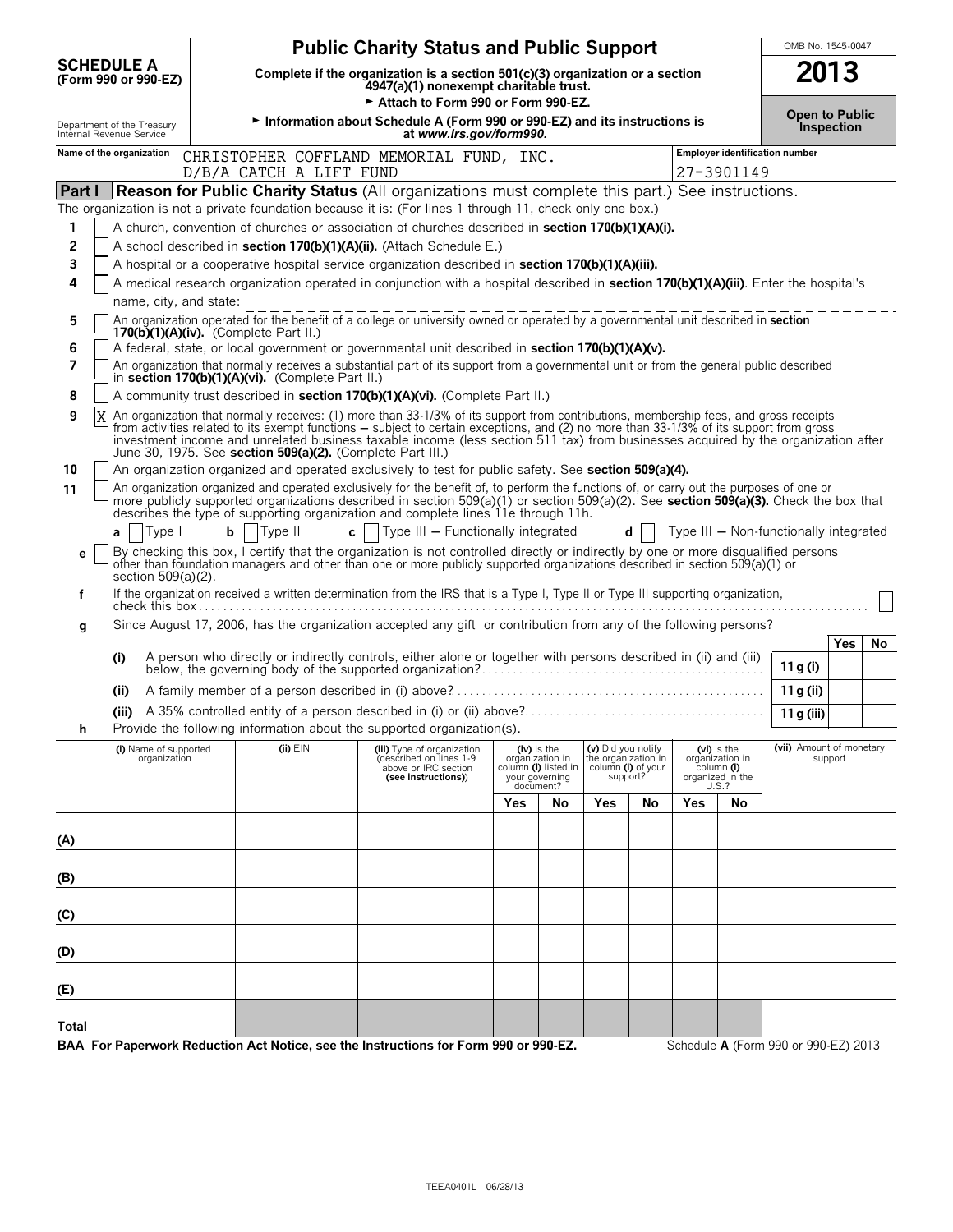|                                                        |                                                                                                                                                                                                                                                                                                                                                                                                                                                                                         |  |                                                                                                                                            | <b>Public Charity Status and Public Support</b>                                                                                                                                                                                                                                                                                                                      |     |                                                                                       |                                                                             |     |     |                                                                             | OMB No. 1545-0047                      |            |    |
|--------------------------------------------------------|-----------------------------------------------------------------------------------------------------------------------------------------------------------------------------------------------------------------------------------------------------------------------------------------------------------------------------------------------------------------------------------------------------------------------------------------------------------------------------------------|--|--------------------------------------------------------------------------------------------------------------------------------------------|----------------------------------------------------------------------------------------------------------------------------------------------------------------------------------------------------------------------------------------------------------------------------------------------------------------------------------------------------------------------|-----|---------------------------------------------------------------------------------------|-----------------------------------------------------------------------------|-----|-----|-----------------------------------------------------------------------------|----------------------------------------|------------|----|
| <b>SCHEDULE A</b>                                      | (Form 990 or 990-EZ)                                                                                                                                                                                                                                                                                                                                                                                                                                                                    |  | Complete if the organization is a section $501(c)(3)$ organization or a section<br>4947(a)(1) nonexempt charitable trust.                  |                                                                                                                                                                                                                                                                                                                                                                      |     |                                                                                       |                                                                             |     |     |                                                                             |                                        | 2013       |    |
| Department of the Treasury<br>Internal Revenue Service |                                                                                                                                                                                                                                                                                                                                                                                                                                                                                         |  | Attach to Form 990 or Form 990-EZ.<br>Information about Schedule A (Form 990 or 990-EZ) and its instructions is<br>at www.irs.gov/form990. |                                                                                                                                                                                                                                                                                                                                                                      |     |                                                                                       |                                                                             |     |     |                                                                             | <b>Open to Public</b>                  | Inspection |    |
| Name of the organization                               |                                                                                                                                                                                                                                                                                                                                                                                                                                                                                         |  | D/B/A CATCH A LIFT FUND                                                                                                                    | CHRISTOPHER COFFLAND MEMORIAL FUND, INC.                                                                                                                                                                                                                                                                                                                             |     |                                                                                       |                                                                             |     |     | 27-3901149                                                                  | <b>Employer identification number</b>  |            |    |
| Part I                                                 |                                                                                                                                                                                                                                                                                                                                                                                                                                                                                         |  |                                                                                                                                            | <b>Reason for Public Charity Status</b> (All organizations must complete this part.) See instructions.                                                                                                                                                                                                                                                               |     |                                                                                       |                                                                             |     |     |                                                                             |                                        |            |    |
|                                                        |                                                                                                                                                                                                                                                                                                                                                                                                                                                                                         |  |                                                                                                                                            | The organization is not a private foundation because it is: (For lines 1 through 11, check only one box.)                                                                                                                                                                                                                                                            |     |                                                                                       |                                                                             |     |     |                                                                             |                                        |            |    |
| 1<br>2                                                 |                                                                                                                                                                                                                                                                                                                                                                                                                                                                                         |  |                                                                                                                                            | A church, convention of churches or association of churches described in <b>section 170(b)(1)(A)(i)</b> .<br>A school described in section 170(b)(1)(A)(ii). (Attach Schedule E.)                                                                                                                                                                                    |     |                                                                                       |                                                                             |     |     |                                                                             |                                        |            |    |
| 3                                                      |                                                                                                                                                                                                                                                                                                                                                                                                                                                                                         |  |                                                                                                                                            | A hospital or a cooperative hospital service organization described in section 170(b)(1)(A)(iii).                                                                                                                                                                                                                                                                    |     |                                                                                       |                                                                             |     |     |                                                                             |                                        |            |    |
| 4                                                      |                                                                                                                                                                                                                                                                                                                                                                                                                                                                                         |  |                                                                                                                                            | A medical research organization operated in conjunction with a hospital described in section 170(b)(1)(A)(iii). Enter the hospital's                                                                                                                                                                                                                                 |     |                                                                                       |                                                                             |     |     |                                                                             |                                        |            |    |
|                                                        | name, city, and state:                                                                                                                                                                                                                                                                                                                                                                                                                                                                  |  |                                                                                                                                            |                                                                                                                                                                                                                                                                                                                                                                      |     |                                                                                       |                                                                             |     |     |                                                                             |                                        |            |    |
| 5                                                      |                                                                                                                                                                                                                                                                                                                                                                                                                                                                                         |  | 170(b)(1)(A)(iv). (Complete Part II.)                                                                                                      | An organization operated for the benefit of a college or university owned or operated by a governmental unit described in section                                                                                                                                                                                                                                    |     |                                                                                       |                                                                             |     |     |                                                                             |                                        |            |    |
| 6                                                      |                                                                                                                                                                                                                                                                                                                                                                                                                                                                                         |  |                                                                                                                                            | A federal, state, or local government or governmental unit described in section 170(b)(1)(A)(v).                                                                                                                                                                                                                                                                     |     |                                                                                       |                                                                             |     |     |                                                                             |                                        |            |    |
| $\overline{7}$                                         |                                                                                                                                                                                                                                                                                                                                                                                                                                                                                         |  | in section 170(b)(1)(A)(vi). (Complete Part II.)                                                                                           | An organization that normally receives a substantial part of its support from a governmental unit or from the general public described                                                                                                                                                                                                                               |     |                                                                                       |                                                                             |     |     |                                                                             |                                        |            |    |
| 8                                                      |                                                                                                                                                                                                                                                                                                                                                                                                                                                                                         |  |                                                                                                                                            | A community trust described in section 170(b)(1)(A)(vi). (Complete Part II.)                                                                                                                                                                                                                                                                                         |     |                                                                                       |                                                                             |     |     |                                                                             |                                        |            |    |
| 9                                                      | An organization that normally receives: (1) more than 33-1/3% of its support from contributions, membership fees, and gross receipts<br>X<br>from activities related to its exempt functions – subject to certain exceptions, and (2) no more than 33-1/3% of its support from gross<br>investment income and unrelated business taxable income (less section 511 tax) from businesses acquired by the organization after<br>June 30, 1975. See section 509(a)(2). (Complete Part III.) |  |                                                                                                                                            |                                                                                                                                                                                                                                                                                                                                                                      |     |                                                                                       |                                                                             |     |     |                                                                             |                                        |            |    |
| 10                                                     |                                                                                                                                                                                                                                                                                                                                                                                                                                                                                         |  |                                                                                                                                            | An organization organized and operated exclusively to test for public safety. See section 509(a)(4).                                                                                                                                                                                                                                                                 |     |                                                                                       |                                                                             |     |     |                                                                             |                                        |            |    |
| 11                                                     |                                                                                                                                                                                                                                                                                                                                                                                                                                                                                         |  |                                                                                                                                            | An organization organized and operated exclusively for the benefit of, to perform the functions of, or carry out the purposes of one or<br>more publicly supported organizations described in section 509(a)(1) or section 509(a)(2). See section 509(a)(3). Check the box that<br>describes the type of supporting organization and complete lines 11e through 11h. |     |                                                                                       |                                                                             |     |     |                                                                             |                                        |            |    |
| a                                                      | Type I                                                                                                                                                                                                                                                                                                                                                                                                                                                                                  |  | $b$   Type II                                                                                                                              | c   $ $ Type III – Functionally integrated                                                                                                                                                                                                                                                                                                                           |     |                                                                                       |                                                                             | d l |     |                                                                             | Type III - Non-functionally integrated |            |    |
| е                                                      | section 509(a)(2).                                                                                                                                                                                                                                                                                                                                                                                                                                                                      |  |                                                                                                                                            | By checking this box, I certify that the organization is not controlled directly or indirectly by one or more disqualified persons<br>other than foundation managers and other than one or more publicly supported organizations described in section 509(a)(1) or                                                                                                   |     |                                                                                       |                                                                             |     |     |                                                                             |                                        |            |    |
| f                                                      |                                                                                                                                                                                                                                                                                                                                                                                                                                                                                         |  |                                                                                                                                            | If the organization received a written determination from the IRS that is a Type I, Type II or Type III supporting organization,                                                                                                                                                                                                                                     |     |                                                                                       |                                                                             |     |     |                                                                             |                                        |            |    |
| g                                                      |                                                                                                                                                                                                                                                                                                                                                                                                                                                                                         |  |                                                                                                                                            | Since August 17, 2006, has the organization accepted any gift or contribution from any of the following persons?                                                                                                                                                                                                                                                     |     |                                                                                       |                                                                             |     |     |                                                                             |                                        | Yes        | No |
| (i)                                                    |                                                                                                                                                                                                                                                                                                                                                                                                                                                                                         |  |                                                                                                                                            | A person who directly or indirectly controls, either alone or together with persons described in (ii) and (iii)                                                                                                                                                                                                                                                      |     |                                                                                       |                                                                             |     |     |                                                                             | 11 g (i)                               |            |    |
|                                                        | (ii)                                                                                                                                                                                                                                                                                                                                                                                                                                                                                    |  |                                                                                                                                            |                                                                                                                                                                                                                                                                                                                                                                      |     |                                                                                       |                                                                             |     |     |                                                                             | 11 g (ii)                              |            |    |
|                                                        |                                                                                                                                                                                                                                                                                                                                                                                                                                                                                         |  |                                                                                                                                            |                                                                                                                                                                                                                                                                                                                                                                      |     |                                                                                       |                                                                             |     |     |                                                                             | 11 g (iii)                             |            |    |
| n                                                      |                                                                                                                                                                                                                                                                                                                                                                                                                                                                                         |  |                                                                                                                                            | Provide the following information about the supported organization(s).                                                                                                                                                                                                                                                                                               |     |                                                                                       |                                                                             |     |     |                                                                             |                                        |            |    |
|                                                        | (i) Name of supported<br>organization                                                                                                                                                                                                                                                                                                                                                                                                                                                   |  | $(ii)$ $EIN$                                                                                                                               | (iii) Type of organization<br>(described on lines 1-9<br>above or IRC section<br>(see instructions))                                                                                                                                                                                                                                                                 |     | (iv) Is the<br>organization in<br>column (i) listed in<br>your governing<br>document? | (v) Did you notify<br>the organization in<br>column (i) of your<br>support? |     |     | $(vi)$ is the<br>organization in<br>column (i)<br>organized in the<br>U.S.? | (vii) Amount of monetary               | support    |    |
|                                                        |                                                                                                                                                                                                                                                                                                                                                                                                                                                                                         |  |                                                                                                                                            |                                                                                                                                                                                                                                                                                                                                                                      | Yes | No.                                                                                   | <b>Yes</b>                                                                  | No  | Yes | No                                                                          |                                        |            |    |
| (A)                                                    |                                                                                                                                                                                                                                                                                                                                                                                                                                                                                         |  |                                                                                                                                            |                                                                                                                                                                                                                                                                                                                                                                      |     |                                                                                       |                                                                             |     |     |                                                                             |                                        |            |    |
|                                                        |                                                                                                                                                                                                                                                                                                                                                                                                                                                                                         |  |                                                                                                                                            |                                                                                                                                                                                                                                                                                                                                                                      |     |                                                                                       |                                                                             |     |     |                                                                             |                                        |            |    |
| (B)                                                    |                                                                                                                                                                                                                                                                                                                                                                                                                                                                                         |  |                                                                                                                                            |                                                                                                                                                                                                                                                                                                                                                                      |     |                                                                                       |                                                                             |     |     |                                                                             |                                        |            |    |
| (C)                                                    |                                                                                                                                                                                                                                                                                                                                                                                                                                                                                         |  |                                                                                                                                            |                                                                                                                                                                                                                                                                                                                                                                      |     |                                                                                       |                                                                             |     |     |                                                                             |                                        |            |    |
| (D)                                                    |                                                                                                                                                                                                                                                                                                                                                                                                                                                                                         |  |                                                                                                                                            |                                                                                                                                                                                                                                                                                                                                                                      |     |                                                                                       |                                                                             |     |     |                                                                             |                                        |            |    |
| (E)                                                    |                                                                                                                                                                                                                                                                                                                                                                                                                                                                                         |  |                                                                                                                                            |                                                                                                                                                                                                                                                                                                                                                                      |     |                                                                                       |                                                                             |     |     |                                                                             |                                        |            |    |
| Total                                                  |                                                                                                                                                                                                                                                                                                                                                                                                                                                                                         |  |                                                                                                                                            |                                                                                                                                                                                                                                                                                                                                                                      |     |                                                                                       |                                                                             |     |     |                                                                             |                                        |            |    |

BAA For Paperwork Reduction Act Notice, see the Instructions for Form 990 or 990-EZ. Schedule A (Form 990 or 990-EZ) 2013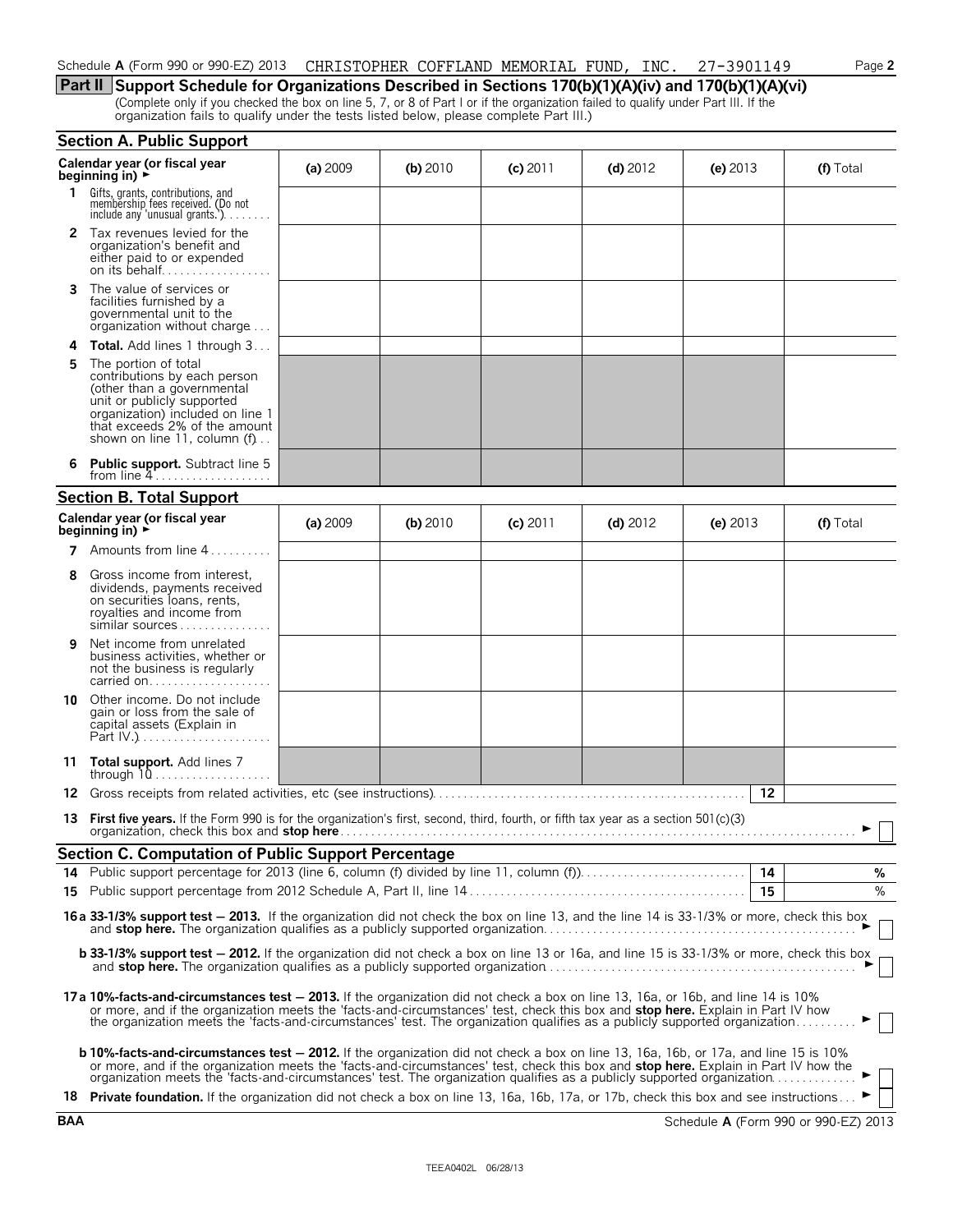# Schedule **A** (Form 990 or 990-EZ) 2013 CHRISTOPHER COFFLAND MEMORIAL FUND, INC. 27-3901149 Page 2

**Part II Support Schedule for Organizations Described in Sections 170(b)(1)(A)(iv) and 170(b)(1)(A)(vi)** (Complete only if you checked the box on line 5, 7, or 8 of Part I or if the organization failed to qualify under Part III. If the organization fails to qualify under the tests listed below, please complete Part III.)

|    | <b>Section A. Public Support</b>                                                                                                                                                                                                                                                                                                                                             |          |            |            |            |            |               |
|----|------------------------------------------------------------------------------------------------------------------------------------------------------------------------------------------------------------------------------------------------------------------------------------------------------------------------------------------------------------------------------|----------|------------|------------|------------|------------|---------------|
|    | Calendar year (or fiscal year<br>beginning in) $\rightarrow$                                                                                                                                                                                                                                                                                                                 | (a) 2009 | $(b)$ 2010 | $(c)$ 2011 | (d) $2012$ | (e) $2013$ | (f) Total     |
| 1. | Gifts, grants, contributions, and<br>membership fees received. (Do not<br>include any 'unusual grants.'). $\ldots$                                                                                                                                                                                                                                                           |          |            |            |            |            |               |
|    | 2 Tax revenues levied for the<br>organization's benefit and<br>either paid to or expended<br>on its behalf                                                                                                                                                                                                                                                                   |          |            |            |            |            |               |
| 3. | The value of services or<br>facilities furnished by a<br>governmental unit to the<br>organization without charge                                                                                                                                                                                                                                                             |          |            |            |            |            |               |
| 4  | <b>Total.</b> Add lines 1 through 3                                                                                                                                                                                                                                                                                                                                          |          |            |            |            |            |               |
| 5  | The portion of total<br>contributions by each person<br>(other than a governmental<br>unit or publicly supported<br>organization) included on line 1<br>that exceeds 2% of the amount<br>shown on line 11, column $(f)$                                                                                                                                                      |          |            |            |            |            |               |
|    | <b>Public support.</b> Subtract line 5<br>from line $4$                                                                                                                                                                                                                                                                                                                      |          |            |            |            |            |               |
|    | <b>Section B. Total Support</b>                                                                                                                                                                                                                                                                                                                                              |          |            |            |            |            |               |
|    | Calendar year (or fiscal year<br>beginning in) $\rightarrow$                                                                                                                                                                                                                                                                                                                 | (a) 2009 | $(b)$ 2010 | $(c)$ 2011 | $(d)$ 2012 | (e) $2013$ | (f) Total     |
|    | 7 Amounts from line 4                                                                                                                                                                                                                                                                                                                                                        |          |            |            |            |            |               |
| 8  | Gross income from interest,<br>dividends, payments received<br>on securities loans, rents,<br>royalties and income from<br>similar sources                                                                                                                                                                                                                                   |          |            |            |            |            |               |
| 9  | Net income from unrelated<br>business activities, whether or<br>not the business is regularly<br>carried on                                                                                                                                                                                                                                                                  |          |            |            |            |            |               |
| 10 | Other income. Do not include<br>gain or loss from the sale of<br>capital assets (Explain in                                                                                                                                                                                                                                                                                  |          |            |            |            |            |               |
|    | 11 Total support. Add lines 7                                                                                                                                                                                                                                                                                                                                                |          |            |            |            |            |               |
| 12 |                                                                                                                                                                                                                                                                                                                                                                              |          |            |            |            | 12         |               |
|    | 13 First five years. If the Form 990 is for the organization's first, second, third, fourth, or fifth tax year as a section 501(c)(3)<br>organization, check this box and stop here.                                                                                                                                                                                         |          |            |            |            |            |               |
|    | <b>Section C. Computation of Public Support Percentage</b>                                                                                                                                                                                                                                                                                                                   |          |            |            |            |            |               |
|    |                                                                                                                                                                                                                                                                                                                                                                              |          |            |            |            |            | %             |
|    |                                                                                                                                                                                                                                                                                                                                                                              |          |            |            |            | 15         | $\frac{9}{6}$ |
|    | 16a 33-1/3% support test - 2013. If the organization did not check the box on line 13, and the line 14 is 33-1/3% or more, check this box                                                                                                                                                                                                                                    |          |            |            |            |            |               |
|    | <b>b 33-1/3% support test - 2012.</b> If the organization did not check a box on line 13 or 16a, and line 15 is 33-1/3% or more, check this box                                                                                                                                                                                                                              |          |            |            |            |            |               |
|    | 17a 10%-facts-and-circumstances test - 2013. If the organization did not check a box on line 13, 16a, or 16b, and line 14 is 10%<br>or more, and if the organization meets the 'facts-and-circumstances' test, check this box and <b>stop here.</b> Explain in Part IV how<br>the organization meets the 'facts-and-circumstances' test. The organization qualifies as a p   |          |            |            |            |            |               |
|    | <b>b 10%-facts-and-circumstances test – 2012.</b> If the organization did not check a box on line 13, 16a, 16b, or 17a, and line 15 is 10%<br>or more, and if the organization meets the 'facts-and-circumstances' test, check this box and stop here. Explain in Part IV how the organization meets the 'facts-and-circumstances' test. The organization qualifies as a pub |          |            |            |            |            |               |
|    | 18 Private foundation. If the organization did not check a box on line 13, 16a, 16b, 17a, or 17b, check this box and see instructions ►                                                                                                                                                                                                                                      |          |            |            |            |            |               |

**BAA** Schedule **A** (Form 990 or 990-EZ) 2013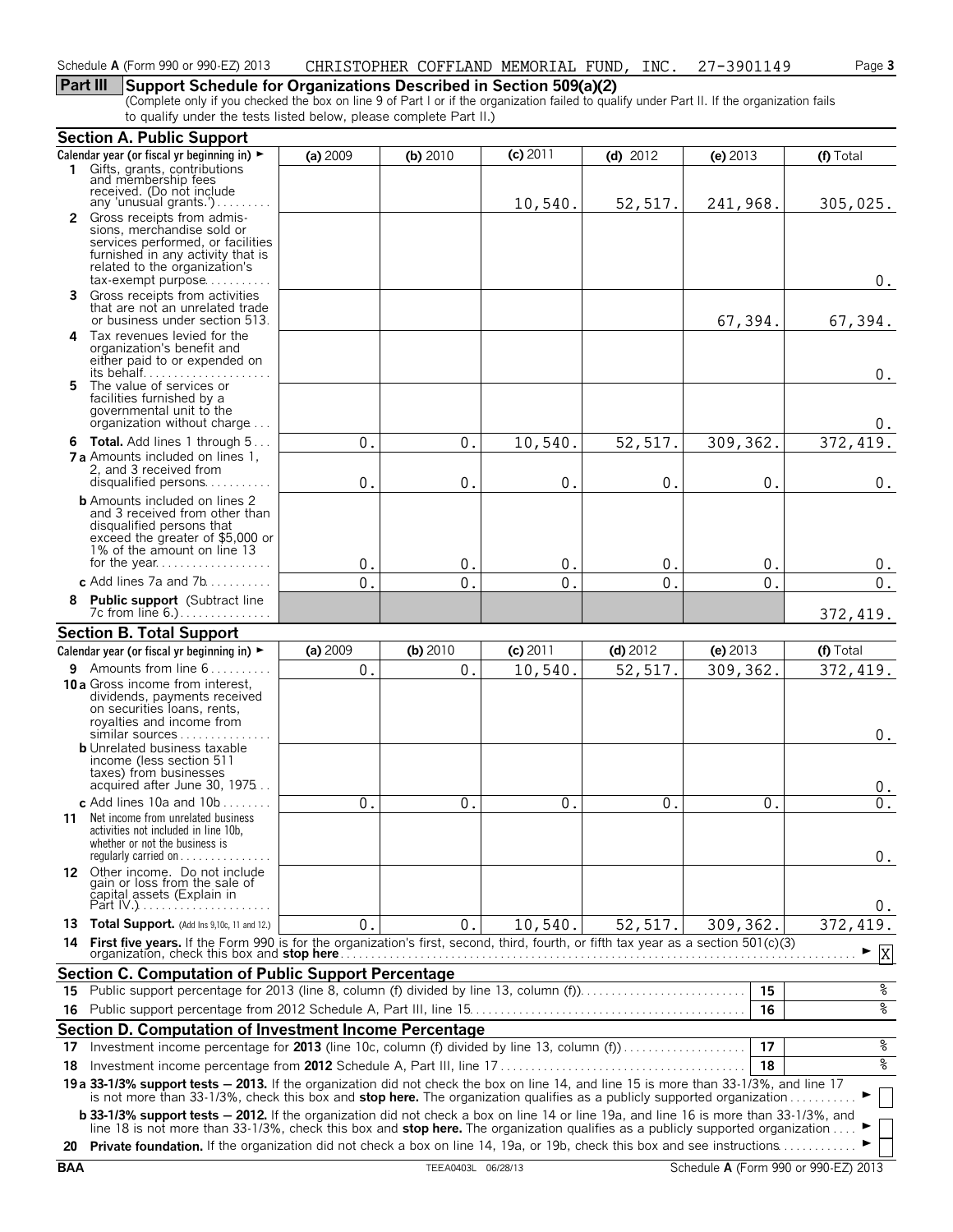# **Part III Support Schedule for Organizations Described in Section 509(a)(2)**

(Complete only if you checked the box on line 9 of Part I or if the organization failed to qualify under Part II. If the organization fails to qualify under the tests listed below, please complete Part II.)

|     | <b>Section A. Public Support</b>                                                                                                                                                                                                                                                                                                                                                                               |              |               |                |               |               |                    |
|-----|----------------------------------------------------------------------------------------------------------------------------------------------------------------------------------------------------------------------------------------------------------------------------------------------------------------------------------------------------------------------------------------------------------------|--------------|---------------|----------------|---------------|---------------|--------------------|
|     | Calendar year (or fiscal yr beginning in) ►                                                                                                                                                                                                                                                                                                                                                                    | (a) 2009     | (b) $2010$    | $(c)$ 2011     | $(d)$ 2012    | (e) $2013$    | (f) Total          |
|     | 1 Gifts, grants, contributions<br>and membership fees<br>received. (Do not include<br>any 'unusual grants.').                                                                                                                                                                                                                                                                                                  |              |               | 10,540.        | 52,517.       | 241,968.      | 305,025.           |
|     | 2 Gross receipts from admis-                                                                                                                                                                                                                                                                                                                                                                                   |              |               |                |               |               |                    |
|     | sions, merchandise sold or<br>services performed, or facilities<br>furnished in any activity that is<br>related to the organization's<br>$tax\text{-}exempt$ purpose                                                                                                                                                                                                                                           |              |               |                |               |               | 0.                 |
| 3   | Gross receipts from activities<br>that are not an unrelated trade<br>or business under section 513.                                                                                                                                                                                                                                                                                                            |              |               |                |               | 67,394.       | 67,394.            |
|     | 4 Tax revenues levied for the<br>organization's benefit and<br>either paid to or expended on<br>its behalf                                                                                                                                                                                                                                                                                                     |              |               |                |               |               | $0$ .              |
| 5.  | The value of services or<br>facilities furnished by a<br>governmental unit to the<br>organization without charge                                                                                                                                                                                                                                                                                               |              |               |                |               |               | $0$ .              |
|     | <b>6 Total.</b> Add lines 1 through 5                                                                                                                                                                                                                                                                                                                                                                          | $0$ .        | $\mathbf 0$ . | 10,540.        | 52,517.       | 309, 362.     | 372, 419.          |
|     | <b>7 a</b> Amounts included on lines 1,<br>2, and 3 received from                                                                                                                                                                                                                                                                                                                                              |              |               |                |               |               |                    |
|     | disqualified persons                                                                                                                                                                                                                                                                                                                                                                                           | $\mathbf{0}$ | $\mathbf{0}$  | $\mathbf{0}$ . | $\mathbf{0}$  | $\mathbf 0$ . | $0$ .              |
|     | <b>b</b> Amounts included on lines 2<br>and 3 received from other than<br>disqualified persons that<br>exceed the greater of \$5,000 or<br>1% of the amount on line 13                                                                                                                                                                                                                                         |              |               |                |               |               |                    |
|     |                                                                                                                                                                                                                                                                                                                                                                                                                | 0.           | $\mathbf{0}$  | $\mathbf 0$ .  | $\mathbf{0}$  | $\mathbf{0}$  | $\boldsymbol{0}$ . |
|     | c Add lines 7a and $7b$                                                                                                                                                                                                                                                                                                                                                                                        | $\Omega$ .   | $\Omega$      | $\Omega$       | $\Omega$      | $\mathbf{0}$  | $0$ .              |
|     | 8 Public support (Subtract line<br>7c from line 6.)                                                                                                                                                                                                                                                                                                                                                            |              |               |                |               |               | 372, 419.          |
|     | <b>Section B. Total Support</b>                                                                                                                                                                                                                                                                                                                                                                                |              |               |                |               |               |                    |
|     | Calendar year (or fiscal yr beginning in) $\blacktriangleright$<br>9 Amounts from line 6                                                                                                                                                                                                                                                                                                                       | (a) 2009     | $(b)$ 2010    | (c) 2011       | $(d)$ 2012    | (e) 2013      | (f) Total          |
|     | <b>10 a</b> Gross income from interest,<br>dividends, payments received<br>on securities loans, rents,<br>royalties and income from<br>similar sources                                                                                                                                                                                                                                                         | 0.           | 0.            | 10,540.        | 52,517.       | 309, 362.     | 372,419.<br>0.     |
|     | <b>b</b> Unrelated business taxable<br>income (less section 511<br>taxes) from businesses<br>acquired after June 30, 1975                                                                                                                                                                                                                                                                                      |              |               |                |               |               | $0$ .              |
|     | c Add lines $10a$ and $10b$                                                                                                                                                                                                                                                                                                                                                                                    | 0.           | 0.            | $0$ .          | $\mathbf 0$ . | 0.            | $\overline{0}$ .   |
|     | 11 Net income from unrelated business<br>activities not included in line 10b,<br>whether or not the business is<br>regularly carried on $\dots\dots$                                                                                                                                                                                                                                                           |              |               |                |               |               | 0.                 |
|     | 12 Other income. Do not include<br>gain or loss from the sale of<br>čapital assets (Explain in<br>Part IV.)                                                                                                                                                                                                                                                                                                    |              |               |                |               |               | 0.                 |
|     | 13 Total Support. (Add Ins 9,10c, 11 and 12.)                                                                                                                                                                                                                                                                                                                                                                  | $\mathbf{0}$ | 0.            | 10,540.        | 52,517.       | 309,362.      | 372, 419.          |
|     |                                                                                                                                                                                                                                                                                                                                                                                                                |              |               |                |               |               | X                  |
|     | Section C. Computation of Public Support Percentage                                                                                                                                                                                                                                                                                                                                                            |              |               |                |               |               |                    |
| 15. | Public support percentage for 2013 (line 8, column (f) divided by line 13, column (f)                                                                                                                                                                                                                                                                                                                          |              |               |                |               | 15            | ०७                 |
|     |                                                                                                                                                                                                                                                                                                                                                                                                                |              |               |                |               | 16            | ०७                 |
|     | Section D. Computation of Investment Income Percentage                                                                                                                                                                                                                                                                                                                                                         |              |               |                |               |               |                    |
| 17  | Investment income percentage for 2013 (line 10c, column (f) divided by line 13, column (f)                                                                                                                                                                                                                                                                                                                     |              |               |                |               | 17            | ್ಠಿ                |
| 18  |                                                                                                                                                                                                                                                                                                                                                                                                                |              |               |                |               | 18            | နွ                 |
|     | 19 a 33-1/3% support tests - 2013. If the organization did not check the box on line 14, and line 15 is more than 33-1/3%, and line 17<br>is not more than 33-1/3%, check this box and stop here. The organization qualifies as a publicly supported organization                                                                                                                                              |              |               |                |               |               |                    |
|     | <b>b 33-1/3% support tests - 2012.</b> If the organization did not check a box on line 14 or line 19a, and line 16 is more than 33-1/3%, and<br>line 18 is not more than 33-1/3%, check this box and stop here. The organization qualifies as a publicly supported organization<br>20 Private foundation. If the organization did not check a box on line 14, 19a, or 19b, check this box and see instructions |              |               |                |               |               |                    |
|     |                                                                                                                                                                                                                                                                                                                                                                                                                |              |               |                |               |               |                    |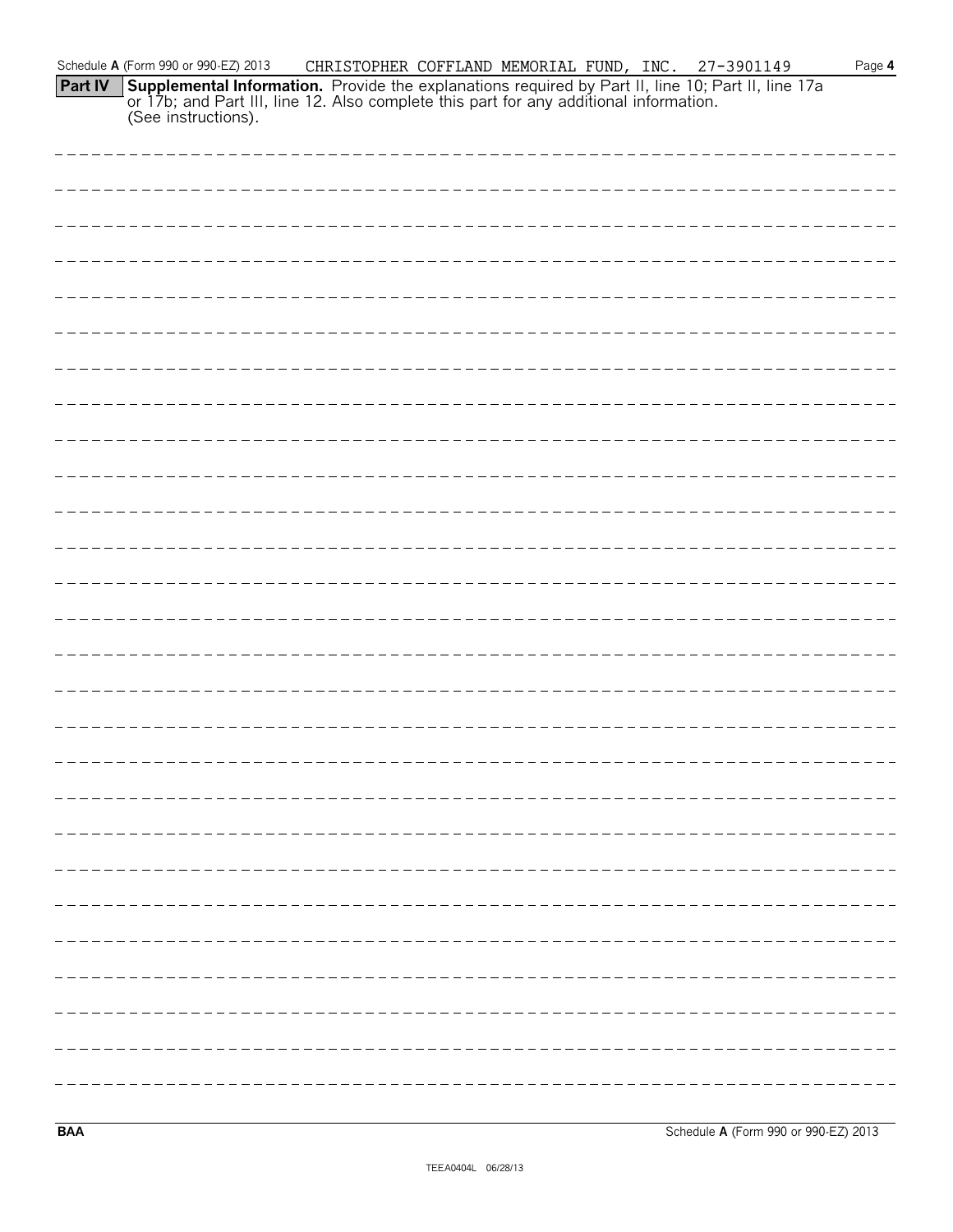| Schedule A (Form 990 or 990-EZ) 2013<br>CHRISTOPHER COFFLAND MEMORIAL FUND, INC. 27-3901149<br>Page 4                                                                                                                              |
|------------------------------------------------------------------------------------------------------------------------------------------------------------------------------------------------------------------------------------|
| <b>Supplemental Information.</b> Provide the explanations required by Part II, line 10; Part II, line 17a or 17b; and Part III, line 12. Also complete this part for any additional information.<br>Part IV<br>(See instructions). |
|                                                                                                                                                                                                                                    |
|                                                                                                                                                                                                                                    |
|                                                                                                                                                                                                                                    |
|                                                                                                                                                                                                                                    |
|                                                                                                                                                                                                                                    |
|                                                                                                                                                                                                                                    |
|                                                                                                                                                                                                                                    |
|                                                                                                                                                                                                                                    |
|                                                                                                                                                                                                                                    |
|                                                                                                                                                                                                                                    |
|                                                                                                                                                                                                                                    |
|                                                                                                                                                                                                                                    |
|                                                                                                                                                                                                                                    |
|                                                                                                                                                                                                                                    |
|                                                                                                                                                                                                                                    |
|                                                                                                                                                                                                                                    |
|                                                                                                                                                                                                                                    |
|                                                                                                                                                                                                                                    |
|                                                                                                                                                                                                                                    |
|                                                                                                                                                                                                                                    |
|                                                                                                                                                                                                                                    |
|                                                                                                                                                                                                                                    |
|                                                                                                                                                                                                                                    |
|                                                                                                                                                                                                                                    |
|                                                                                                                                                                                                                                    |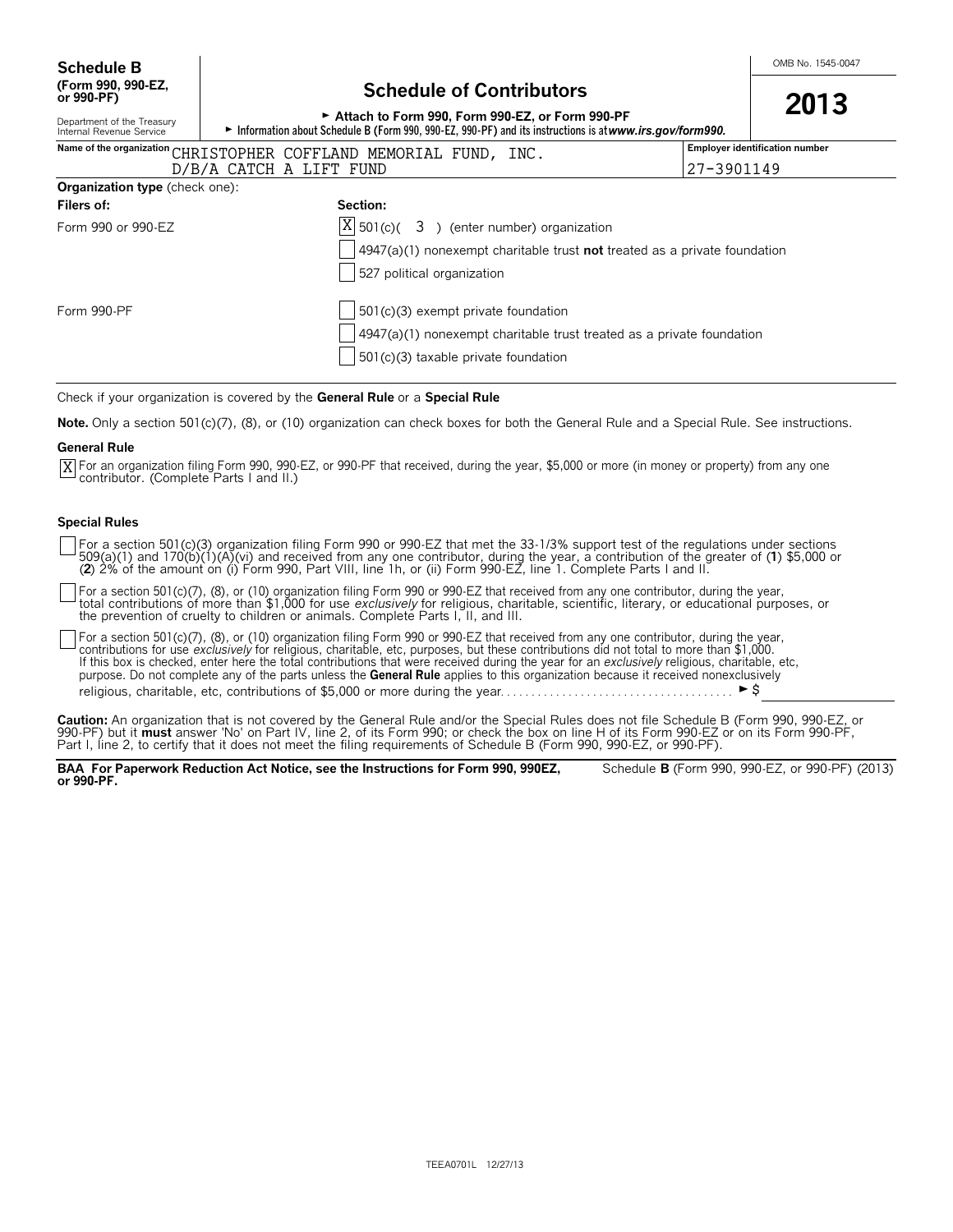# **Schedule of Contributors**

| or 990-PF)                                             | <u>Julianum VI Volitiibutoi S</u>                                                                                                                            | 2013                                  |
|--------------------------------------------------------|--------------------------------------------------------------------------------------------------------------------------------------------------------------|---------------------------------------|
| Department of the Treasury<br>Internal Revenue Service | Attach to Form 990. Form 990-EZ, or Form 990-PF<br>► Information about Schedule B (Form 990, 990-EZ, 990-PF) and its instructions is at www.irs.gov/form990. |                                       |
|                                                        | Name of the organization CHRISTOPHER COFFLAND MEMORIAL FUND, INC.                                                                                            | <b>Employer identification number</b> |
|                                                        | D/B/A CATCH A LIFT FUND<br>27-3901149                                                                                                                        |                                       |
| <b>Organization type</b> (check one):                  |                                                                                                                                                              |                                       |
| Filers of:                                             | Section:                                                                                                                                                     |                                       |
| Form 990 or 990-EZ                                     | $ X $ 501(c)( 3) (enter number) organization                                                                                                                 |                                       |
|                                                        | $\vert$ 4947(a)(1) nonexempt charitable trust <b>not</b> treated as a private foundation                                                                     |                                       |
|                                                        | 527 political organization                                                                                                                                   |                                       |
| Form 990-PF                                            | $\vert$ 501(c)(3) exempt private foundation                                                                                                                  |                                       |
|                                                        | 4947(a)(1) nonexempt charitable trust treated as a private foundation                                                                                        |                                       |
|                                                        | 501(c)(3) taxable private foundation                                                                                                                         |                                       |

Check if your organization is covered by the **General Rule** or a **Special Rule**.

**Note.** Only a section 501(c)(7), (8), or (10) organization can check boxes for both the General Rule and a Special Rule. See instructions.

#### **General Rule**

 $\overline{X}$  For an organization filing Form 990, 990 EZ, or 990 PF that received, during the year, \$5,000 or more (in money or property) from any one contributor. (Complete Parts I and II.)

#### **Special Rules**

For a section 501(c)(3) organization filing Form 990 or 990-EZ that met the 33-1/3% support test of the regulations under sections<br>509(a)(1) and 170(b)(1)(A)(vi) and received from any one contributor, during the year, a co (**2**) 2% of the amount on (i) Form 990, Part VIII, line 1h, or (ii) Form 990-EZ, line 1. Complete Parts I and II.

For a section 501(c)(7), (8), or (10) organization filing Form 990 or 990-EZ that received from any one contributor, during the year,<br>total contributions of more than \$1,000 for use *exclusively* for religious, charitable, the prevention of cruelty to children or animals. Complete Parts I, II, and III.

For a section 501(c)(7), (8), or (10) organization filing Form 990 or 990-EZ that received from any one contributor, during the year, contributions for use *exclusively* for religious, charitable, etc, purposes, but these contributions did not total to more than \$1,000.<br>If this box is checked, enter here the total contributions that were received during purpose. Do not complete any of the parts unless the **General Rule** applies to this organization because it received nonexclusively religious, charitable, etc, contributions of \$5,000 or more during the year. . . . . . . . . . . . . . . . . . . . . . . . . . . . . . . . . . . . . . G\$

**Caution:** An organization that is not covered by the General Rule and/or the Special Rules does not file Schedule B (Form 990, 990-EZ, or 990-PF) but it **must** answer 'No' on Part IV, line 2, of its Form 990; or check the box on line H of its Form 990-EZ or on its Form 990-PF, Part I, line 2, to certify that it does not meet the filing requirements of Schedule B (Form 990, 990-EZ, or 990-PF).

**BAA For Paperwork Reduction Act Notice, see the Instructions for Form 990, 990EZ,** Schedule **B** (Form 990, 990-EZ, or 990-PF) (2013) **or 990-PF.**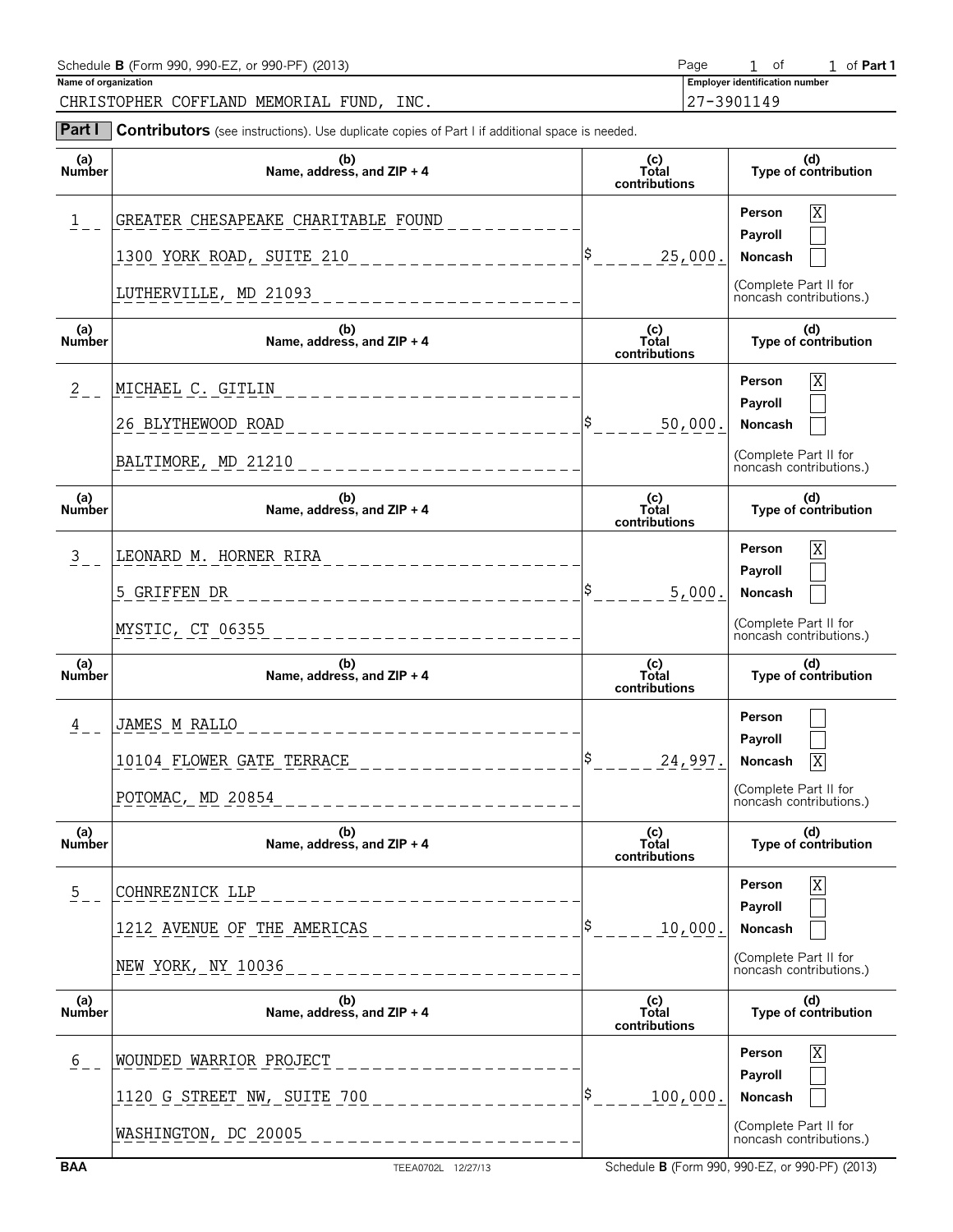| Schedule <b>B</b> (Form 990, 990-EZ, or 990-PF) (2013)                                                          | Page                                  | ot o | l of <b>Part 1</b> |
|-----------------------------------------------------------------------------------------------------------------|---------------------------------------|------|--------------------|
| Name of organization                                                                                            | <b>Employer identification number</b> |      |                    |
| CHRISTOPHER COFFLAND MEMORIAL FUND.<br>INC.                                                                     | 127-3901149                           |      |                    |
| Part I<br><b>Contributors</b> (see instructions). Use duplicate copies of Part I if additional space is needed. |                                       |      |                    |

| (a)<br>Number        | (b)<br>Name, address, and ZIP + 4                                                    | (c)<br>Total<br>contributions | (d)<br>Type of contribution                      |
|----------------------|--------------------------------------------------------------------------------------|-------------------------------|--------------------------------------------------|
| 1                    | GREATER CHESAPEAKE CHARITABLE FOUND<br>1300 YORK ROAD, SUITE 210 ___________________ | 25,000.                       | X<br>Person<br>Payroll<br>Noncash                |
|                      | LUTHERVILLE, MD 21093_________________________                                       |                               | (Complete Part II for<br>noncash contributions.) |
| (a)<br><b>Number</b> | (b)<br>Name, address, and ZIP + 4                                                    | (c)<br>Total<br>contributions | (d)<br>Type of contribution                      |
| $\frac{2}{2}$        | MICHAEL C. GITLIN<br>_______________________                                         |                               | X<br>Person<br>Payroll                           |
|                      | 26 BLYTHEWOOD ROAD<br>___________________                                            | 50,000.                       | Noncash                                          |
|                      | BALTIMORE, MD 21210<br>-----------------------                                       |                               | (Complete Part II for<br>noncash contributions.) |
| (a)<br><b>Number</b> | (b)<br>Name, address, and ZIP + 4                                                    | (c)<br>Total<br>contributions | (d)<br>Type of contribution                      |
| 3 <sup>7</sup>       | LEONARD M. HORNER RIRA                                                               |                               | X<br>Person                                      |
|                      | 5 GRIFFEN DR<br>___________________________                                          | 5,000.                        | Payroll<br>Noncash                               |
|                      | MYSTIC, CT 06355<br>-----------------------                                          |                               | (Complete Part II for<br>noncash contributions.) |
|                      |                                                                                      |                               |                                                  |
| (a)<br><b>Number</b> | (b)<br>Name, address, and ZIP + 4                                                    | (c)<br>Total<br>contributions | (d)<br>Type of contribution                      |
| 4                    | JAMES M RALLO                                                                        |                               | Person                                           |
|                      | 10104 FLOWER GATE TERRACE                                                            | 24,997.                       | Payroll<br>X<br>Noncash                          |
|                      | POTOMAC, MD 20854                                                                    |                               | (Complete Part II for<br>noncash contributions.) |
| (a)<br>Number        | (b)<br>Name, address, and ZIP + 4                                                    | (c)<br>Total<br>contributions | (d)<br>Type of contribution                      |
| $\overline{5}$       | COHNREZNICK LLP                                                                      |                               | Person                                           |
|                      | 1212 AVENUE OF THE AMERICAS                                                          | 10,000.                       | Payroll<br>Noncash                               |
|                      | NEW YORK, NY 10036                                                                   |                               | (Complete Part II for<br>noncash contributions.) |
| (a)<br>Number        | (b)<br>Name, address, and ZIP + 4                                                    | (c)<br>Total<br>contributions | (d)<br>Type of contribution                      |
| $6 \overline{6}$     | WOUNDED WARRIOR PROJECT                                                              |                               | Person<br>Χ                                      |
|                      | 1120 G STREET NW, SUITE 700                                                          | 100,000.                      | Payroll<br>Noncash                               |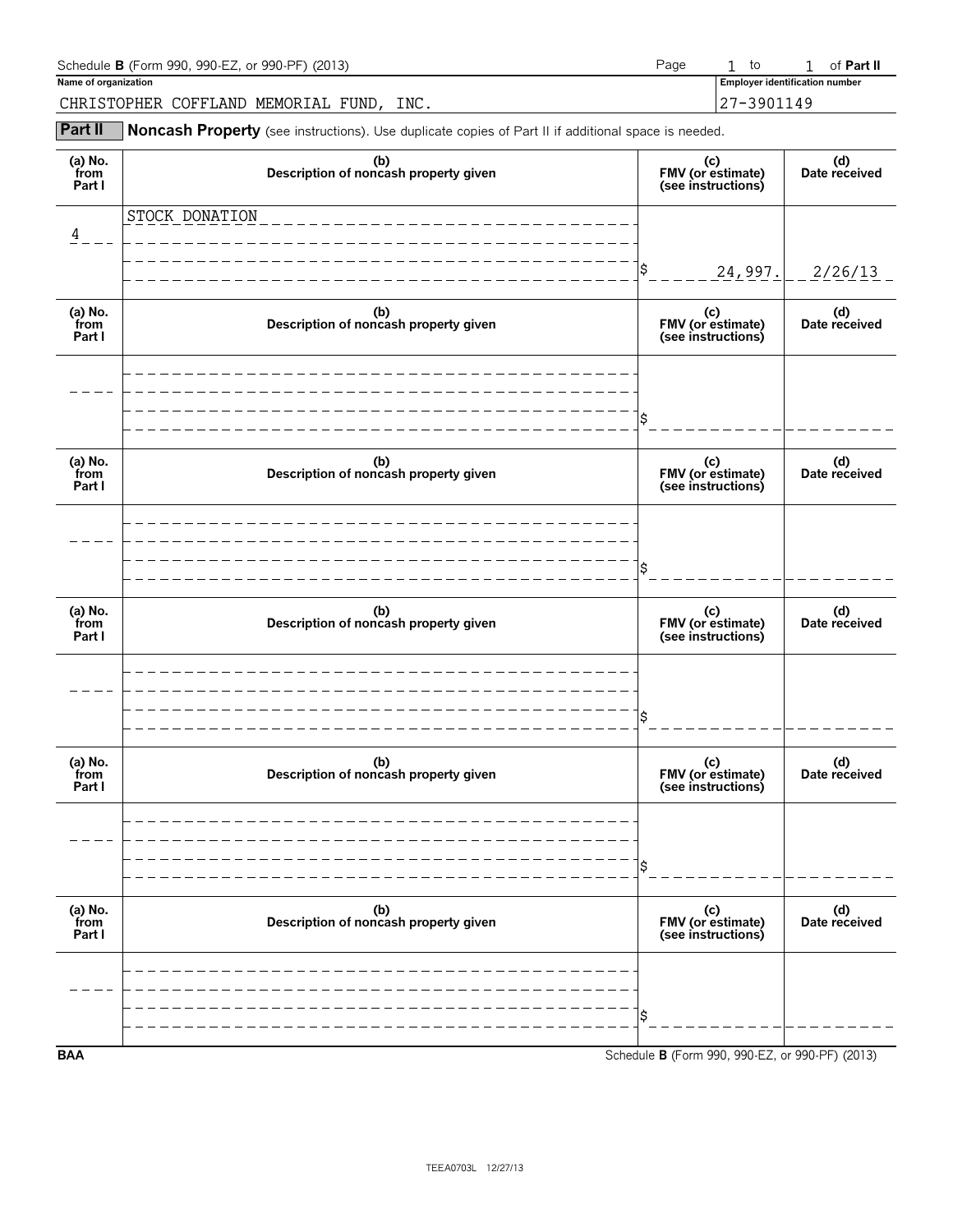| Schedule <b>B</b> (Form 990, 990-EZ, or 990-PF) (2013) | to | of Part II                            |  |
|--------------------------------------------------------|----|---------------------------------------|--|
| Name of organization                                   |    | <b>Employer identification number</b> |  |
| CHRISTOPHER COFFLAND MEMORIAL FUND.<br>INC.            |    | 27-3901149                            |  |

**Part II** Noncash Property (see instructions). Use duplicate copies of Part II if additional space is needed.

| (a) No.<br>from<br>Part I | (b)<br>Description of noncash property given | (c)<br>FMV (or estimate)<br>(see instructions)  | (d)<br>Date received |
|---------------------------|----------------------------------------------|-------------------------------------------------|----------------------|
| 4                         | STOCK DONATION                               |                                                 |                      |
|                           |                                              | \$<br>24,997.                                   | 2/26/13              |
| (a) No.<br>from<br>Part I | (b)<br>Description of noncash property given | (c)<br>FMV (or estimate)<br>(see instructions)  | (d)<br>Date received |
|                           |                                              |                                                 |                      |
|                           |                                              | \$                                              |                      |
| (a) No.<br>from<br>Part I | (b)<br>Description of noncash property given | (c)<br>FMV (or estimate)<br>(see instructions)  | (d)<br>Date received |
|                           |                                              |                                                 |                      |
|                           |                                              | Ś                                               |                      |
| (a) No.<br>from<br>Part I | (b)<br>Description of noncash property given | (c)<br>FMV (or estimate)<br>(see instructions)  | (d)<br>Date received |
|                           |                                              |                                                 |                      |
|                           |                                              | Ś                                               |                      |
| (a) $No.$ from<br>Part I  | (b)<br>Description of noncash property given | (c)<br>FMV (or estimate)<br>(see instructions)  | (d)<br>Date received |
|                           |                                              |                                                 |                      |
|                           |                                              | \$                                              |                      |
| (a) No.<br>from<br>Part I | (b)<br>Description of noncash property given | (c)<br>FMV (or estimate)<br>(see instructions)  | (d)<br>Date received |
|                           |                                              |                                                 |                      |
|                           |                                              | \$                                              |                      |
| <b>BAA</b>                |                                              | Schedule B (Form 990, 990-EZ, or 990-PF) (2013) |                      |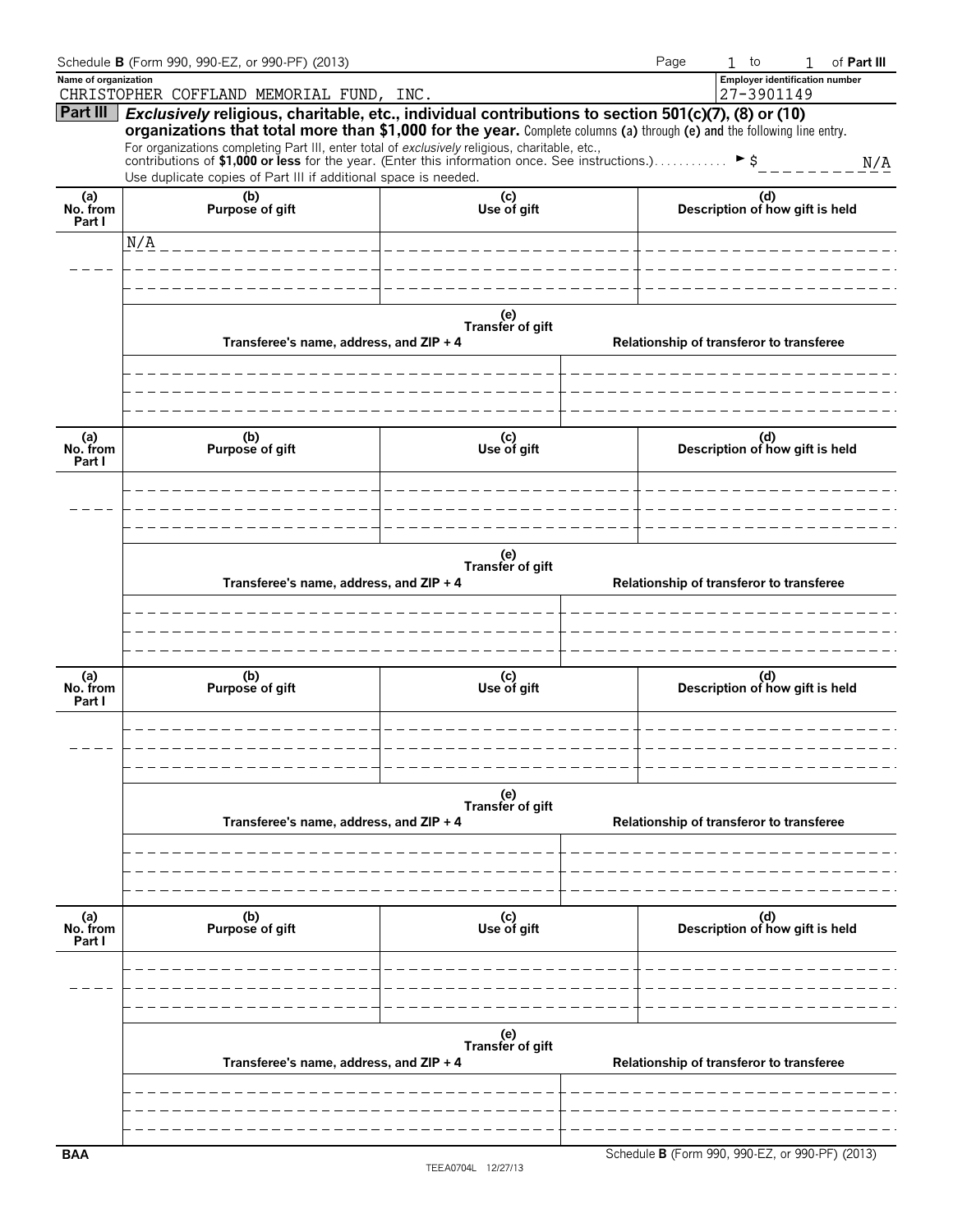|                           | Schedule B (Form 990, 990-EZ, or 990-PF) (2013)                                                                                                                                                                                                                                                                                                                                                                                                                                                              |                         | Page                                            | $1$ to                                              | 1 | of Part III |
|---------------------------|--------------------------------------------------------------------------------------------------------------------------------------------------------------------------------------------------------------------------------------------------------------------------------------------------------------------------------------------------------------------------------------------------------------------------------------------------------------------------------------------------------------|-------------------------|-------------------------------------------------|-----------------------------------------------------|---|-------------|
| Name of organization      | CHRISTOPHER COFFLAND MEMORIAL FUND, INC.                                                                                                                                                                                                                                                                                                                                                                                                                                                                     |                         |                                                 | <b>Employer identification number</b><br>27-3901149 |   |             |
| Part III                  | Exclusively religious, charitable, etc., individual contributions to section 501(c)(7), (8) or (10)<br>organizations that total more than \$1,000 for the year. Complete columns (a) through (e) and the following line entry.<br>For organizations completing Part III, enter total of exclusively religious, charitable, etc.,<br>contributions of \$1,000 or less for the year. (Enter this information once. See instructions.). ▶ \$<br>Use duplicate copies of Part III if additional space is needed. |                         |                                                 |                                                     |   | N/A         |
| (a)<br>No. from           | (b)<br>Purpose of gift                                                                                                                                                                                                                                                                                                                                                                                                                                                                                       |                         | (d)<br>Description of how gift is held          |                                                     |   |             |
| Part I                    | N/A                                                                                                                                                                                                                                                                                                                                                                                                                                                                                                          |                         |                                                 |                                                     |   |             |
|                           |                                                                                                                                                                                                                                                                                                                                                                                                                                                                                                              |                         |                                                 |                                                     |   |             |
|                           |                                                                                                                                                                                                                                                                                                                                                                                                                                                                                                              |                         |                                                 |                                                     |   |             |
|                           | Transferee's name, address, and ZIP + 4                                                                                                                                                                                                                                                                                                                                                                                                                                                                      |                         | Relationship of transferor to transferee        |                                                     |   |             |
| (a)<br>No. from           | (b)<br>Purpose of gift                                                                                                                                                                                                                                                                                                                                                                                                                                                                                       | (c)<br>Use of gift      |                                                 | (d)<br>Description of how gift is held              |   |             |
| Part I                    |                                                                                                                                                                                                                                                                                                                                                                                                                                                                                                              |                         |                                                 |                                                     |   |             |
|                           | Transferee's name, address, and ZIP + 4                                                                                                                                                                                                                                                                                                                                                                                                                                                                      | (e)<br>Transfer of gift |                                                 | Relationship of transferor to transferee            |   |             |
|                           |                                                                                                                                                                                                                                                                                                                                                                                                                                                                                                              |                         |                                                 |                                                     |   |             |
| (a)<br>No. from<br>Part I | (b)<br>Purpose of gift                                                                                                                                                                                                                                                                                                                                                                                                                                                                                       | (c)<br>Use of gift      |                                                 | (d)<br>Description of how gift is held              |   |             |
|                           |                                                                                                                                                                                                                                                                                                                                                                                                                                                                                                              | (e)<br>Transfer of gift |                                                 |                                                     |   |             |
|                           | Transferee's name, address, and ZIP + 4                                                                                                                                                                                                                                                                                                                                                                                                                                                                      |                         | Relationship of transferor to transferee        |                                                     |   |             |
|                           |                                                                                                                                                                                                                                                                                                                                                                                                                                                                                                              |                         |                                                 |                                                     |   |             |
| (a)<br>No. from<br>Part I | (b)<br>Purpose of gift                                                                                                                                                                                                                                                                                                                                                                                                                                                                                       | (c)<br>Use of gift      |                                                 | (d)<br>Description of how gift is held              |   |             |
|                           |                                                                                                                                                                                                                                                                                                                                                                                                                                                                                                              | (e)<br>Transfer of gift |                                                 |                                                     |   |             |
|                           | Transferee's name, address, and ZIP + 4                                                                                                                                                                                                                                                                                                                                                                                                                                                                      |                         | Relationship of transferor to transferee        |                                                     |   |             |
| <b>BAA</b>                |                                                                                                                                                                                                                                                                                                                                                                                                                                                                                                              |                         | Schedule B (Form 990, 990-EZ, or 990-PF) (2013) |                                                     |   |             |

**B** (Form 990, 990-EZ, or 990-PF) (2013)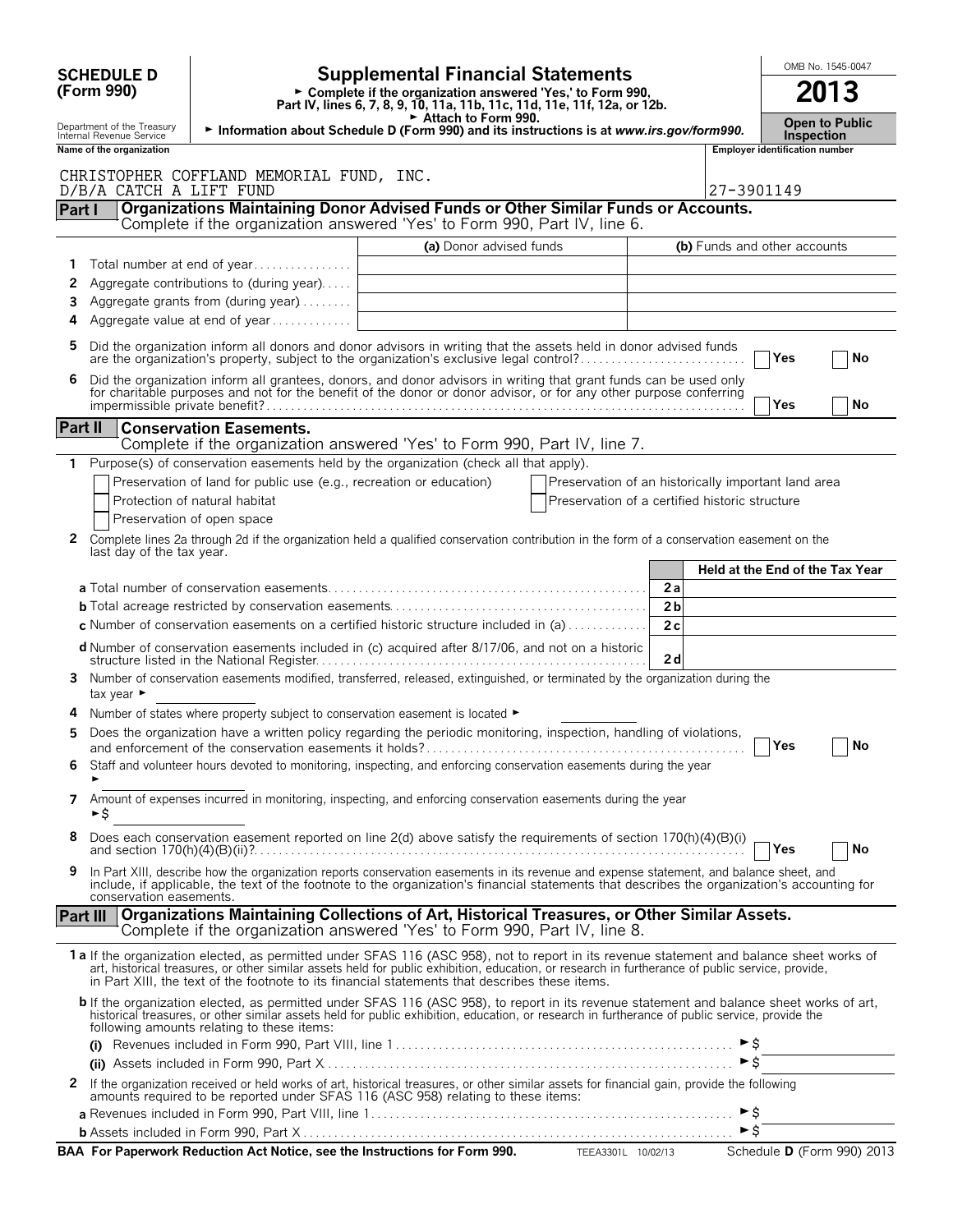| <b>SCHEDULE D</b>                                                                                                                                 |                                                                     | <b>Supplemental Financial Statements</b>                                                                                                                                                                                                                                                                                                                                                        |                                                     |                                 |                                       | OMB No. 1545-0047 |
|---------------------------------------------------------------------------------------------------------------------------------------------------|---------------------------------------------------------------------|-------------------------------------------------------------------------------------------------------------------------------------------------------------------------------------------------------------------------------------------------------------------------------------------------------------------------------------------------------------------------------------------------|-----------------------------------------------------|---------------------------------|---------------------------------------|-------------------|
| (Form 990)                                                                                                                                        |                                                                     | 2013                                                                                                                                                                                                                                                                                                                                                                                            |                                                     |                                 |                                       |                   |
| Department of the Treasury<br>Information about Schedule D (Form 990) and its instructions is at www.irs.gov/form990.<br>Internal Revenue Service | <b>Inspection</b>                                                   | <b>Open to Public</b>                                                                                                                                                                                                                                                                                                                                                                           |                                                     |                                 |                                       |                   |
| Name of the organization                                                                                                                          |                                                                     |                                                                                                                                                                                                                                                                                                                                                                                                 |                                                     |                                 | <b>Employer identification number</b> |                   |
|                                                                                                                                                   | CHRISTOPHER COFFLAND MEMORIAL FUND, INC.                            |                                                                                                                                                                                                                                                                                                                                                                                                 |                                                     |                                 |                                       |                   |
| D/B/A CATCH A LIFT FUND                                                                                                                           |                                                                     |                                                                                                                                                                                                                                                                                                                                                                                                 |                                                     | 27-3901149                      |                                       |                   |
| Part I                                                                                                                                            |                                                                     | <b>Organizations Maintaining Donor Advised Funds or Other Similar Funds or Accounts.</b><br>Complete if the organization answered 'Yes' to Form 990, Part IV, line 6.                                                                                                                                                                                                                           |                                                     |                                 |                                       |                   |
|                                                                                                                                                   |                                                                     | (a) Donor advised funds                                                                                                                                                                                                                                                                                                                                                                         |                                                     | (b) Funds and other accounts    |                                       |                   |
|                                                                                                                                                   | Total number at end of year                                         |                                                                                                                                                                                                                                                                                                                                                                                                 |                                                     |                                 |                                       |                   |
| 2                                                                                                                                                 | Aggregate contributions to (during year)                            |                                                                                                                                                                                                                                                                                                                                                                                                 |                                                     |                                 |                                       |                   |
| 3                                                                                                                                                 | Aggregate grants from (during year)                                 |                                                                                                                                                                                                                                                                                                                                                                                                 |                                                     |                                 |                                       |                   |
| 4                                                                                                                                                 | Aggregate value at end of year                                      |                                                                                                                                                                                                                                                                                                                                                                                                 |                                                     |                                 |                                       |                   |
| 5                                                                                                                                                 |                                                                     | Did the organization inform all donors and donor advisors in writing that the assets held in donor advised funds<br>are the organization's property, subject to the organization's exclusive legal control?                                                                                                                                                                                     |                                                     |                                 | Yes                                   | No                |
| 6                                                                                                                                                 |                                                                     | Did the organization inform all grantees, donors, and donor advisors in writing that grant funds can be used only<br>for charitable purposes and not for the benefit of the donor or donor advisor, or for any other purpose conferring                                                                                                                                                         |                                                     |                                 | Yes.                                  | No                |
| <b>Part II</b>                                                                                                                                    | <b>Conservation Easements.</b>                                      |                                                                                                                                                                                                                                                                                                                                                                                                 |                                                     |                                 |                                       |                   |
|                                                                                                                                                   |                                                                     | Complete if the organization answered 'Yes' to Form 990, Part IV, line 7.                                                                                                                                                                                                                                                                                                                       |                                                     |                                 |                                       |                   |
| 1                                                                                                                                                 |                                                                     | Purpose(s) of conservation easements held by the organization (check all that apply).                                                                                                                                                                                                                                                                                                           |                                                     |                                 |                                       |                   |
|                                                                                                                                                   | Preservation of land for public use (e.g., recreation or education) |                                                                                                                                                                                                                                                                                                                                                                                                 | Preservation of an historically important land area |                                 |                                       |                   |
| Protection of natural habitat                                                                                                                     |                                                                     |                                                                                                                                                                                                                                                                                                                                                                                                 | Preservation of a certified historic structure      |                                 |                                       |                   |
| Preservation of open space                                                                                                                        |                                                                     |                                                                                                                                                                                                                                                                                                                                                                                                 |                                                     |                                 |                                       |                   |
| $\mathbf{2}$<br>last day of the tax year.                                                                                                         |                                                                     | Complete lines 2a through 2d if the organization held a qualified conservation contribution in the form of a conservation easement on the                                                                                                                                                                                                                                                       |                                                     | Held at the End of the Tax Year |                                       |                   |
|                                                                                                                                                   |                                                                     |                                                                                                                                                                                                                                                                                                                                                                                                 | 2a                                                  |                                 |                                       |                   |
|                                                                                                                                                   |                                                                     |                                                                                                                                                                                                                                                                                                                                                                                                 | 2 <sub>b</sub>                                      |                                 |                                       |                   |
|                                                                                                                                                   |                                                                     | c Number of conservation easements on a certified historic structure included in (a)                                                                                                                                                                                                                                                                                                            | 2c                                                  |                                 |                                       |                   |
|                                                                                                                                                   |                                                                     | <b>d</b> Number of conservation easements included in (c) acquired after 8/17/06, and not on a historic                                                                                                                                                                                                                                                                                         | 2d                                                  |                                 |                                       |                   |
| 3<br>tax year $\blacktriangleright$                                                                                                               |                                                                     | Number of conservation easements modified, transferred, released, extinguished, or terminated by the organization during the                                                                                                                                                                                                                                                                    |                                                     |                                 |                                       |                   |
|                                                                                                                                                   |                                                                     | Number of states where property subject to conservation easement is located ►                                                                                                                                                                                                                                                                                                                   |                                                     |                                 |                                       |                   |
| 5                                                                                                                                                 |                                                                     | Does the organization have a written policy regarding the periodic monitoring, inspection, handling of violations,                                                                                                                                                                                                                                                                              |                                                     |                                 |                                       | $\Box$ No         |
| 6                                                                                                                                                 |                                                                     | Staff and volunteer hours devoted to monitoring, inspecting, and enforcing conservation easements during the year                                                                                                                                                                                                                                                                               |                                                     |                                 |                                       |                   |
| 7<br>►S                                                                                                                                           |                                                                     | Amount of expenses incurred in monitoring, inspecting, and enforcing conservation easements during the year                                                                                                                                                                                                                                                                                     |                                                     |                                 |                                       |                   |
| 8                                                                                                                                                 |                                                                     | Does each conservation easement reported on line 2(d) above satisfy the requirements of section $170(h)(4)(B)(i)$<br>and section $170(h)(4)(B)(ii)$ .                                                                                                                                                                                                                                           |                                                     |                                 | <b>PYes</b>                           | No                |
| 9<br>conservation easements.                                                                                                                      |                                                                     | In Part XIII, describe how the organization reports conservation easements in its revenue and expense statement, and balance sheet, and<br>include, if applicable, the text of the footnote to the organization's financial statements that describes the organization's accounting for                                                                                                         |                                                     |                                 |                                       |                   |
| <b>Part III</b>                                                                                                                                   |                                                                     | Organizations Maintaining Collections of Art, Historical Treasures, or Other Similar Assets.<br>Complete if the organization answered 'Yes' to Form 990, Part IV, line 8.                                                                                                                                                                                                                       |                                                     |                                 |                                       |                   |
|                                                                                                                                                   |                                                                     | 1 a If the organization elected, as permitted under SFAS 116 (ASC 958), not to report in its revenue statement and balance sheet works of<br>art, historical treasures, or other similar assets held for public exhibition, education, or research in furtherance of public service, provide,<br>in Part XIII, the text of the footnote to its financial statements that describes these items. |                                                     |                                 |                                       |                   |
|                                                                                                                                                   | following amounts relating to these items:                          | b If the organization elected, as permitted under SFAS 116 (ASC 958), to report in its revenue statement and balance sheet works of art,<br>historical treasures, or other similar assets held for public exhibition, education, or research in furtherance of public service, provide the                                                                                                      |                                                     |                                 |                                       |                   |
|                                                                                                                                                   |                                                                     |                                                                                                                                                                                                                                                                                                                                                                                                 |                                                     | $\triangleright$ \$             |                                       |                   |
|                                                                                                                                                   |                                                                     |                                                                                                                                                                                                                                                                                                                                                                                                 |                                                     |                                 |                                       |                   |
|                                                                                                                                                   |                                                                     |                                                                                                                                                                                                                                                                                                                                                                                                 |                                                     |                                 |                                       |                   |
| 2                                                                                                                                                 |                                                                     | If the organization received or held works of art, historical treasures, or other similar assets for financial gain, provide the following<br>amounts required to be reported under SFAS 116 (ASC 958) relating to these items:                                                                                                                                                                 |                                                     |                                 |                                       |                   |
|                                                                                                                                                   |                                                                     |                                                                                                                                                                                                                                                                                                                                                                                                 |                                                     | $\triangleright$ \$             |                                       |                   |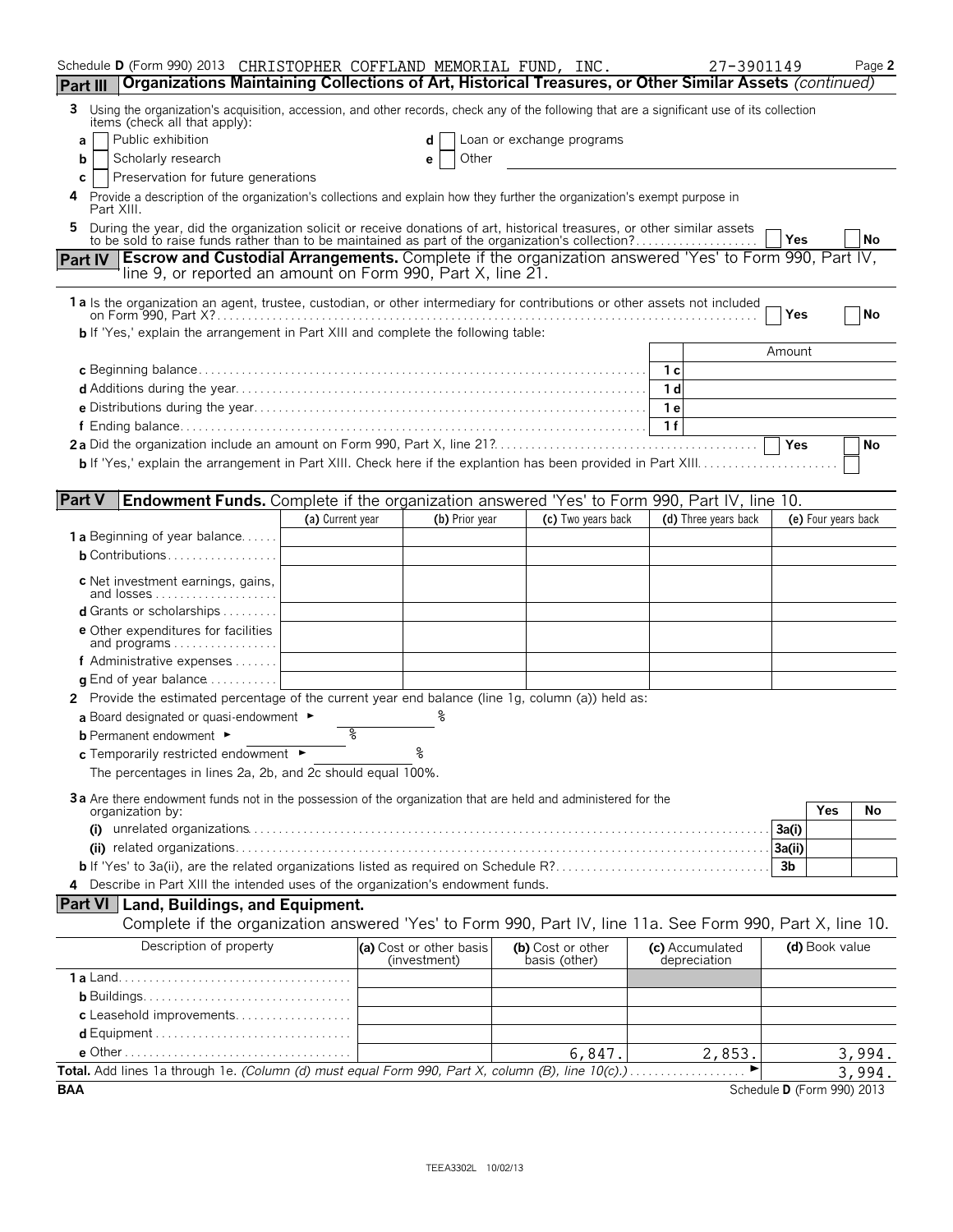| Schedule D (Form 990) 2013 CHRISTOPHER COFFLAND MEMORIAL FUND, INC.<br>Organizations Maintaining Collections of Art, Historical Treasures, or Other Similar Assets (continued)<br><b>Part III</b>                              |                  |                                         |                                    |        | 27-3901149                      |                            | Page 2 |
|--------------------------------------------------------------------------------------------------------------------------------------------------------------------------------------------------------------------------------|------------------|-----------------------------------------|------------------------------------|--------|---------------------------------|----------------------------|--------|
| 3 Using the organization's acquisition, accession, and other records, check any of the following that are a significant use of its collection                                                                                  |                  |                                         |                                    |        |                                 |                            |        |
| items (check all that apply):<br>Public exhibition<br>a                                                                                                                                                                        |                  | d                                       | Loan or exchange programs          |        |                                 |                            |        |
| Scholarly research<br>b                                                                                                                                                                                                        |                  | Other<br>е                              |                                    |        |                                 |                            |        |
| Preservation for future generations<br>С                                                                                                                                                                                       |                  |                                         |                                    |        |                                 |                            |        |
| Provide a description of the organization's collections and explain how they further the organization's exempt purpose in<br>Part XIII.                                                                                        |                  |                                         |                                    |        |                                 |                            |        |
| During the year, did the organization solicit or receive donations of art, historical treasures, or other similar assets to be sold to raise funds rather than to be maintained as part of the organization's collection?<br>5 |                  |                                         |                                    |        |                                 | Yes                        | No     |
| <b>Escrow and Custodial Arrangements.</b> Complete if the organization answered 'Yes' to Form 990, Part IV,<br>Part IV                                                                                                         |                  |                                         |                                    |        |                                 |                            |        |
| line 9, or reported an amount on Form 990, Part X, line 21.                                                                                                                                                                    |                  |                                         |                                    |        |                                 |                            |        |
| 1a Is the organization an agent, trustee, custodian, or other intermediary for contributions or other assets not included                                                                                                      |                  |                                         |                                    |        |                                 | Yes                        | No     |
| <b>b</b> If 'Yes,' explain the arrangement in Part XIII and complete the following table:                                                                                                                                      |                  |                                         |                                    |        |                                 |                            |        |
|                                                                                                                                                                                                                                |                  |                                         |                                    |        |                                 | Amount                     |        |
|                                                                                                                                                                                                                                |                  |                                         |                                    |        | $\overline{\phantom{a}}$ 1 c    |                            |        |
|                                                                                                                                                                                                                                |                  |                                         |                                    |        | 1 <sub>d</sub>                  |                            |        |
|                                                                                                                                                                                                                                |                  |                                         |                                    |        | 1 e                             |                            |        |
|                                                                                                                                                                                                                                |                  |                                         |                                    |        | 1f                              |                            |        |
|                                                                                                                                                                                                                                |                  |                                         |                                    |        |                                 | Yes                        | No     |
|                                                                                                                                                                                                                                |                  |                                         |                                    |        |                                 |                            |        |
| <b>Part V</b><br>Endowment Funds. Complete if the organization answered 'Yes' to Form 990, Part IV, line 10.                                                                                                                   |                  |                                         |                                    |        |                                 |                            |        |
|                                                                                                                                                                                                                                | (a) Current year | (b) Prior year                          | (c) Two years back                 |        | (d) Three years back            | (e) Four years back        |        |
| <b>1 a</b> Beginning of year balance                                                                                                                                                                                           |                  |                                         |                                    |        |                                 |                            |        |
| <b>b</b> Contributions                                                                                                                                                                                                         |                  |                                         |                                    |        |                                 |                            |        |
| c Net investment earnings, gains,                                                                                                                                                                                              |                  |                                         |                                    |        |                                 |                            |        |
| and losses<br>d Grants or scholarships                                                                                                                                                                                         |                  |                                         |                                    |        |                                 |                            |        |
| <b>e</b> Other expenditures for facilities                                                                                                                                                                                     |                  |                                         |                                    |        |                                 |                            |        |
| and programs                                                                                                                                                                                                                   |                  |                                         |                                    |        |                                 |                            |        |
| f Administrative expenses                                                                                                                                                                                                      |                  |                                         |                                    |        |                                 |                            |        |
| <b>g</b> End of year balance $\ldots \ldots \ldots$                                                                                                                                                                            |                  |                                         |                                    |        |                                 |                            |        |
| 2 Provide the estimated percentage of the current year end balance (line 1g, column (a)) held as:                                                                                                                              |                  |                                         |                                    |        |                                 |                            |        |
| a Board designated or quasi-endowment $\blacktriangleright$                                                                                                                                                                    | ిన               |                                         |                                    |        |                                 |                            |        |
| <b>b</b> Permanent endowment ►                                                                                                                                                                                                 |                  | ٥.                                      |                                    |        |                                 |                            |        |
| c Temporarily restricted endowment ►<br>The percentages in lines 2a, 2b, and 2c should equal 100%.                                                                                                                             |                  |                                         |                                    |        |                                 |                            |        |
|                                                                                                                                                                                                                                |                  |                                         |                                    |        |                                 |                            |        |
| 3a Are there endowment funds not in the possession of the organization that are held and administered for the<br>organization by:                                                                                              |                  |                                         |                                    |        |                                 | <b>Yes</b>                 | No     |
| (i)                                                                                                                                                                                                                            |                  |                                         |                                    |        |                                 | 3a(i)                      |        |
|                                                                                                                                                                                                                                |                  |                                         |                                    |        |                                 | 3a(ii)                     |        |
|                                                                                                                                                                                                                                |                  |                                         |                                    |        |                                 | 3 <sub>b</sub>             |        |
| 4 Describe in Part XIII the intended uses of the organization's endowment funds.                                                                                                                                               |                  |                                         |                                    |        |                                 |                            |        |
| <b>Part VI</b> Land, Buildings, and Equipment.                                                                                                                                                                                 |                  |                                         |                                    |        |                                 |                            |        |
| Complete if the organization answered 'Yes' to Form 990, Part IV, line 11a. See Form 990, Part X, line 10.                                                                                                                     |                  |                                         |                                    |        |                                 |                            |        |
| Description of property                                                                                                                                                                                                        |                  | (a) Cost or other basis<br>(investment) | (b) Cost or other<br>basis (other) |        | (c) Accumulated<br>depreciation | (d) Book value             |        |
|                                                                                                                                                                                                                                |                  |                                         |                                    |        |                                 |                            |        |
|                                                                                                                                                                                                                                |                  |                                         |                                    |        |                                 |                            |        |
| c Leasehold improvements                                                                                                                                                                                                       |                  |                                         |                                    |        |                                 |                            |        |
|                                                                                                                                                                                                                                |                  |                                         |                                    |        |                                 |                            |        |
|                                                                                                                                                                                                                                |                  |                                         |                                    | 6,847. | 2,853.                          |                            | 3,994. |
| Total. Add lines 1a through 1e. (Column (d) must equal Form 990, Part X, column (B), line 10(c).)                                                                                                                              |                  |                                         |                                    |        |                                 |                            | 3,994. |
| BAA                                                                                                                                                                                                                            |                  |                                         |                                    |        |                                 | Schedule D (Form 990) 2013 |        |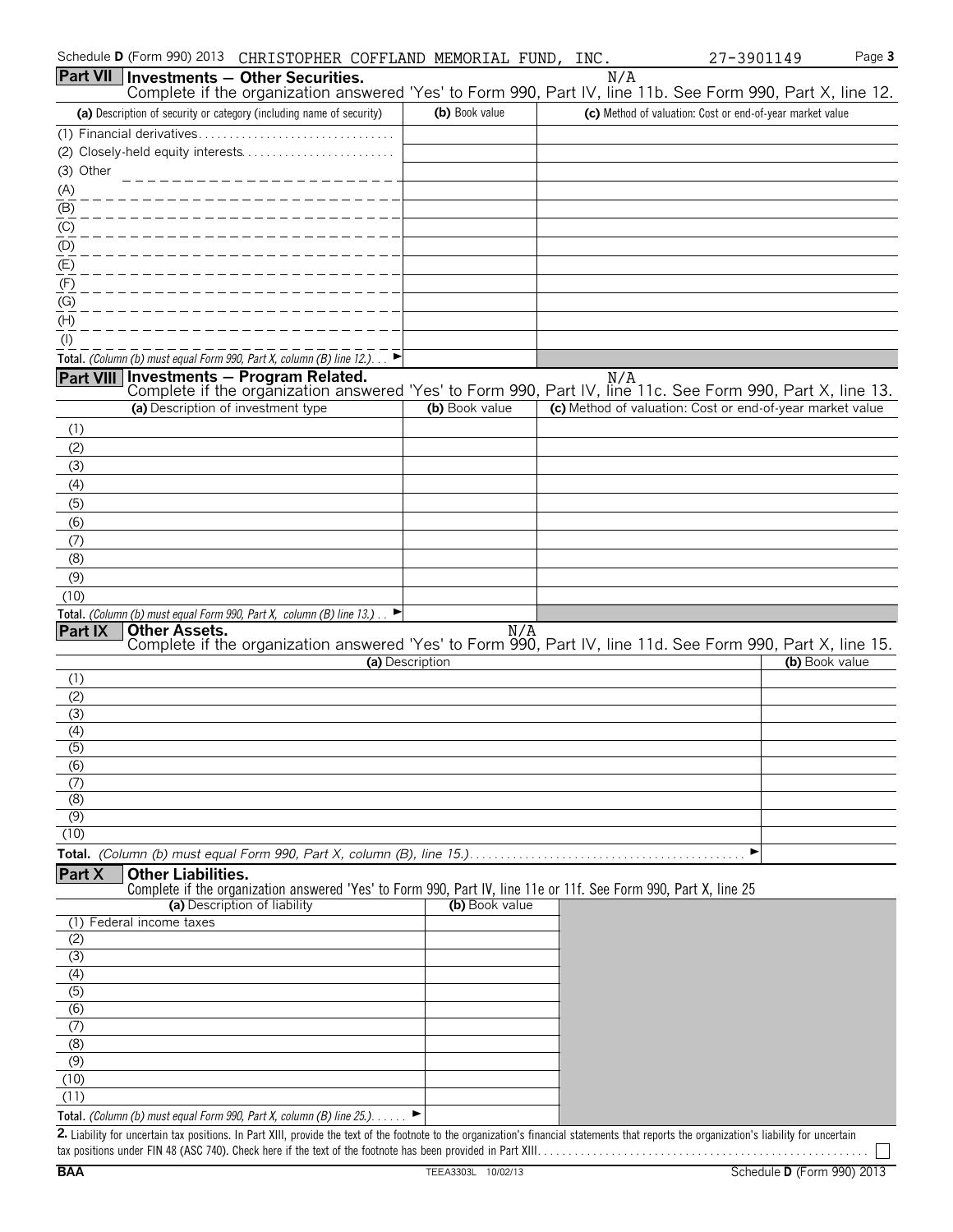|                             | Schedule D (Form 990) 2013<br>CHRISTOPHER COFFLAND MEMORIAL FUND, INC.                                                                                                                                                                                                                        |                 |     | 27-3901149                                                | Page 3 |
|-----------------------------|-----------------------------------------------------------------------------------------------------------------------------------------------------------------------------------------------------------------------------------------------------------------------------------------------|-----------------|-----|-----------------------------------------------------------|--------|
|                             | <b>Part VII Investments - Other Securities.</b>                                                                                                                                                                                                                                               |                 | N/A |                                                           |        |
|                             | Complete if the organization answered 'Yes' to Form 990, Part IV, line 11b. See Form 990, Part X, line 12.                                                                                                                                                                                    |                 |     |                                                           |        |
|                             | (a) Description of security or category (including name of security)                                                                                                                                                                                                                          | (b) Book value  |     | (c) Method of valuation: Cost or end-of-year market value |        |
|                             |                                                                                                                                                                                                                                                                                               |                 |     |                                                           |        |
| (3) Other                   |                                                                                                                                                                                                                                                                                               |                 |     |                                                           |        |
| (A)                         | ___________________                                                                                                                                                                                                                                                                           |                 |     |                                                           |        |
| $\overline{(\mathsf{B})}$   |                                                                                                                                                                                                                                                                                               |                 |     |                                                           |        |
| (C)                         |                                                                                                                                                                                                                                                                                               |                 |     |                                                           |        |
| (D)                         |                                                                                                                                                                                                                                                                                               |                 |     |                                                           |        |
| $\overline{E}$              |                                                                                                                                                                                                                                                                                               |                 |     |                                                           |        |
| (F)                         |                                                                                                                                                                                                                                                                                               |                 |     |                                                           |        |
| (G)<br>(H)                  |                                                                                                                                                                                                                                                                                               |                 |     |                                                           |        |
| $($ l $)$                   |                                                                                                                                                                                                                                                                                               |                 |     |                                                           |        |
|                             | Total. (Column (b) must equal Form 990, Part X, column (B) line 12.). $\Box$                                                                                                                                                                                                                  |                 |     |                                                           |        |
|                             | Part VIII Investments - Program Related.                                                                                                                                                                                                                                                      |                 | N/A |                                                           |        |
|                             | Complete if the organization answered 'Yes' to Form 990, Part IV, line 11c. See Form 990, Part X, line 13.                                                                                                                                                                                    |                 |     |                                                           |        |
|                             | (a) Description of investment type                                                                                                                                                                                                                                                            | (b) Book value  |     | (c) Method of valuation: Cost or end-of-year market value |        |
| (1)                         |                                                                                                                                                                                                                                                                                               |                 |     |                                                           |        |
| (2)<br>(3)                  |                                                                                                                                                                                                                                                                                               |                 |     |                                                           |        |
| (4)                         |                                                                                                                                                                                                                                                                                               |                 |     |                                                           |        |
| (5)                         |                                                                                                                                                                                                                                                                                               |                 |     |                                                           |        |
| (6)                         |                                                                                                                                                                                                                                                                                               |                 |     |                                                           |        |
| (7)                         |                                                                                                                                                                                                                                                                                               |                 |     |                                                           |        |
| (8)                         |                                                                                                                                                                                                                                                                                               |                 |     |                                                           |        |
| (9)                         |                                                                                                                                                                                                                                                                                               |                 |     |                                                           |        |
| (10)                        |                                                                                                                                                                                                                                                                                               |                 |     |                                                           |        |
| Part IX                     | Total. (Column (b) must equal Form 990, Part X, column (B) line 13.) $\Box$<br><b>Other Assets.</b>                                                                                                                                                                                           | N/A             |     |                                                           |        |
|                             | Complete if the organization answered 'Yes' to Form 990, Part IV, line 11d. See Form 990, Part X, line 15.                                                                                                                                                                                    |                 |     |                                                           |        |
|                             |                                                                                                                                                                                                                                                                                               | (a) Description |     | (b) Book value                                            |        |
| (1)<br>(2)                  |                                                                                                                                                                                                                                                                                               |                 |     |                                                           |        |
| (3)                         |                                                                                                                                                                                                                                                                                               |                 |     |                                                           |        |
| (4)                         |                                                                                                                                                                                                                                                                                               |                 |     |                                                           |        |
| $\overline{(5)}$            |                                                                                                                                                                                                                                                                                               |                 |     |                                                           |        |
| (6)                         |                                                                                                                                                                                                                                                                                               |                 |     |                                                           |        |
| (7)<br>(8)                  |                                                                                                                                                                                                                                                                                               |                 |     |                                                           |        |
| (9)                         |                                                                                                                                                                                                                                                                                               |                 |     |                                                           |        |
| (10)                        |                                                                                                                                                                                                                                                                                               |                 |     |                                                           |        |
|                             |                                                                                                                                                                                                                                                                                               |                 |     | ▶                                                         |        |
| Part X                      | <b>Other Liabilities.</b>                                                                                                                                                                                                                                                                     |                 |     |                                                           |        |
|                             | Complete if the organization answered 'Yes' to Form 990, Part IV, line 11e or 11f. See Form 990, Part X, line 25<br>(a) Description of liability                                                                                                                                              | (b) Book value  |     |                                                           |        |
| (1)                         | Federal income taxes                                                                                                                                                                                                                                                                          |                 |     |                                                           |        |
| (2)                         |                                                                                                                                                                                                                                                                                               |                 |     |                                                           |        |
| (3)                         |                                                                                                                                                                                                                                                                                               |                 |     |                                                           |        |
| (4)                         |                                                                                                                                                                                                                                                                                               |                 |     |                                                           |        |
| (5)<br>(6)                  |                                                                                                                                                                                                                                                                                               |                 |     |                                                           |        |
| $\overline{(\overline{7})}$ |                                                                                                                                                                                                                                                                                               |                 |     |                                                           |        |
| (8)                         |                                                                                                                                                                                                                                                                                               |                 |     |                                                           |        |
| (9)                         |                                                                                                                                                                                                                                                                                               |                 |     |                                                           |        |
| (10)                        |                                                                                                                                                                                                                                                                                               |                 |     |                                                           |        |
| (11)                        |                                                                                                                                                                                                                                                                                               |                 |     |                                                           |        |
|                             | Total. (Column (b) must equal Form 990, Part X, column (B) line $25.$ ). $\blacktriangleright$<br>2. Liability for uncertain tax positions. In Part XIII, provide the text of the footnote to the organization's financial statements that reports the organization's liability for uncertain |                 |     |                                                           |        |
|                             |                                                                                                                                                                                                                                                                                               |                 |     |                                                           |        |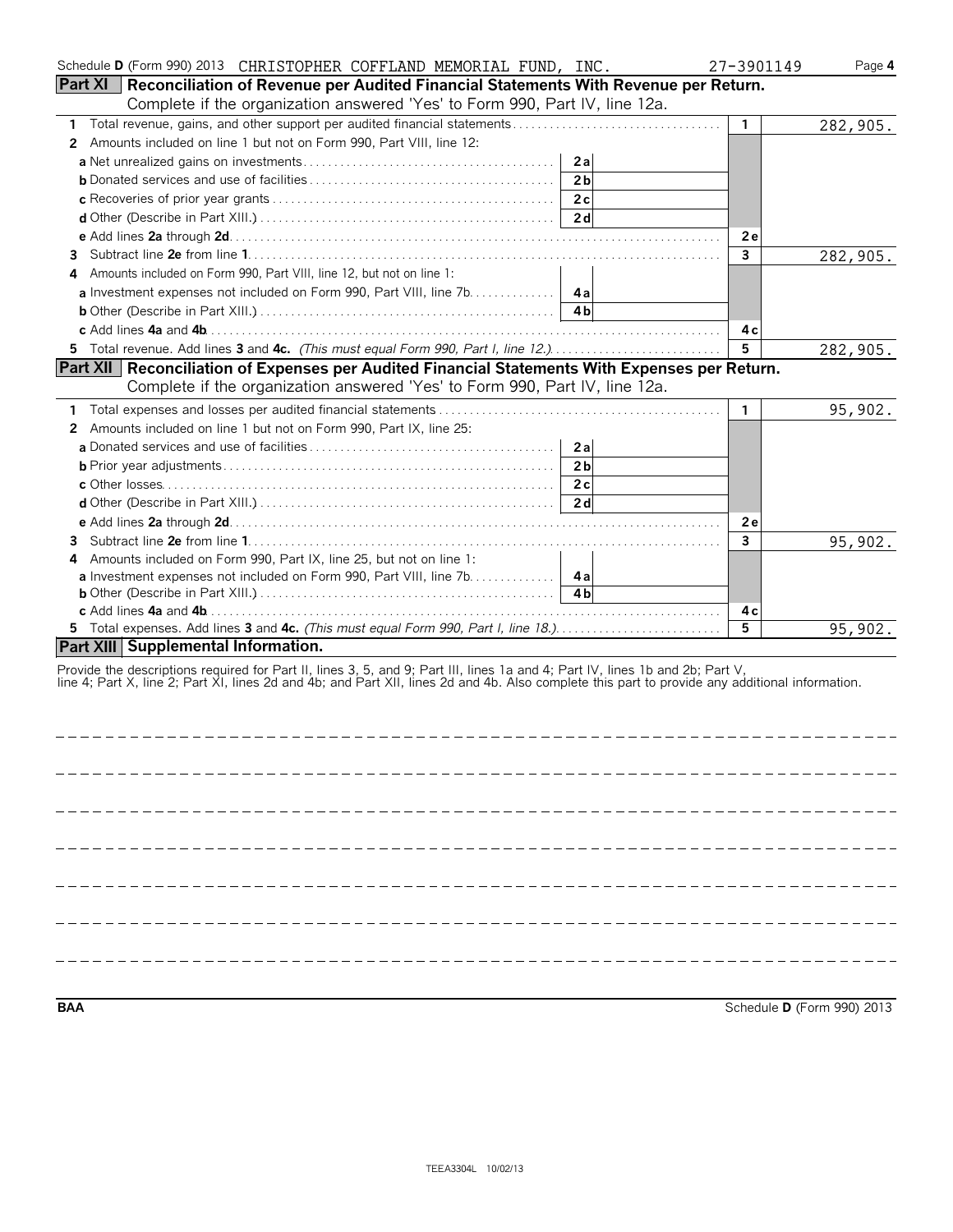| Schedule D (Form 990) 2013 CHRISTOPHER COFFLAND MEMORIAL FUND, INC.                                                                             | 27-3901149   | Page 4   |
|-------------------------------------------------------------------------------------------------------------------------------------------------|--------------|----------|
| Part XI   Reconciliation of Revenue per Audited Financial Statements With Revenue per Return.                                                   |              |          |
| Complete if the organization answered 'Yes' to Form 990, Part IV, line 12a.                                                                     |              |          |
| Total revenue, gains, and other support per audited financial statements<br>1                                                                   | $\mathbf{1}$ | 282,905. |
| Amounts included on line 1 but not on Form 990, Part VIII, line 12:<br>$\mathbf{2}^{\prime}$                                                    |              |          |
| 2a                                                                                                                                              |              |          |
| 2 <sub>b</sub>                                                                                                                                  |              |          |
| 2c                                                                                                                                              |              |          |
| 2d                                                                                                                                              |              |          |
|                                                                                                                                                 | <b>2e</b>    |          |
| 3                                                                                                                                               | 3            | 282,905. |
| Amounts included on Form 990, Part VIII, line 12, but not on line 1:<br>4                                                                       |              |          |
|                                                                                                                                                 |              |          |
| 4 b                                                                                                                                             |              |          |
|                                                                                                                                                 | 4с           |          |
| 5 Total revenue. Add lines 3 and 4c. (This must equal Form 990, Part I, line 12.)                                                               | 5.           | 282,905. |
| Part XII   Reconciliation of Expenses per Audited Financial Statements With Expenses per Return.                                                |              |          |
| Complete if the organization answered 'Yes' to Form 990, Part IV, line 12a.                                                                     |              |          |
|                                                                                                                                                 | $\mathbf{1}$ | 95,902.  |
| Amounts included on line 1 but not on Form 990, Part IX, line 25:<br>2                                                                          |              |          |
| 2a                                                                                                                                              |              |          |
| 2 <sub>b</sub>                                                                                                                                  |              |          |
| 2c                                                                                                                                              |              |          |
| 2d                                                                                                                                              |              |          |
|                                                                                                                                                 | 2e           |          |
| 3                                                                                                                                               | 3            | 95,902.  |
| Amounts included on Form 990, Part IX, line 25, but not on line 1:<br>4                                                                         |              |          |
| a Investment expenses not included on Form 990, Part VIII, line 7b. 4a                                                                          |              |          |
| 4 <sub>h</sub>                                                                                                                                  |              |          |
|                                                                                                                                                 | 4 c          |          |
| 5 Total expenses. Add lines 3 and 4c. (This must equal Form 990, Part I, line 18.)                                                              | 5            | 95,902.  |
| Part XIII Supplemental Information.                                                                                                             |              |          |
| Provide the descriptions required for Part II, lines 3, 5, and 9; Part III, lines 1a and 4; Part IV, lines 1b and 2b; Part V,                   |              |          |
| line 4; Part X, line 2; Part XI, lines 2d and 4b; and Part XII, lines 2d and 4b. Also complete this part to provide any additional information. |              |          |
|                                                                                                                                                 |              |          |
|                                                                                                                                                 |              |          |
|                                                                                                                                                 |              |          |

**BAA** Schedule **D** (Form 990) 2013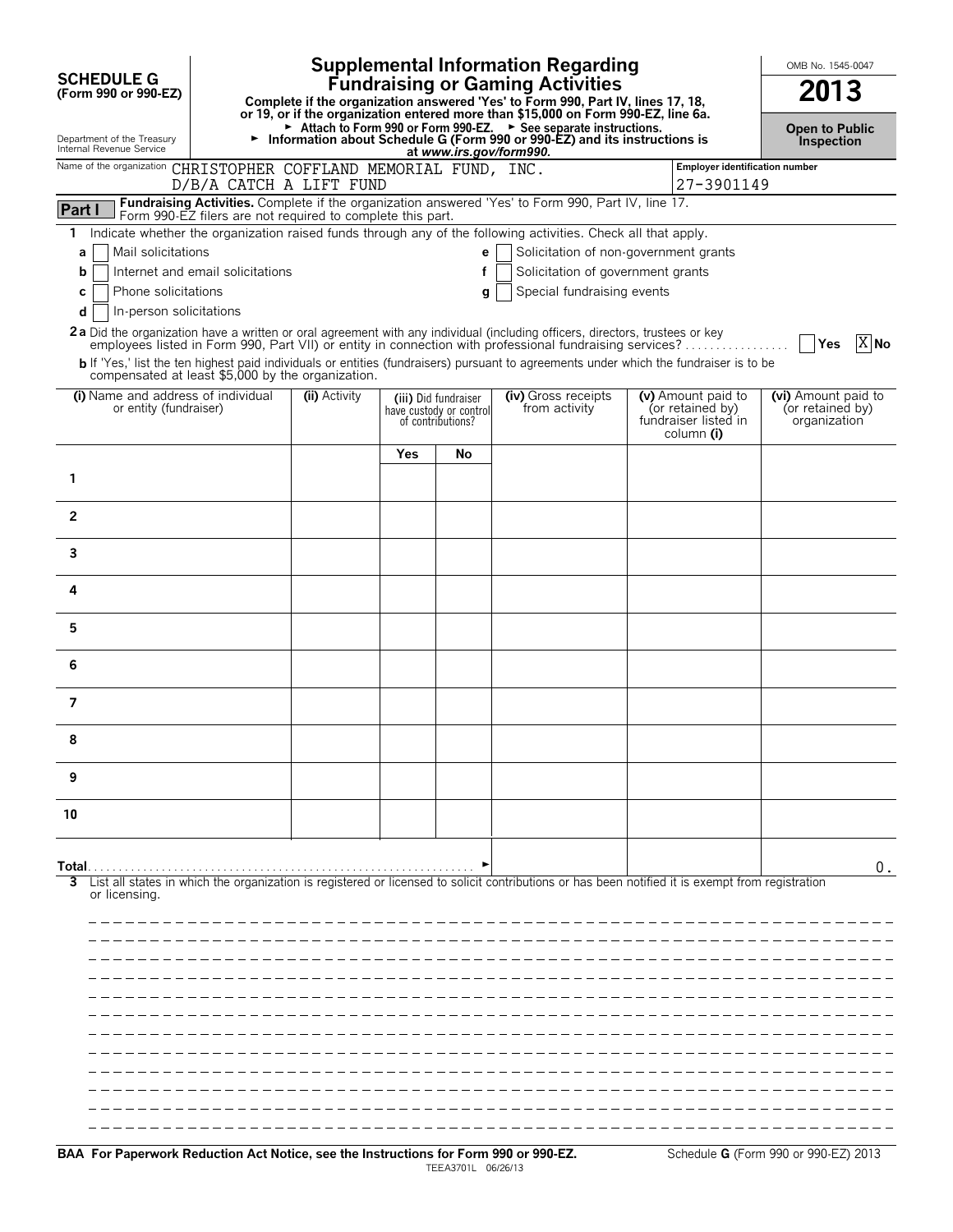|                                                                   |                                                                                   |                       |     |                                                                      | <b>Supplemental Information Regarding</b><br><b>Fundraising or Gaming Activities</b>                                                                                                                                                    |                                                                              | OMB No. 1545-0047                                       |
|-------------------------------------------------------------------|-----------------------------------------------------------------------------------|-----------------------|-----|----------------------------------------------------------------------|-----------------------------------------------------------------------------------------------------------------------------------------------------------------------------------------------------------------------------------------|------------------------------------------------------------------------------|---------------------------------------------------------|
| <b>SCHEDULE G</b><br>(Form 990 or 990-EZ)                         | Complete if the organization answered 'Yes' to Form 990, Part IV, lines 17, 18,   | 2013                  |     |                                                                      |                                                                                                                                                                                                                                         |                                                                              |                                                         |
|                                                                   | or 19, or if the organization entered more than \$15,000 on Form 990-EZ, line 6a. | <b>Open to Public</b> |     |                                                                      |                                                                                                                                                                                                                                         |                                                                              |                                                         |
| Department of the Treasury<br>Internal Revenue Service            |                                                                                   |                       |     | at www.irs.gov/form990.                                              | Attach to Form 990 or Form 990-EZ. > See separate instructions.<br>Information about Schedule G (Form 990 or 990-EZ) and its instructions is                                                                                            |                                                                              | <b>Inspection</b>                                       |
| Name of the organization CHRISTOPHER COFFLAND MEMORIAL FUND, INC. | D/B/A CATCH A LIFT FUND                                                           |                       |     |                                                                      |                                                                                                                                                                                                                                         | Employer identification number<br>27-3901149                                 |                                                         |
| Part                                                              | Form 990-EZ filers are not required to complete this part.                        |                       |     |                                                                      | Fundraising Activities. Complete if the organization answered 'Yes' to Form 990, Part IV, line 17.                                                                                                                                      |                                                                              |                                                         |
| 1                                                                 |                                                                                   |                       |     |                                                                      | Indicate whether the organization raised funds through any of the following activities. Check all that apply,                                                                                                                           |                                                                              |                                                         |
| Mail solicitations<br>a<br>b                                      | Internet and email solicitations                                                  |                       |     | e<br>f                                                               | Solicitation of non-government grants<br>Solicitation of government grants                                                                                                                                                              |                                                                              |                                                         |
| Phone solicitations<br>C                                          |                                                                                   |                       |     | g                                                                    | Special fundraising events                                                                                                                                                                                                              |                                                                              |                                                         |
| In-person solicitations<br>d                                      |                                                                                   |                       |     |                                                                      |                                                                                                                                                                                                                                         |                                                                              |                                                         |
|                                                                   |                                                                                   |                       |     |                                                                      | 2a Did the organization have a written or oral agreement with any individual (including officers, directors, trustees or key<br>employees listed in Form 990, Part VII) or entity in connection with professional fundraising services? |                                                                              | $X$ No<br>Yes                                           |
|                                                                   | compensated at least \$5,000 by the organization.                                 |                       |     |                                                                      | b If 'Yes,' list the ten highest paid individuals or entities (fundraisers) pursuant to agreements under which the fundraiser is to be                                                                                                  |                                                                              |                                                         |
| (i) Name and address of individual<br>or entity (fundraiser)      |                                                                                   | (ii) Activity         |     | (iii) Did fundraiser<br>have custody or control<br>of contributions? | (iv) Gross receipts<br>from activity                                                                                                                                                                                                    | (v) Amount paid to<br>(or retained by)<br>fundraiser listed in<br>column (i) | (vi) Amount paid to<br>(or retained by)<br>organization |
|                                                                   |                                                                                   |                       | Yes | No                                                                   |                                                                                                                                                                                                                                         |                                                                              |                                                         |
| 1                                                                 |                                                                                   |                       |     |                                                                      |                                                                                                                                                                                                                                         |                                                                              |                                                         |
| $\mathbf{2}$                                                      |                                                                                   |                       |     |                                                                      |                                                                                                                                                                                                                                         |                                                                              |                                                         |
| 3                                                                 |                                                                                   |                       |     |                                                                      |                                                                                                                                                                                                                                         |                                                                              |                                                         |
| 4                                                                 |                                                                                   |                       |     |                                                                      |                                                                                                                                                                                                                                         |                                                                              |                                                         |
| 5                                                                 |                                                                                   |                       |     |                                                                      |                                                                                                                                                                                                                                         |                                                                              |                                                         |
| 6                                                                 |                                                                                   |                       |     |                                                                      |                                                                                                                                                                                                                                         |                                                                              |                                                         |
| 7                                                                 |                                                                                   |                       |     |                                                                      |                                                                                                                                                                                                                                         |                                                                              |                                                         |
| 8                                                                 |                                                                                   |                       |     |                                                                      |                                                                                                                                                                                                                                         |                                                                              |                                                         |
| 9                                                                 |                                                                                   |                       |     |                                                                      |                                                                                                                                                                                                                                         |                                                                              |                                                         |
| 10                                                                |                                                                                   |                       |     |                                                                      |                                                                                                                                                                                                                                         |                                                                              |                                                         |
| Total.<br>or licensing.                                           |                                                                                   |                       |     |                                                                      | List all states in which the organization is registered or licensed to solicit contributions or has been notified it is exempt from registration                                                                                        |                                                                              | 0.                                                      |
|                                                                   |                                                                                   |                       |     |                                                                      |                                                                                                                                                                                                                                         |                                                                              |                                                         |
|                                                                   |                                                                                   |                       |     |                                                                      |                                                                                                                                                                                                                                         |                                                                              |                                                         |
|                                                                   |                                                                                   |                       |     |                                                                      |                                                                                                                                                                                                                                         |                                                                              |                                                         |
|                                                                   |                                                                                   |                       |     |                                                                      |                                                                                                                                                                                                                                         |                                                                              |                                                         |
|                                                                   |                                                                                   |                       |     |                                                                      |                                                                                                                                                                                                                                         |                                                                              |                                                         |
|                                                                   |                                                                                   |                       |     |                                                                      |                                                                                                                                                                                                                                         |                                                                              |                                                         |
|                                                                   |                                                                                   |                       |     |                                                                      |                                                                                                                                                                                                                                         |                                                                              |                                                         |
|                                                                   |                                                                                   |                       |     |                                                                      |                                                                                                                                                                                                                                         |                                                                              |                                                         |
|                                                                   |                                                                                   |                       |     |                                                                      |                                                                                                                                                                                                                                         |                                                                              |                                                         |
|                                                                   |                                                                                   |                       |     |                                                                      |                                                                                                                                                                                                                                         |                                                                              |                                                         |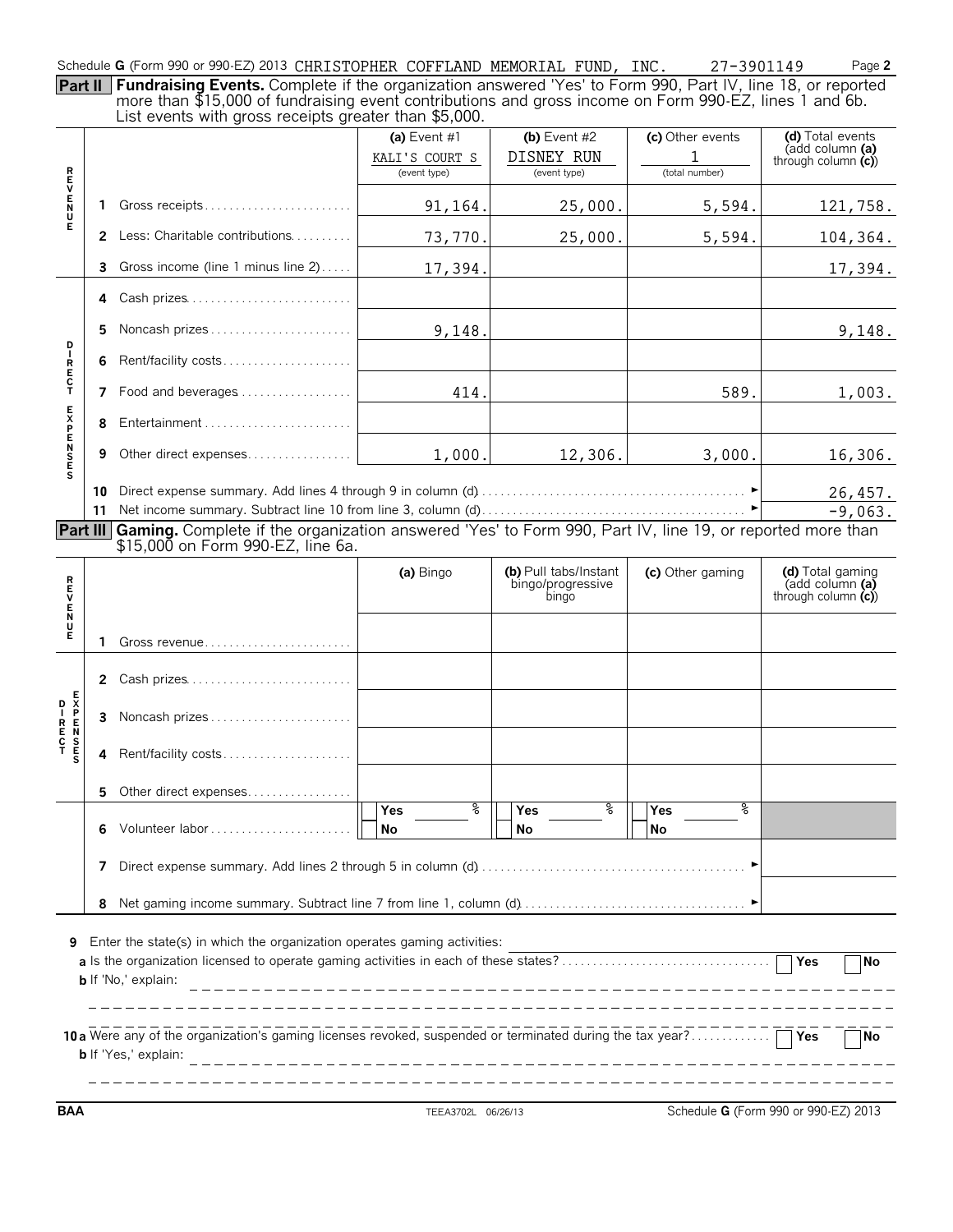Schedule **G** (Form 990 or 990-EZ) 2013 CHRISTOPHER COFFLAND MEMORIAL FUND, INC. 27-3901149 Page 2

**Part II Fundraising Events.** Complete if the organization answered 'Yes' to Form 990, Part IV, line 18, or reported more than \$15,000 of fundraising event contributions and gross income on Form 990-EZ, lines 1 and 6b. List events with gross receipts greater than \$5,000.

|                 |                                                                                                               | List events with gross receipts greater than \$9,000.                                                                                                  | (a) Event $#1$<br>KALI'S COURT S<br>(event type) | (b) Event $#2$<br>DISNEY RUN<br>(event type)        | (c) Other events<br>1<br>(total number) | (d) Total events<br>(add column (a)<br>through column $(c)$ |  |  |  |  |  |
|-----------------|---------------------------------------------------------------------------------------------------------------|--------------------------------------------------------------------------------------------------------------------------------------------------------|--------------------------------------------------|-----------------------------------------------------|-----------------------------------------|-------------------------------------------------------------|--|--|--|--|--|
| トロンドラス          | 1.                                                                                                            |                                                                                                                                                        | 91,164.                                          | 25,000.                                             | 5,594.                                  | 121,758.                                                    |  |  |  |  |  |
|                 | 2                                                                                                             | Less: Charitable contributions                                                                                                                         | 73,770.                                          | 25,000.                                             | 5,594.                                  | 104,364.                                                    |  |  |  |  |  |
|                 | 3.                                                                                                            | Gross income (line 1 minus line 2)                                                                                                                     | 17,394.                                          |                                                     |                                         | 17,394.                                                     |  |  |  |  |  |
|                 | 4                                                                                                             | Cash prizes                                                                                                                                            |                                                  |                                                     |                                         |                                                             |  |  |  |  |  |
|                 | 5.                                                                                                            | Noncash prizes                                                                                                                                         | 9,148.                                           |                                                     |                                         | 9,148.                                                      |  |  |  |  |  |
| D – R E C T     | 6                                                                                                             | Rent/facility costs                                                                                                                                    |                                                  |                                                     |                                         |                                                             |  |  |  |  |  |
|                 | 7                                                                                                             | Food and beverages                                                                                                                                     | 414.                                             |                                                     | 589.                                    | 1,003.                                                      |  |  |  |  |  |
|                 | 8                                                                                                             |                                                                                                                                                        |                                                  |                                                     |                                         |                                                             |  |  |  |  |  |
| <b>EXPENSES</b> | 9                                                                                                             | Other direct expenses                                                                                                                                  | 1,000.                                           | 12,306.                                             | 3,000.                                  | 16,306.                                                     |  |  |  |  |  |
|                 | 11                                                                                                            |                                                                                                                                                        |                                                  |                                                     |                                         | 26,457.<br>$-9,063.$                                        |  |  |  |  |  |
|                 |                                                                                                               | Part III Gaming. Complete if the organization answered 'Yes' to Form 990, Part IV, line 19, or reported more than<br>\$15,000 on Form 990-EZ, line 6a. |                                                  |                                                     |                                         |                                                             |  |  |  |  |  |
| <b>REVENDE</b>  |                                                                                                               |                                                                                                                                                        | (a) Bingo                                        | (b) Pull tabs/Instant<br>bingo/progressive<br>bingo | (c) Other gaming                        | (d) Total gaming<br>(add column (a)<br>through column $(c)$ |  |  |  |  |  |
|                 | 1                                                                                                             | Gross revenue                                                                                                                                          |                                                  |                                                     |                                         |                                                             |  |  |  |  |  |
|                 |                                                                                                               | 2 Cash prizes                                                                                                                                          |                                                  |                                                     |                                         |                                                             |  |  |  |  |  |
|                 | 3                                                                                                             | Noncash prizes                                                                                                                                         |                                                  |                                                     |                                         |                                                             |  |  |  |  |  |
|                 | 4                                                                                                             | Rent/facility costs                                                                                                                                    |                                                  |                                                     |                                         |                                                             |  |  |  |  |  |
|                 |                                                                                                               | 5 Other direct expenses                                                                                                                                |                                                  |                                                     |                                         |                                                             |  |  |  |  |  |
|                 | 6                                                                                                             |                                                                                                                                                        | နွ<br>$\overline{\text{Yes}}$<br>No              | ႜ<br>Yes<br>No                                      | နွ<br>Yes<br><b>No</b>                  |                                                             |  |  |  |  |  |
|                 | 7                                                                                                             |                                                                                                                                                        |                                                  |                                                     |                                         |                                                             |  |  |  |  |  |
|                 | 8                                                                                                             |                                                                                                                                                        |                                                  |                                                     |                                         |                                                             |  |  |  |  |  |
| 9               | Enter the state(s) in which the organization operates gaming activities:<br>¶No<br><b>b</b> If 'No,' explain: |                                                                                                                                                        |                                                  |                                                     |                                         |                                                             |  |  |  |  |  |
|                 |                                                                                                               | 10 a Were any of the organization's gaming licenses revoked, suspended or terminated during the tax year? Thes<br><b>b</b> If 'Yes,' explain:          |                                                  |                                                     |                                         | $\Box$ No                                                   |  |  |  |  |  |

**BAA** TEEA3702L 06/26/13 Schedule **G** (Form 990 or 990-EZ) 2013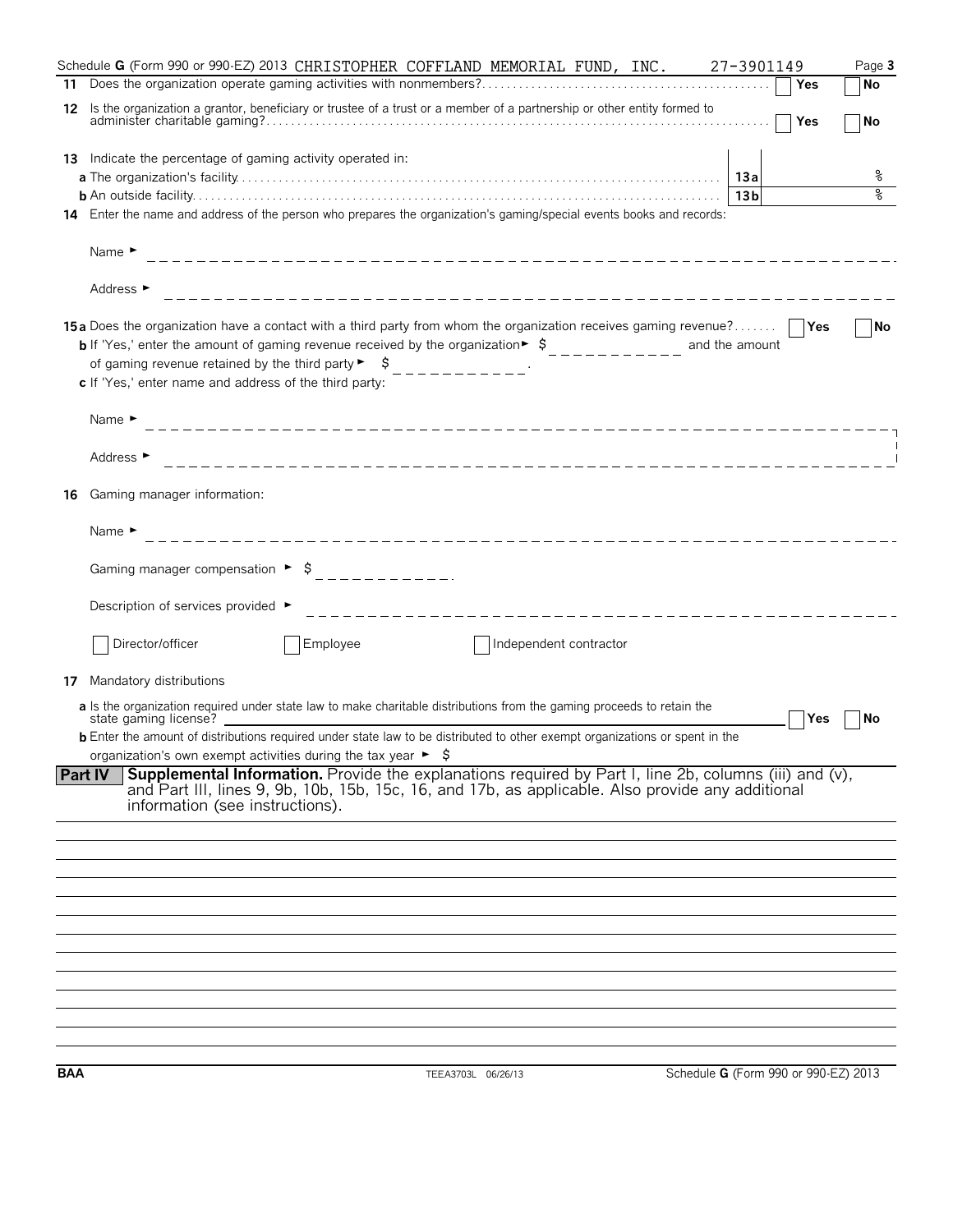|     | Schedule <b>G</b> (Form 990 or 990-EZ) 2013 CHRISTOPHER COFFLAND MEMORIAL FUND, INC. 27-3901149<br>Page 3                                                                                                                                                                                                                                                                                                                                                                                        |
|-----|--------------------------------------------------------------------------------------------------------------------------------------------------------------------------------------------------------------------------------------------------------------------------------------------------------------------------------------------------------------------------------------------------------------------------------------------------------------------------------------------------|
|     | <b>No</b><br>Yes                                                                                                                                                                                                                                                                                                                                                                                                                                                                                 |
|     | 12 Is the organization a grantor, beneficiary or trustee of a trust or a member of a partnership or other entity formed to<br><b>Yes</b><br>No                                                                                                                                                                                                                                                                                                                                                   |
|     | 13 Indicate the percentage of gaming activity operated in:                                                                                                                                                                                                                                                                                                                                                                                                                                       |
|     | ိဝ                                                                                                                                                                                                                                                                                                                                                                                                                                                                                               |
|     | ৡ<br>13 <sub>b</sub>                                                                                                                                                                                                                                                                                                                                                                                                                                                                             |
|     | 14 Enter the name and address of the person who prepares the organization's gaming/special events books and records:                                                                                                                                                                                                                                                                                                                                                                             |
|     | Name $\blacktriangleright$                                                                                                                                                                                                                                                                                                                                                                                                                                                                       |
|     | Address ►                                                                                                                                                                                                                                                                                                                                                                                                                                                                                        |
|     | 15a Does the organization have a contact with a third party from whom the organization receives gaming revenue?<br><b>No</b><br><b>b</b> If 'Yes,' enter the amount of gaming revenue received by the organization $\frac{1}{2}$ , $\frac{1}{2}$ , $\frac{1}{2}$ , $\frac{1}{2}$ , $\frac{1}{2}$ , and the amount<br>of gaming revenue retained by the third party $\begin{bmatrix} 1 & 1 \\ 2 & -1 & -1 \\ 3 & -1 & -1 \end{bmatrix}$<br>c If 'Yes,' enter name and address of the third party: |
|     | Name $\blacktriangleright$                                                                                                                                                                                                                                                                                                                                                                                                                                                                       |
|     | Address ►                                                                                                                                                                                                                                                                                                                                                                                                                                                                                        |
| 16  | Gaming manager information:                                                                                                                                                                                                                                                                                                                                                                                                                                                                      |
|     | Name $\blacktriangleright$                                                                                                                                                                                                                                                                                                                                                                                                                                                                       |
|     |                                                                                                                                                                                                                                                                                                                                                                                                                                                                                                  |
|     | Description of services provided ▶                                                                                                                                                                                                                                                                                                                                                                                                                                                               |
|     | Director/officer<br>Employee<br>Independent contractor                                                                                                                                                                                                                                                                                                                                                                                                                                           |
| 17  | Mandatory distributions                                                                                                                                                                                                                                                                                                                                                                                                                                                                          |
|     | a Is the organization required under state law to make charitable distributions from the gaming proceeds to retain the<br>state gaming license?<br>Yes<br>No                                                                                                                                                                                                                                                                                                                                     |
|     | <b>b</b> Enter the amount of distributions required under state law to be distributed to other exempt organizations or spent in the<br>organization's own exempt activities during the tax year $\blacktriangleright$ $\blacklozenge$                                                                                                                                                                                                                                                            |
|     | Supplemental Information. Provide the explanations required by Part I, line 2b, columns (iii) and (v),<br>Part IV<br>and Part III, lines 9, 9b, 10b, 15b, 15c, 16, and 17b, as applicable. Also provide any additional<br>information (see instructions).                                                                                                                                                                                                                                        |
|     |                                                                                                                                                                                                                                                                                                                                                                                                                                                                                                  |
|     |                                                                                                                                                                                                                                                                                                                                                                                                                                                                                                  |
|     |                                                                                                                                                                                                                                                                                                                                                                                                                                                                                                  |
|     |                                                                                                                                                                                                                                                                                                                                                                                                                                                                                                  |
|     |                                                                                                                                                                                                                                                                                                                                                                                                                                                                                                  |
|     |                                                                                                                                                                                                                                                                                                                                                                                                                                                                                                  |
|     |                                                                                                                                                                                                                                                                                                                                                                                                                                                                                                  |
|     |                                                                                                                                                                                                                                                                                                                                                                                                                                                                                                  |
|     |                                                                                                                                                                                                                                                                                                                                                                                                                                                                                                  |
| BAA | Schedule G (Form 990 or 990-EZ) 2013<br>TEEA3703L 06/26/13                                                                                                                                                                                                                                                                                                                                                                                                                                       |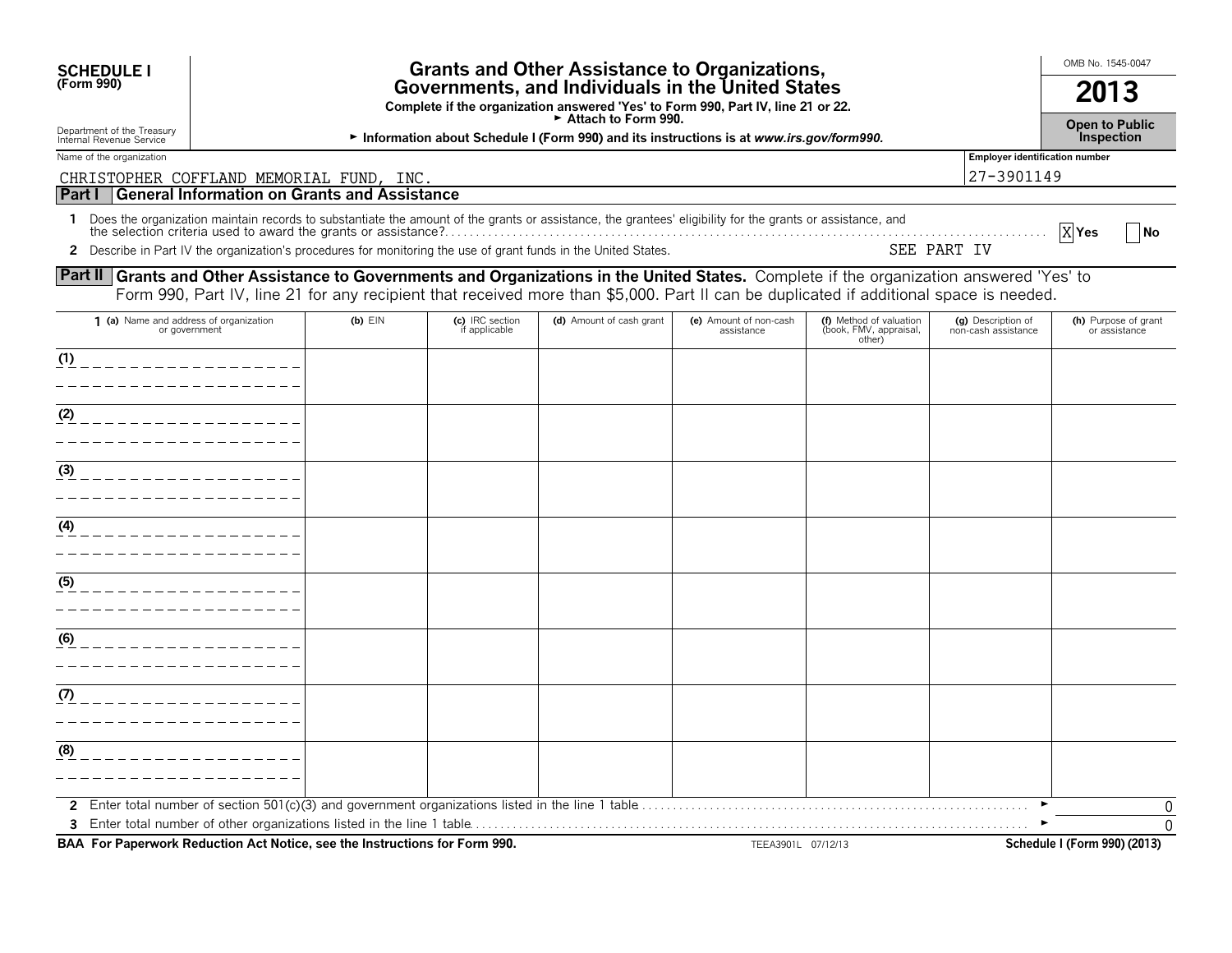| <b>Grants and Other Assistance to Organizations,</b><br><b>SCHEDULE I</b><br>(Form 990)<br>Governments, and Individuals in the United States<br>Complete if the organization answered 'Yes' to Form 990, Part IV, line 21 or 22.                                                           |                                                                                                                |                                  |                          |                                      |                                                             | OMB No. 1545-0047<br>2013                 |                                                          |
|--------------------------------------------------------------------------------------------------------------------------------------------------------------------------------------------------------------------------------------------------------------------------------------------|----------------------------------------------------------------------------------------------------------------|----------------------------------|--------------------------|--------------------------------------|-------------------------------------------------------------|-------------------------------------------|----------------------------------------------------------|
| Department of the Treasury<br>Internal Revenue Service                                                                                                                                                                                                                                     | Attach to Form 990.<br>Information about Schedule I (Form 990) and its instructions is at www.irs.gov/form990. |                                  |                          |                                      |                                                             |                                           |                                                          |
| Name of the organization<br>CHRISTOPHER COFFLAND MEMORIAL FUND, INC.                                                                                                                                                                                                                       |                                                                                                                |                                  |                          |                                      | Employer identification number<br>27-3901149                |                                           |                                                          |
| <b>General Information on Grants and Assistance</b><br>Part I<br>1 Does the organization maintain records to substantiate the amount of the grants or assistance, the grantees' eligibility for the grants or assistance, and                                                              |                                                                                                                |                                  |                          |                                      |                                                             |                                           | X <sub>Yes</sub><br><b>No</b>                            |
| 2 Describe in Part IV the organization's procedures for monitoring the use of grant funds in the United States.                                                                                                                                                                            |                                                                                                                |                                  |                          |                                      |                                                             | SEE PART IV                               |                                                          |
| <b>Part II Grants and Other Assistance to Governments and Organizations in the United States.</b> Complete if the organization answered 'Yes' to<br>Form 990, Part IV, line 21 for any recipient that received more than \$5,000. Part II can be duplicated if additional space is needed. |                                                                                                                |                                  |                          |                                      |                                                             |                                           |                                                          |
| 1 (a) Name and address of organization<br>or government                                                                                                                                                                                                                                    | $(b)$ $EIN$                                                                                                    | (c) IRC section<br>if applicable | (d) Amount of cash grant | (e) Amount of non-cash<br>assistance | (f) Method of valuation<br>(book, FMV, appraisal,<br>other) | (g) Description of<br>non-cash assistance | (h) Purpose of grant<br>or assistance                    |
| (1)                                                                                                                                                                                                                                                                                        |                                                                                                                |                                  |                          |                                      |                                                             |                                           |                                                          |
| (2)                                                                                                                                                                                                                                                                                        |                                                                                                                |                                  |                          |                                      |                                                             |                                           |                                                          |
| (3)                                                                                                                                                                                                                                                                                        |                                                                                                                |                                  |                          |                                      |                                                             |                                           |                                                          |
| (4)                                                                                                                                                                                                                                                                                        |                                                                                                                |                                  |                          |                                      |                                                             |                                           |                                                          |
| (5)                                                                                                                                                                                                                                                                                        |                                                                                                                |                                  |                          |                                      |                                                             |                                           |                                                          |
| (6)                                                                                                                                                                                                                                                                                        |                                                                                                                |                                  |                          |                                      |                                                             |                                           |                                                          |
| (7)                                                                                                                                                                                                                                                                                        |                                                                                                                |                                  |                          |                                      |                                                             |                                           |                                                          |
|                                                                                                                                                                                                                                                                                            |                                                                                                                |                                  |                          |                                      |                                                             |                                           |                                                          |
| (8)                                                                                                                                                                                                                                                                                        |                                                                                                                |                                  |                          |                                      |                                                             |                                           |                                                          |
| BAA For Paperwork Reduction Act Notice, see the Instructions for Form 990.                                                                                                                                                                                                                 |                                                                                                                |                                  |                          | TEEA3901L 07/12/13                   |                                                             |                                           | $\mathbf{0}$<br>$\Omega$<br>Schedule I (Form 990) (2013) |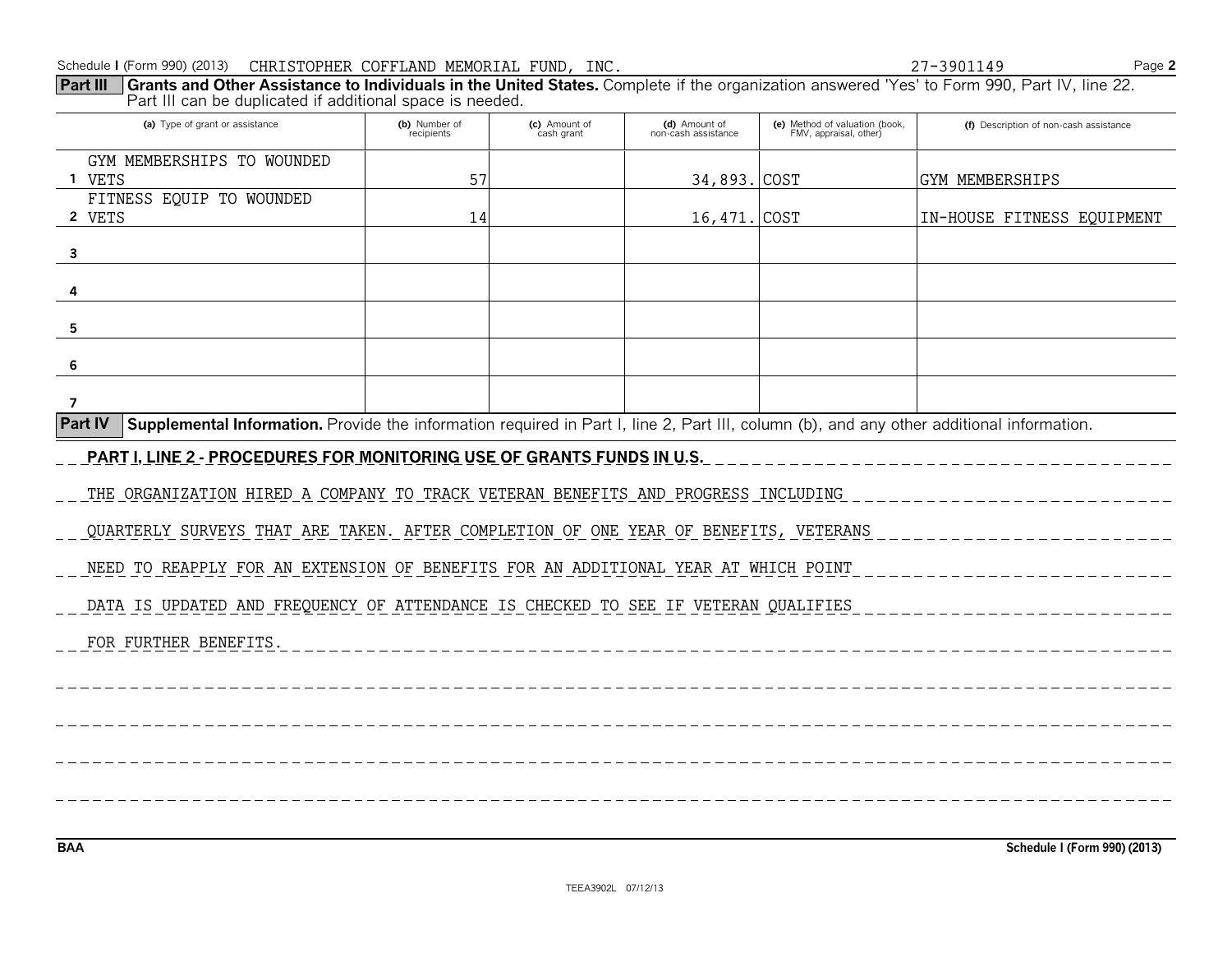| Part III<br>Grants and Other Assistance to Individuals in the United States. Complete if the organization answered 'Yes' to Form 990, Part IV, line 22.<br>Part III can be duplicated if additional space is needed. |                             |                             |                                      |                                                          |                                        |
|----------------------------------------------------------------------------------------------------------------------------------------------------------------------------------------------------------------------|-----------------------------|-----------------------------|--------------------------------------|----------------------------------------------------------|----------------------------------------|
| (a) Type of grant or assistance                                                                                                                                                                                      | (b) Number of<br>recipients | (c) Amount of<br>cash grant | (d) Amount of<br>non-cash assistance | (e) Method of valuation (book,<br>FMV, appraisal, other) | (f) Description of non-cash assistance |
| GYM MEMBERSHIPS TO WOUNDED                                                                                                                                                                                           |                             |                             |                                      |                                                          |                                        |
| 1 VETS                                                                                                                                                                                                               | 57                          |                             | 34,893. COST                         |                                                          | GYM MEMBERSHIPS                        |
| FITNESS EQUIP TO WOUNDED<br>2 VETS                                                                                                                                                                                   | 14                          |                             | 16,471.                              | <b>COST</b>                                              | IN-HOUSE FITNESS EQUIPMENT             |
| $\overline{\mathbf{3}}$                                                                                                                                                                                              |                             |                             |                                      |                                                          |                                        |
| 4                                                                                                                                                                                                                    |                             |                             |                                      |                                                          |                                        |
| 5                                                                                                                                                                                                                    |                             |                             |                                      |                                                          |                                        |
| 6                                                                                                                                                                                                                    |                             |                             |                                      |                                                          |                                        |
| $\overline{7}$                                                                                                                                                                                                       |                             |                             |                                      |                                                          |                                        |
| Part IV<br>Supplemental Information. Provide the information required in Part I, line 2, Part III, column (b), and any other additional information.                                                                 |                             |                             |                                      |                                                          |                                        |
| <u>PART I, LINE 2 - PROCEDURES FOR MONITORING USE OF GRANTS FUNDS IN U.S.</u>                                                                                                                                        |                             |                             |                                      |                                                          |                                        |
| THE ORGANIZATION HIRED A COMPANY TO TRACK VETERAN BENEFITS AND PROGRESS INCLUDING                                                                                                                                    |                             |                             |                                      |                                                          |                                        |
| QUARTERLY SURVEYS THAT ARE TAKEN. AFTER COMPLETION OF ONE YEAR OF BENEFITS, VETERANS                                                                                                                                 |                             |                             |                                      |                                                          |                                        |
| NEED TO REAPPLY FOR AN EXTENSION OF BENEFITS FOR AN ADDITIONAL YEAR AT WHICH POINT                                                                                                                                   |                             |                             |                                      |                                                          |                                        |
| DATA IS UPDATED AND FREQUENCY OF ATTENDANCE IS CHECKED TO SEE IF VETERAN QUALIFIES                                                                                                                                   |                             |                             |                                      |                                                          |                                        |
| FOR FURTHER BENEFITS.                                                                                                                                                                                                |                             |                             |                                      |                                                          |                                        |
|                                                                                                                                                                                                                      |                             |                             |                                      |                                                          |                                        |
|                                                                                                                                                                                                                      |                             |                             |                                      |                                                          |                                        |
|                                                                                                                                                                                                                      |                             |                             |                                      |                                                          |                                        |
|                                                                                                                                                                                                                      |                             |                             |                                      |                                                          |                                        |
|                                                                                                                                                                                                                      |                             |                             |                                      |                                                          |                                        |
| <b>BAA</b>                                                                                                                                                                                                           |                             |                             |                                      |                                                          | Schedule I (Form 990) (2013)           |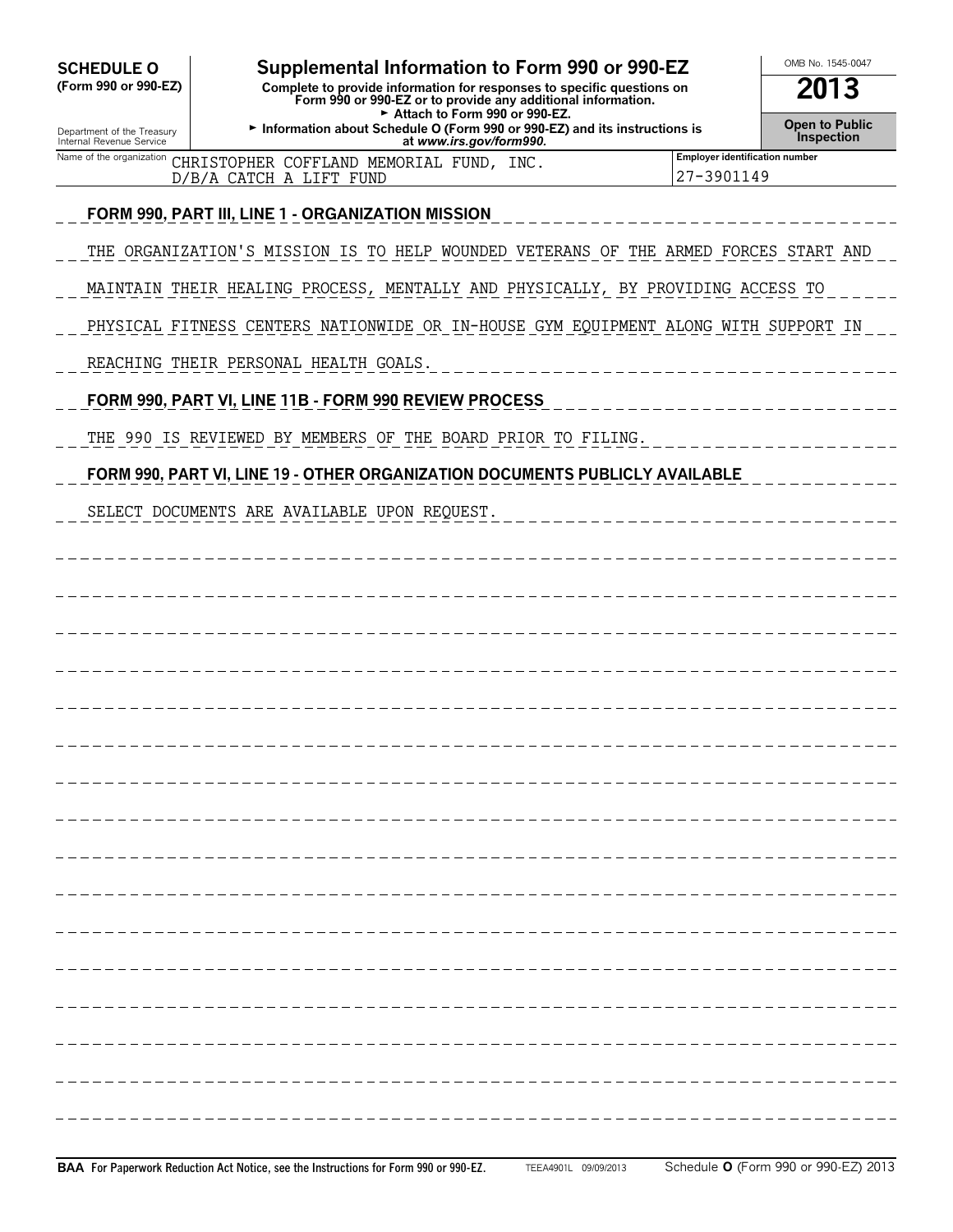| <b>SCHEDULE O</b>                                                                                                                                                                               | Supplemental Information to Form 990 or 990-EZ                                                       |                                                     | OMB No. 1545-0047            |
|-------------------------------------------------------------------------------------------------------------------------------------------------------------------------------------------------|------------------------------------------------------------------------------------------------------|-----------------------------------------------------|------------------------------|
| (Form 990 or 990-EZ)<br>Complete to provide information for responses to specific questions on<br>Form 990 or 990-EZ or to provide any additional information.<br>Attach to Form 990 or 990-EZ. |                                                                                                      |                                                     | 2013                         |
| Department of the Treasury<br>Internal Revenue Service                                                                                                                                          | Information about Schedule O (Form 990 or 990-EZ) and its instructions is<br>at www.irs.gov/form990. |                                                     | Open to Public<br>Inspection |
| Name of the organization                                                                                                                                                                        | CHRISTOPHER COFFLAND MEMORIAL FUND, INC.<br>D/B/A CATCH A LIFT FUND                                  | <b>Employer identification number</b><br>27-3901149 |                              |
|                                                                                                                                                                                                 | FORM 990, PART III, LINE 1 - ORGANIZATION MISSION                                                    |                                                     |                              |
|                                                                                                                                                                                                 | THE ORGANIZATION'S MISSION IS TO HELP WOUNDED VETERANS OF THE ARMED FORCES START AND                 |                                                     |                              |
|                                                                                                                                                                                                 | MAINTAIN THEIR HEALING PROCESS, MENTALLY AND PHYSICALLY, BY PROVIDING ACCESS TO                      |                                                     |                              |
|                                                                                                                                                                                                 | PHYSICAL FITNESS CENTERS NATIONWIDE OR IN-HOUSE GYM EQUIPMENT ALONG WITH SUPPORT IN                  |                                                     |                              |
|                                                                                                                                                                                                 | REACHING THEIR PERSONAL HEALTH GOALS.                                                                |                                                     |                              |
|                                                                                                                                                                                                 | FORM 990, PART VI, LINE 11B - FORM 990 REVIEW PROCESS                                                |                                                     |                              |
|                                                                                                                                                                                                 | THE 990 IS REVIEWED BY MEMBERS OF THE BOARD PRIOR TO FILING.                                         |                                                     |                              |
|                                                                                                                                                                                                 | FORM 990, PART VI, LINE 19 - OTHER ORGANIZATION DOCUMENTS PUBLICLY AVAILABLE                         |                                                     |                              |
|                                                                                                                                                                                                 | SELECT DOCUMENTS ARE AVAILABLE UPON REQUEST.                                                         |                                                     |                              |
|                                                                                                                                                                                                 |                                                                                                      |                                                     |                              |
|                                                                                                                                                                                                 |                                                                                                      |                                                     |                              |
|                                                                                                                                                                                                 |                                                                                                      |                                                     |                              |
|                                                                                                                                                                                                 |                                                                                                      |                                                     |                              |
|                                                                                                                                                                                                 |                                                                                                      |                                                     |                              |
|                                                                                                                                                                                                 |                                                                                                      |                                                     |                              |
|                                                                                                                                                                                                 |                                                                                                      |                                                     |                              |
|                                                                                                                                                                                                 |                                                                                                      |                                                     |                              |
|                                                                                                                                                                                                 |                                                                                                      |                                                     |                              |
|                                                                                                                                                                                                 |                                                                                                      |                                                     |                              |
|                                                                                                                                                                                                 |                                                                                                      |                                                     |                              |
|                                                                                                                                                                                                 |                                                                                                      |                                                     |                              |
|                                                                                                                                                                                                 |                                                                                                      |                                                     |                              |
|                                                                                                                                                                                                 |                                                                                                      |                                                     |                              |
|                                                                                                                                                                                                 |                                                                                                      |                                                     |                              |
|                                                                                                                                                                                                 |                                                                                                      |                                                     |                              |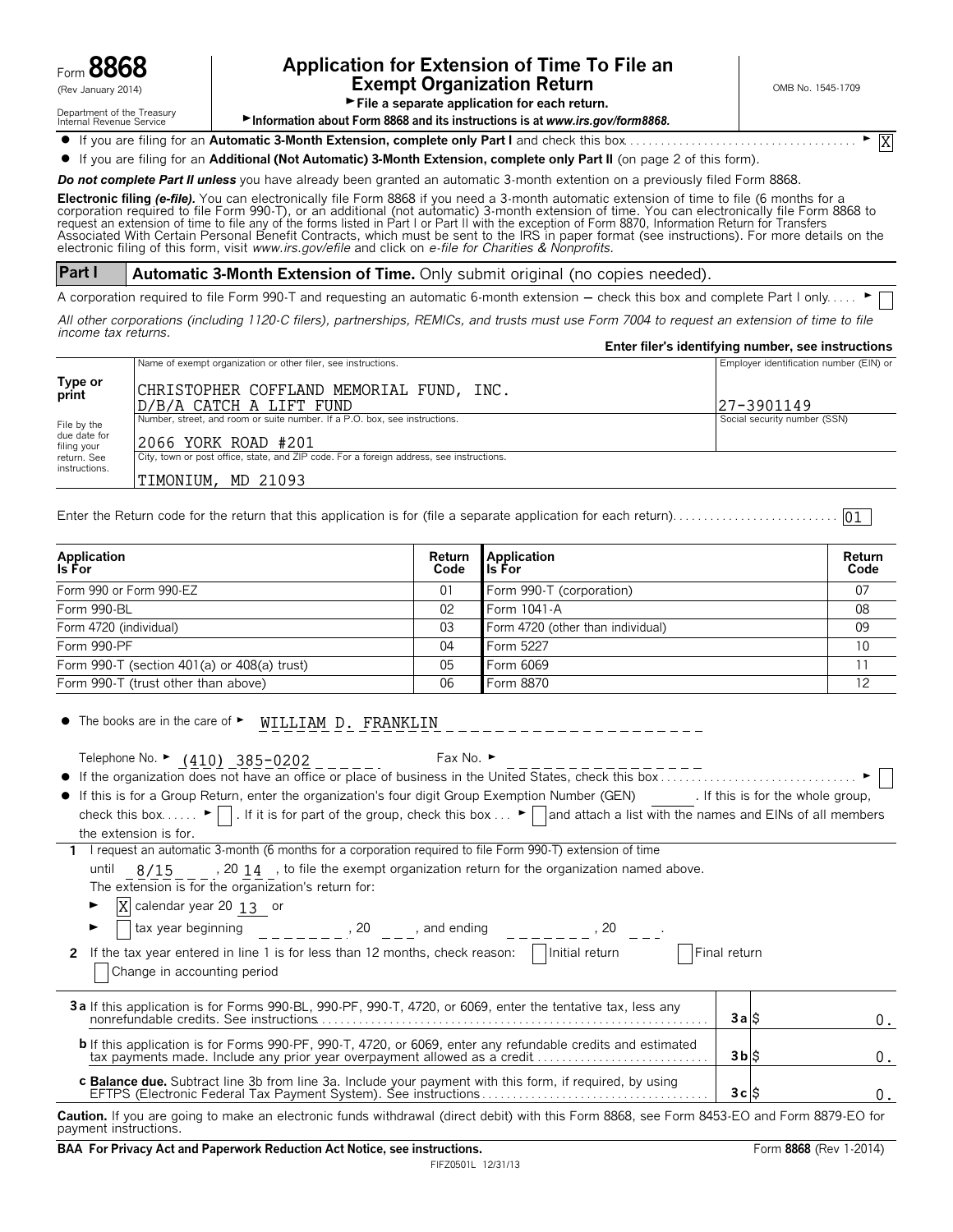

# Form **8868 Application for Extension of Time To File an**  $\mathcal{L}_{\text{new}}$  and  $\mathcal{L}_{\text{new}}$  and  $\mathcal{L}_{\text{new}}$  and  $\mathcal{L}_{\text{new}}$  and  $\mathcal{L}_{\text{new}}$  and  $\mathcal{L}_{\text{new}}$  and  $\mathcal{L}_{\text{new}}$  and  $\mathcal{L}_{\text{new}}$  and  $\mathcal{L}_{\text{new}}$  and  $\mathcal{L}_{\text{new}}$  and  $\mathcal{L}_{\text{new}}$  and  $\mathcal{L}_{\text{new}}$  and  $\mathcal{$

X

Department of the Treasury<br>Internal Revenue Service

File a separate application for each return.

▶ Information about Form 8868 and its instructions is at *www.irs.gov/form8868.* 

? If you are filing for an **Automatic 3-Month Extension, complete only Part I** and check this box. . . . . . . . . . . . . . . . . . . . . . . . . . . . . . . . . . . . . . G

? If you are filing for an **Additional (Not Automatic) 3-Month Extension, complete only Part II** (on page 2 of this form).

*Do not complete Part II unless* you have already been granted an automatic 3-month extention on a previously filed Form 8868.

**Electronic filing** *(e-file).* You can electronically file Form 8868 if you need a 3-month automatic extension of time to file (6 months for a corporation required to file Form 990-T), or an additional (not automatic) 3-month extension of time. You can electronically file Form 8868 to<br>request an extension of time to file any of the forms listed in Part I or Part electronic filing of this form, visit *www.irs.gov/efile* and click on *e-file for Charities & Nonprofits.*

**Part I Automatic 3-Month Extension of Time.** Only submit original (no copies needed).

A corporation required to file Form 990-T and requesting an automatic 6-month extension - check this box and complete Part I only.....

*All other corporations (including 1120-C filers), partnerships, REMICs, and trusts must use Form 7004 to request an extension of time to file income tax returns.*

|                             |                                                                                          | Enter filer's identifying number, see instructions |
|-----------------------------|------------------------------------------------------------------------------------------|----------------------------------------------------|
|                             | Name of exempt organization or other filer, see instructions.                            | Employer identification number (EIN) or            |
| Type or<br>print            | CHRISTOPHER COFFLAND MEMORIAL FUND, INC.                                                 |                                                    |
|                             | D/B/A CATCH A LIFT FUND                                                                  | 27-3901149                                         |
| File by the                 | Number, street, and room or suite number. If a P.O. box, see instructions.               | Social security number (SSN)                       |
| due date for<br>filing your | 2066 YORK ROAD #201                                                                      |                                                    |
| return. See                 | City, town or post office, state, and ZIP code. For a foreign address, see instructions. |                                                    |
| instructions.               | TIMONIUM, MD 21093                                                                       |                                                    |

Enter the Return code for the return that this application is for (file a separate application for each return). . . . . . . . . . . . . . . . . . . . . . . . . . . 01

| <b>Application</b><br>Is For                | Return<br>Code | Application<br><b>I</b> Is For    | Return<br>Code |
|---------------------------------------------|----------------|-----------------------------------|----------------|
| Form 990 or Form 990-EZ                     | 01             | Form 990-T (corporation)          | 07             |
| Form 990-BL                                 | 02             | Form 1041-A                       | 08             |
| Form 4720 (individual)                      | 03             | Form 4720 (other than individual) | 09             |
| Form 990-PF                                 | 04             | Form 5227                         | 10             |
| Form 990-T (section 401(a) or 408(a) trust) | 05             | Form 6069                         |                |
| Form 990-T (trust other than above)         | 06             | Form 8870                         | 12             |

| • The books are in the care of $\blacktriangleright$ WILLIAM D. FRANKLIN                                                                                                                                                                                                                                                                                                                                                              |                |    |
|---------------------------------------------------------------------------------------------------------------------------------------------------------------------------------------------------------------------------------------------------------------------------------------------------------------------------------------------------------------------------------------------------------------------------------------|----------------|----|
| Telephone No. $\triangleright$ (410) 385-0202 Fax No. $\triangleright$<br>• If this is for a Group Return, enter the organization's four digit Group Exemption Number (GEN) [f this is for the whole group,<br>check this box $\blacktriangleright \Box$ . If it is for part of the group, check this box $\blacktriangleright \Box$ and attach a list with the names and EINs of all members<br>the extension is for.                |                |    |
| 1 I request an automatic 3-month (6 months for a corporation required to file Form 990-T) extension of time                                                                                                                                                                                                                                                                                                                           |                |    |
| until $8/15$ , $2014$ , to file the exempt organization return for the organization named above.<br>The extension is for the organization's return for:<br>$\triangleright$ X calendar year 20 13 or<br>$\overline{\Box}$ tax year beginning _______, 20 ___, and ending _______, 20 ___.<br>2 If the tax year entered in line 1 is for less than 12 months, check reason: Initial return Final return<br>Change in accounting period |                |    |
| 3a If this application is for Forms 990-BL, 990-PF, 990-T, 4720, or 6069, enter the tentative tax, less any                                                                                                                                                                                                                                                                                                                           | 3a             | 0. |
| <b>b</b> If this application is for Forms 990-PF, 990-T, 4720, or 6069, enter any refundable credits and estimated<br>tax payments made. Include any prior year overpayment allowed as a credit                                                                                                                                                                                                                                       | $3b$ $\upbeta$ | 0. |
| c Balance due. Subtract line 3b from line 3a. Include your payment with this form, if required, by using                                                                                                                                                                                                                                                                                                                              | 3cS            | 0. |

**Caution.** If you are going to make an electronic funds withdrawal (direct debit) with this Form 8868, see Form 8453-EO and Form 8879-EO for payment instructions.